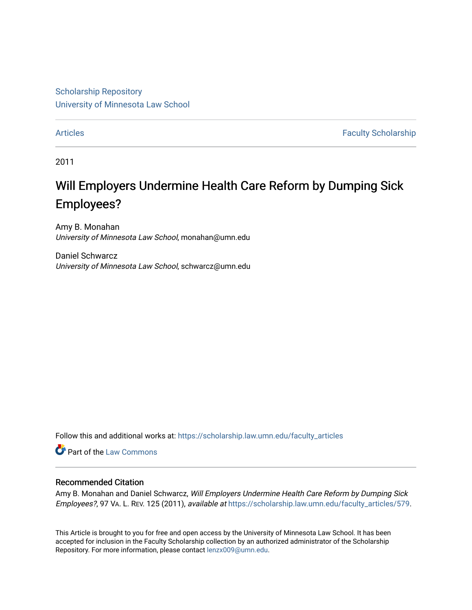[Scholarship Repository](https://scholarship.law.umn.edu/?utm_source=scholarship.law.umn.edu%2Ffaculty_articles%2F579&utm_medium=PDF&utm_campaign=PDFCoverPages) [University of Minnesota Law School](https://scholarship.law.umn.edu/?utm_source=scholarship.law.umn.edu%2Ffaculty_articles%2F579&utm_medium=PDF&utm_campaign=PDFCoverPages)

[Articles](https://scholarship.law.umn.edu/faculty_articles?utm_source=scholarship.law.umn.edu%2Ffaculty_articles%2F579&utm_medium=PDF&utm_campaign=PDFCoverPages) **Faculty Scholarship** 

2011

# Will Employers Undermine Health Care Reform by Dumping Sick Employees?

Amy B. Monahan University of Minnesota Law School, monahan@umn.edu

Daniel Schwarcz University of Minnesota Law School, schwarcz@umn.edu

Follow this and additional works at: [https://scholarship.law.umn.edu/faculty\\_articles](https://scholarship.law.umn.edu/faculty_articles?utm_source=scholarship.law.umn.edu%2Ffaculty_articles%2F579&utm_medium=PDF&utm_campaign=PDFCoverPages)

Part of the [Law Commons](https://network.bepress.com/hgg/discipline/578?utm_source=scholarship.law.umn.edu%2Ffaculty_articles%2F579&utm_medium=PDF&utm_campaign=PDFCoverPages)

# Recommended Citation

Amy B. Monahan and Daniel Schwarcz, Will Employers Undermine Health Care Reform by Dumping Sick Employees?, 97 VA. L. REV. 125 (2011), available at [https://scholarship.law.umn.edu/faculty\\_articles/579.](https://scholarship.law.umn.edu/faculty_articles/579?utm_source=scholarship.law.umn.edu%2Ffaculty_articles%2F579&utm_medium=PDF&utm_campaign=PDFCoverPages)

This Article is brought to you for free and open access by the University of Minnesota Law School. It has been accepted for inclusion in the Faculty Scholarship collection by an authorized administrator of the Scholarship Repository. For more information, please contact [lenzx009@umn.edu.](mailto:lenzx009@umn.edu)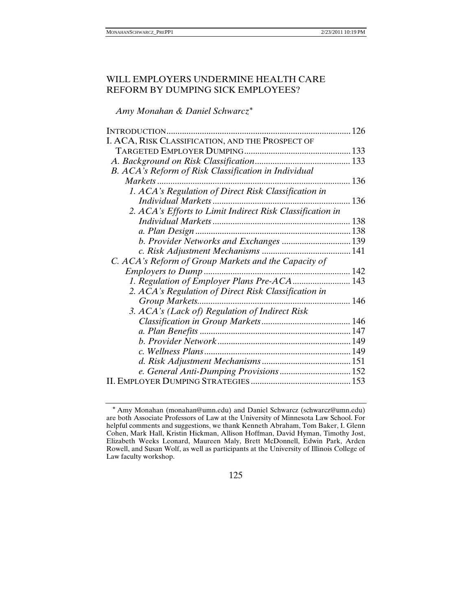# WILL EMPLOYERS UNDERMINE HEALTH CARE REFORM BY DUMPING SICK EMPLOYEES?

*Amy Monahan & Daniel Schwarcz*<sup>∗</sup>

| INTRODUCTION                                              | 126 |
|-----------------------------------------------------------|-----|
| I. ACA, RISK CLASSIFICATION, AND THE PROSPECT OF          |     |
|                                                           |     |
|                                                           |     |
| B. ACA's Reform of Risk Classification in Individual      |     |
| Markets                                                   | 136 |
| 1. ACA's Regulation of Direct Risk Classification in      |     |
|                                                           |     |
| 2. ACA's Efforts to Limit Indirect Risk Classification in |     |
|                                                           |     |
|                                                           |     |
| b. Provider Networks and Exchanges  139                   |     |
|                                                           |     |
| C. ACA's Reform of Group Markets and the Capacity of      |     |
|                                                           |     |
| 1. Regulation of Employer Plans Pre-ACA 143               |     |
| 2. ACA's Regulation of Direct Risk Classification in      |     |
| Group Markets                                             |     |
| 3. ACA's (Lack of) Regulation of Indirect Risk            |     |
|                                                           |     |
|                                                           |     |
|                                                           |     |
|                                                           |     |
|                                                           |     |
|                                                           |     |
|                                                           |     |
|                                                           |     |

<sup>∗</sup> Amy Monahan (monahan@umn.edu) and Daniel Schwarcz (schwarcz@umn.edu) are both Associate Professors of Law at the University of Minnesota Law School. For helpful comments and suggestions, we thank Kenneth Abraham, Tom Baker, I. Glenn Cohen, Mark Hall, Kristin Hickman, Allison Hoffman, David Hyman, Timothy Jost, Elizabeth Weeks Leonard, Maureen Maly, Brett McDonnell, Edwin Park, Arden Rowell, and Susan Wolf, as well as participants at the University of Illinois College of Law faculty workshop.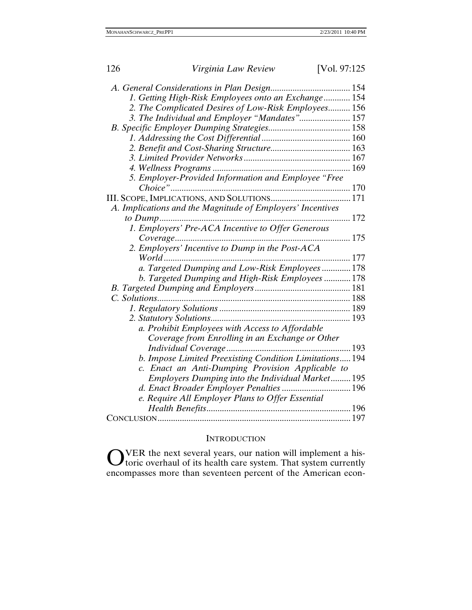| 126 | Virginia Law Review                                        | [Vol. 97:125] |
|-----|------------------------------------------------------------|---------------|
|     |                                                            |               |
|     | 1. Getting High-Risk Employees onto an Exchange 154        |               |
|     | 2. The Complicated Desires of Low-Risk Employees 156       |               |
|     | 3. The Individual and Employer "Mandates" 157              |               |
|     |                                                            |               |
|     |                                                            |               |
|     |                                                            |               |
|     |                                                            |               |
|     |                                                            |               |
|     | 5. Employer-Provided Information and Employee "Free        |               |
|     |                                                            |               |
|     |                                                            |               |
|     | A. Implications and the Magnitude of Employers' Incentives |               |
|     |                                                            |               |
|     | 1. Employers' Pre-ACA Incentive to Offer Generous          |               |
|     |                                                            |               |
|     | 2. Employers' Incentive to Dump in the Post-ACA            |               |
|     |                                                            |               |
|     | a. Targeted Dumping and Low-Risk Employees  178            |               |
|     | b. Targeted Dumping and High-Risk Employees  178           |               |
|     |                                                            |               |
|     | C. Solutions                                               |               |
|     |                                                            |               |
|     |                                                            |               |
|     | a. Prohibit Employees with Access to Affordable            |               |
|     | Coverage from Enrolling in an Exchange or Other            |               |
|     |                                                            |               |
|     | b. Impose Limited Preexisting Condition Limitations194     |               |
|     | c. Enact an Anti-Dumping Provision Applicable to           |               |
|     | Employers Dumping into the Individual Market195            |               |
|     |                                                            |               |
|     | e. Require All Employer Plans to Offer Essential           |               |
|     |                                                            |               |
|     |                                                            |               |

# **INTRODUCTION**

VER the next several years, our nation will implement a historic overhaul of its health care system. That system currently encompasses more than seventeen percent of the American econ- $\mathbf{O}^{\text{V}}_{\text{tc}}$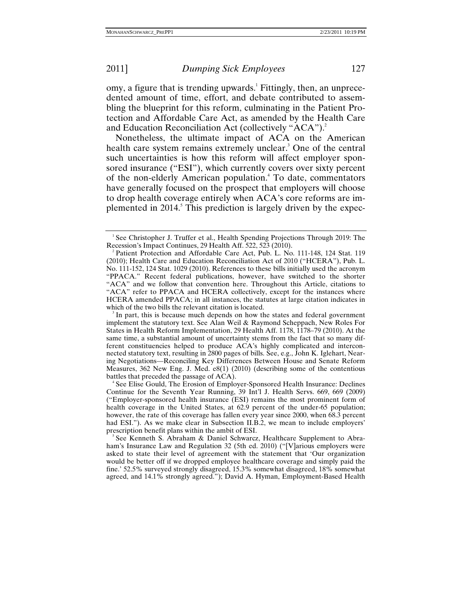omy, a figure that is trending upwards.<sup>1</sup> Fittingly, then, an unprecedented amount of time, effort, and debate contributed to assembling the blueprint for this reform, culminating in the Patient Protection and Affordable Care Act, as amended by the Health Care and Education Reconciliation Act (collectively "ACA").<sup>2</sup>

Nonetheless, the ultimate impact of ACA on the American health care system remains extremely unclear.<sup>3</sup> One of the central such uncertainties is how this reform will affect employer sponsored insurance ("ESI"), which currently covers over sixty percent of the non-elderly American population.<sup>4</sup> To date, commentators have generally focused on the prospect that employers will choose to drop health coverage entirely when ACA's core reforms are implemented in 2014.<sup>5</sup> This prediction is largely driven by the expec-

<sup>&</sup>lt;sup>1</sup> See Christopher J. Truffer et al., Health Spending Projections Through 2019: The Recession's Impact Continues, 29 Health Aff. 522, 523 (2010). 2

<sup>&</sup>lt;sup>2</sup> Patient Protection and Affordable Care Act, Pub. L. No. 111-148, 124 Stat. 119 (2010); Health Care and Education Reconciliation Act of 2010 ("HCERA"), Pub. L. No. 111-152, 124 Stat. 1029 (2010). References to these bills initially used the acronym "PPACA." Recent federal publications, however, have switched to the shorter "ACA" and we follow that convention here. Throughout this Article, citations to "ACA" refer to PPACA and HCERA collectively, except for the instances where HCERA amended PPACA; in all instances, the statutes at large citation indicates in which of the two bills the relevant citation is located.

 $\beta$  In part, this is because much depends on how the states and federal government implement the statutory text. See Alan Weil & Raymond Scheppach, New Roles For States in Health Reform Implementation, 29 Health Aff. 1178, 1178–79 (2010). At the same time, a substantial amount of uncertainty stems from the fact that so many different constituencies helped to produce ACA's highly complicated and interconnected statutory text, resulting in 2800 pages of bills. See, e.g., John K. Iglehart, Nearing Negotiations—Reconciling Key Differences Between House and Senate Reform Measures, 362 New Eng. J. Med. e8(1) (2010) (describing some of the contentious battles that preceded the passage of ACA).

<sup>&</sup>lt;sup>4</sup> See Elise Gould, The Erosion of Employer-Sponsored Health Insurance: Declines Continue for the Seventh Year Running, 39 Int'l J. Health Servs. 669, 669 (2009) ("Employer-sponsored health insurance (ESI) remains the most prominent form of health coverage in the United States, at 62.9 percent of the under-65 population; however, the rate of this coverage has fallen every year since 2000, when 68.3 percent had ESI."). As we make clear in Subsection II.B.2, we mean to include employers' prescription benefit plans within the ambit of ESI. 5

<sup>&</sup>lt;sup>5</sup> See Kenneth S. Abraham & Daniel Schwarcz, Healthcare Supplement to Abraham's Insurance Law and Regulation 32 (5th ed. 2010) ("[V]arious employers were asked to state their level of agreement with the statement that 'Our organization would be better off if we dropped employee healthcare coverage and simply paid the fine.' 52.5% surveyed strongly disagreed, 15.3% somewhat disagreed, 18% somewhat agreed, and 14.1% strongly agreed."); David A. Hyman, Employment-Based Health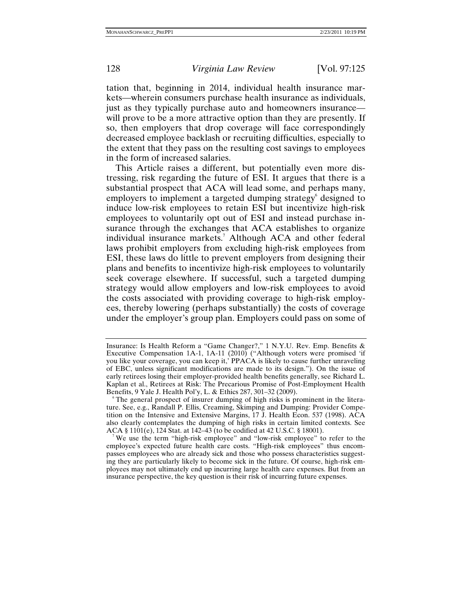tation that, beginning in 2014, individual health insurance markets—wherein consumers purchase health insurance as individuals, just as they typically purchase auto and homeowners insurance will prove to be a more attractive option than they are presently. If so, then employers that drop coverage will face correspondingly decreased employee backlash or recruiting difficulties, especially to the extent that they pass on the resulting cost savings to employees in the form of increased salaries.

This Article raises a different, but potentially even more distressing, risk regarding the future of ESI. It argues that there is a substantial prospect that ACA will lead some, and perhaps many, employers to implement a targeted dumping strategy<sup>6</sup> designed to induce low-risk employees to retain ESI but incentivize high-risk employees to voluntarily opt out of ESI and instead purchase insurance through the exchanges that ACA establishes to organize individual insurance markets.<sup>7</sup> Although ACA and other federal laws prohibit employers from excluding high-risk employees from ESI, these laws do little to prevent employers from designing their plans and benefits to incentivize high-risk employees to voluntarily seek coverage elsewhere. If successful, such a targeted dumping strategy would allow employers and low-risk employees to avoid the costs associated with providing coverage to high-risk employees, thereby lowering (perhaps substantially) the costs of coverage under the employer's group plan. Employers could pass on some of

We use the term "high-risk employee" and "low-risk employee" to refer to the employee's expected future health care costs. "High-risk employees" thus encompasses employees who are already sick and those who possess characteristics suggesting they are particularly likely to become sick in the future. Of course, high-risk employees may not ultimately end up incurring large health care expenses. But from an insurance perspective, the key question is their risk of incurring future expenses.

Insurance: Is Health Reform a "Game Changer?," 1 N.Y.U. Rev. Emp. Benefits & Executive Compensation 1A-1, 1A-11 (2010) ("Although voters were promised 'if you like your coverage, you can keep it,' PPACA is likely to cause further unraveling of EBC, unless significant modifications are made to its design."). On the issue of early retirees losing their employer-provided health benefits generally, see Richard L. Kaplan et al., Retirees at Risk: The Precarious Promise of Post-Employment Health Benefits, 9 Yale J. Health Pol'y, L. & Ethics 287, 301–32 (2009). 6

<sup>&</sup>lt;sup>6</sup>The general prospect of insurer dumping of high risks is prominent in the literature. See, e.g., Randall P. Ellis, Creaming, Skimping and Dumping: Provider Competition on the Intensive and Extensive Margins, 17 J. Health Econ. 537 (1998). ACA also clearly contemplates the dumping of high risks in certain limited contexts. See ACA § 1101(e), 124 Stat. at 142–43 (to be codified at 42 U.S.C. § 18001). 7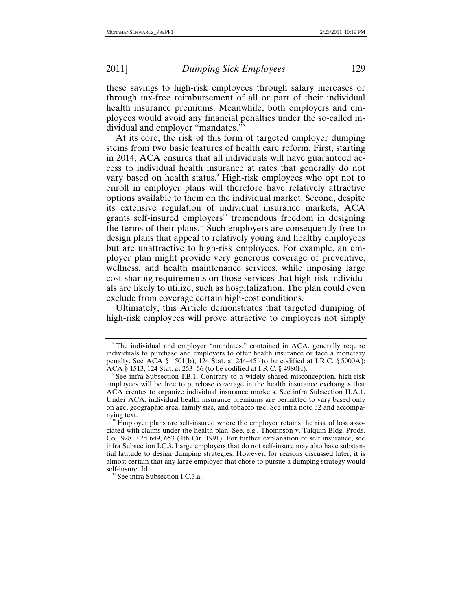these savings to high-risk employees through salary increases or through tax-free reimbursement of all or part of their individual health insurance premiums. Meanwhile, both employers and employees would avoid any financial penalties under the so-called individual and employer "mandates."8

At its core, the risk of this form of targeted employer dumping stems from two basic features of health care reform. First, starting in 2014, ACA ensures that all individuals will have guaranteed access to individual health insurance at rates that generally do not vary based on health status.<sup>9</sup> High-risk employees who opt not to enroll in employer plans will therefore have relatively attractive options available to them on the individual market. Second, despite its extensive regulation of individual insurance markets, ACA grants self-insured employers<sup>10</sup> tremendous freedom in designing the terms of their plans.<sup>11</sup> Such employers are consequently free to design plans that appeal to relatively young and healthy employees but are unattractive to high-risk employees. For example, an employer plan might provide very generous coverage of preventive, wellness, and health maintenance services, while imposing large cost-sharing requirements on those services that high-risk individuals are likely to utilize, such as hospitalization. The plan could even exclude from coverage certain high-cost conditions.

Ultimately, this Article demonstrates that targeted dumping of high-risk employees will prove attractive to employers not simply

<sup>&</sup>lt;sup>8</sup>The individual and employer "mandates," contained in ACA, generally require individuals to purchase and employers to offer health insurance or face a monetary penalty. See ACA § 1501(b), 124 Stat. at 244–45 (to be codified at I.R.C. § 5000A); ACA § 1513, 124 Stat. at 253–56 (to be codified at I.R.C. § 4980H).

See infra Subsection I.B.1. Contrary to a widely shared misconception, high-risk employees will be free to purchase coverage in the health insurance exchanges that ACA creates to organize individual insurance markets. See infra Subsection II.A.1. Under ACA, individual health insurance premiums are permitted to vary based only on age, geographic area, family size, and tobacco use. See infra note 32 and accompa-

 $\mu$ <sup>o</sup> Employer plans are self-insured where the employer retains the risk of loss associated with claims under the health plan. See, e.g., Thompson v. Talquin Bldg. Prods. Co., 928 F.2d 649, 653 (4th Cir. 1991). For further explanation of self insurance, see infra Subsection I.C.3. Large employers that do not self-insure may also have substantial latitude to design dumping strategies. However, for reasons discussed later, it is almost certain that any large employer that chose to pursue a dumping strategy would self-insure. Id.<br><sup>11</sup> See infra Subsection I.C.3.a.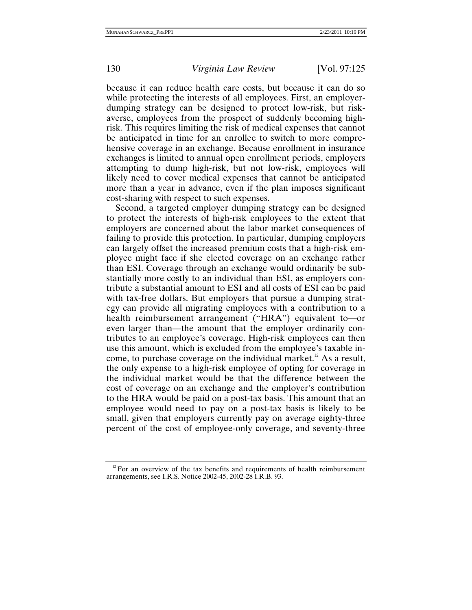because it can reduce health care costs, but because it can do so while protecting the interests of all employees. First, an employerdumping strategy can be designed to protect low-risk, but riskaverse, employees from the prospect of suddenly becoming highrisk. This requires limiting the risk of medical expenses that cannot be anticipated in time for an enrollee to switch to more comprehensive coverage in an exchange. Because enrollment in insurance exchanges is limited to annual open enrollment periods, employers attempting to dump high-risk, but not low-risk, employees will likely need to cover medical expenses that cannot be anticipated more than a year in advance, even if the plan imposes significant cost-sharing with respect to such expenses.

Second, a targeted employer dumping strategy can be designed to protect the interests of high-risk employees to the extent that employers are concerned about the labor market consequences of failing to provide this protection. In particular, dumping employers can largely offset the increased premium costs that a high-risk employee might face if she elected coverage on an exchange rather than ESI. Coverage through an exchange would ordinarily be substantially more costly to an individual than ESI, as employers contribute a substantial amount to ESI and all costs of ESI can be paid with tax-free dollars. But employers that pursue a dumping strategy can provide all migrating employees with a contribution to a health reimbursement arrangement ("HRA") equivalent to—or even larger than—the amount that the employer ordinarily contributes to an employee's coverage. High-risk employees can then use this amount, which is excluded from the employee's taxable income, to purchase coverage on the individual market.<sup>12</sup> As a result, the only expense to a high-risk employee of opting for coverage in the individual market would be that the difference between the cost of coverage on an exchange and the employer's contribution to the HRA would be paid on a post-tax basis. This amount that an employee would need to pay on a post-tax basis is likely to be small, given that employers currently pay on average eighty-three percent of the cost of employee-only coverage, and seventy-three

 $12$  For an overview of the tax benefits and requirements of health reimbursement arrangements, see I.R.S. Notice 2002-45, 2002-28 I.R.B. 93.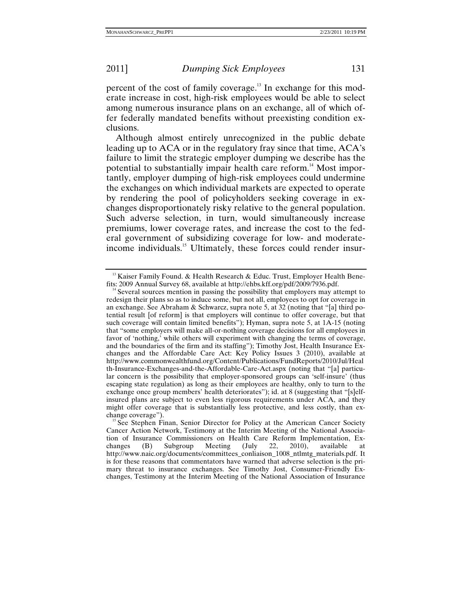percent of the cost of family coverage.13 In exchange for this moderate increase in cost, high-risk employees would be able to select among numerous insurance plans on an exchange, all of which offer federally mandated benefits without preexisting condition exclusions.

Although almost entirely unrecognized in the public debate leading up to ACA or in the regulatory fray since that time, ACA's failure to limit the strategic employer dumping we describe has the potential to substantially impair health care reform.<sup>14</sup> Most importantly, employer dumping of high-risk employees could undermine the exchanges on which individual markets are expected to operate by rendering the pool of policyholders seeking coverage in exchanges disproportionately risky relative to the general population. Such adverse selection, in turn, would simultaneously increase premiums, lower coverage rates, and increase the cost to the federal government of subsidizing coverage for low- and moderateincome individuals.<sup>15</sup> Ultimately, these forces could render insur-

<sup>&</sup>lt;sup>13</sup> Kaiser Family Found. & Health Research & Educ. Trust, Employer Health Bene-<br>fits: 2009 Annual Survey 68, available at http://ehbs.kff.org/pdf/2009/7936.pdf.

 $14$ <sup>14</sup> Several sources mention in passing the possibility that employers may attempt to redesign their plans so as to induce some, but not all, employees to opt for coverage in an exchange. See Abraham & Schwarcz, supra note 5, at 32 (noting that "[a] third potential result [of reform] is that employers will continue to offer coverage, but that such coverage will contain limited benefits"); Hyman, supra note 5, at 1A-15 (noting that "some employers will make all-or-nothing coverage decisions for all employees in favor of 'nothing,' while others will experiment with changing the terms of coverage, and the boundaries of the firm and its staffing"); Timothy Jost, Health Insurance Exchanges and the Affordable Care Act: Key Policy Issues 3 (2010), available at http://www.commonwealthfund.org/Content/Publications/FundReports/2010/Jul/Heal th-Insurance-Exchanges-and-the-Affordable-Care-Act.aspx (noting that "[a] particular concern is the possibility that employer-sponsored groups can 'self-insure' (thus escaping state regulation) as long as their employees are healthy, only to turn to the exchange once group members' health deteriorates"); id. at 8 (suggesting that "[s]elfinsured plans are subject to even less rigorous requirements under ACA, and they might offer coverage that is substantially less protective, and less costly, than ex-<br>change coverage").

See Stephen Finan, Senior Director for Policy at the American Cancer Society Cancer Action Network, Testimony at the Interim Meeting of the National Association of Insurance Commissioners on Health Care Reform Implementation, Ex-<br>changes (B) Subgroup Meeting (July 22, 2010), available at changes (B) Subgroup Meeting (July 22, 2010), available at http://www.naic.org/documents/committees\_conliaison\_1008\_ntlmtg\_materials.pdf. It is for these reasons that commentators have warned that adverse selection is the primary threat to insurance exchanges. See Timothy Jost, Consumer-Friendly Exchanges, Testimony at the Interim Meeting of the National Association of Insurance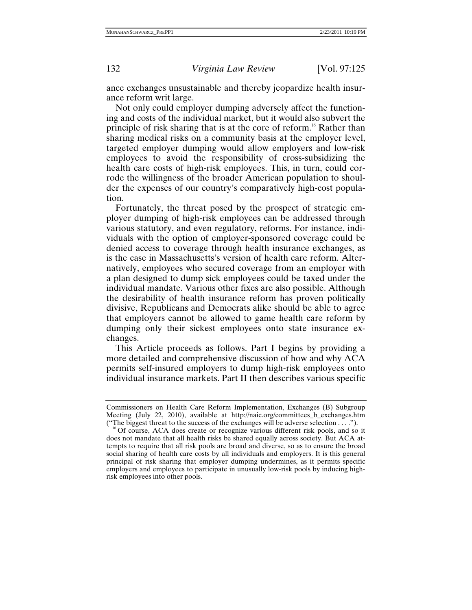ance exchanges unsustainable and thereby jeopardize health insurance reform writ large.

Not only could employer dumping adversely affect the functioning and costs of the individual market, but it would also subvert the principle of risk sharing that is at the core of reform.<sup>16</sup> Rather than sharing medical risks on a community basis at the employer level, targeted employer dumping would allow employers and low-risk employees to avoid the responsibility of cross-subsidizing the health care costs of high-risk employees. This, in turn, could corrode the willingness of the broader American population to shoulder the expenses of our country's comparatively high-cost population.

Fortunately, the threat posed by the prospect of strategic employer dumping of high-risk employees can be addressed through various statutory, and even regulatory, reforms. For instance, individuals with the option of employer-sponsored coverage could be denied access to coverage through health insurance exchanges, as is the case in Massachusetts's version of health care reform. Alternatively, employees who secured coverage from an employer with a plan designed to dump sick employees could be taxed under the individual mandate. Various other fixes are also possible. Although the desirability of health insurance reform has proven politically divisive, Republicans and Democrats alike should be able to agree that employers cannot be allowed to game health care reform by dumping only their sickest employees onto state insurance exchanges.

This Article proceeds as follows. Part I begins by providing a more detailed and comprehensive discussion of how and why ACA permits self-insured employers to dump high-risk employees onto individual insurance markets. Part II then describes various specific

Commissioners on Health Care Reform Implementation, Exchanges (B) Subgroup Meeting (July 22, 2010), available at http://naic.org/committees\_b\_exchanges.htm ("The biggest threat to the success of the exchanges will be adverse selection ....").

<sup>&</sup>lt;sup>16</sup> Of course, ACA does create or recognize various different risk pools, and so it does not mandate that all health risks be shared equally across society. But ACA attempts to require that all risk pools are broad and diverse, so as to ensure the broad social sharing of health care costs by all individuals and employers. It is this general principal of risk sharing that employer dumping undermines, as it permits specific employers and employees to participate in unusually low-risk pools by inducing highrisk employees into other pools.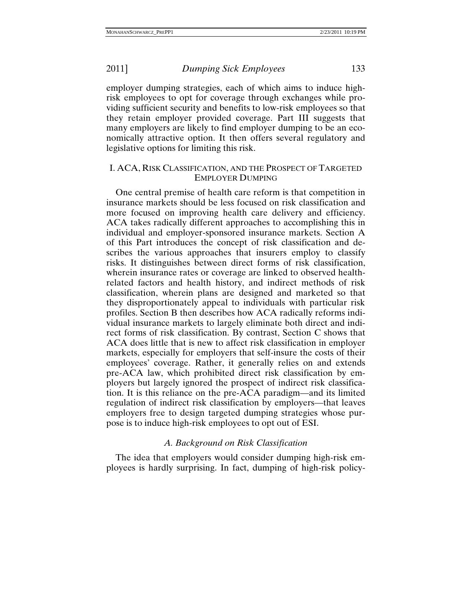employer dumping strategies, each of which aims to induce highrisk employees to opt for coverage through exchanges while providing sufficient security and benefits to low-risk employees so that they retain employer provided coverage. Part III suggests that many employers are likely to find employer dumping to be an economically attractive option. It then offers several regulatory and legislative options for limiting this risk.

# I. ACA, RISK CLASSIFICATION, AND THE PROSPECT OF TARGETED EMPLOYER DUMPING

One central premise of health care reform is that competition in insurance markets should be less focused on risk classification and more focused on improving health care delivery and efficiency. ACA takes radically different approaches to accomplishing this in individual and employer-sponsored insurance markets. Section A of this Part introduces the concept of risk classification and describes the various approaches that insurers employ to classify risks. It distinguishes between direct forms of risk classification, wherein insurance rates or coverage are linked to observed healthrelated factors and health history, and indirect methods of risk classification, wherein plans are designed and marketed so that they disproportionately appeal to individuals with particular risk profiles. Section B then describes how ACA radically reforms individual insurance markets to largely eliminate both direct and indirect forms of risk classification. By contrast, Section C shows that ACA does little that is new to affect risk classification in employer markets, especially for employers that self-insure the costs of their employees' coverage. Rather, it generally relies on and extends pre-ACA law, which prohibited direct risk classification by employers but largely ignored the prospect of indirect risk classification. It is this reliance on the pre-ACA paradigm—and its limited regulation of indirect risk classification by employers—that leaves employers free to design targeted dumping strategies whose purpose is to induce high-risk employees to opt out of ESI.

### *A. Background on Risk Classification*

The idea that employers would consider dumping high-risk employees is hardly surprising. In fact, dumping of high-risk policy-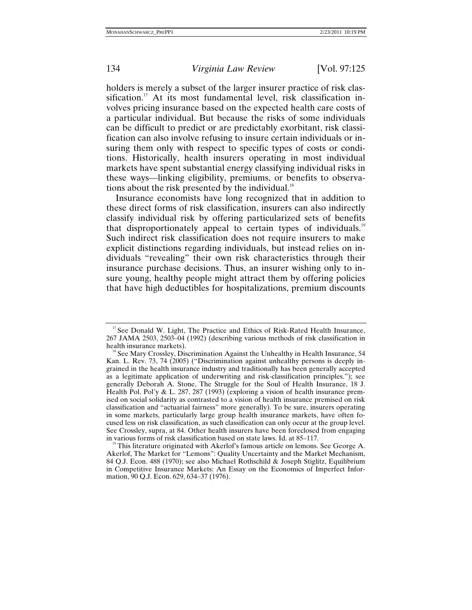holders is merely a subset of the larger insurer practice of risk classification.<sup>17</sup> At its most fundamental level, risk classification involves pricing insurance based on the expected health care costs of a particular individual. But because the risks of some individuals can be difficult to predict or are predictably exorbitant, risk classification can also involve refusing to insure certain individuals or insuring them only with respect to specific types of costs or conditions. Historically, health insurers operating in most individual markets have spent substantial energy classifying individual risks in these ways—linking eligibility, premiums, or benefits to observations about the risk presented by the individual. $18$ 

Insurance economists have long recognized that in addition to these direct forms of risk classification, insurers can also indirectly classify individual risk by offering particularized sets of benefits that disproportionately appeal to certain types of individuals.<sup>19</sup> Such indirect risk classification does not require insurers to make explicit distinctions regarding individuals, but instead relies on individuals "revealing" their own risk characteristics through their insurance purchase decisions. Thus, an insurer wishing only to insure young, healthy people might attract them by offering policies that have high deductibles for hospitalizations, premium discounts

 $17$  See Donald W. Light, The Practice and Ethics of Risk-Rated Health Insurance, 267 JAMA 2503, 2503–04 (1992) (describing various methods of risk classification in health insurance markets).<br><sup>18</sup> See Mary Crossley, Discrimination Against the Unhealthy in Health Insurance, 54

Kan. L. Rev. 73, 74 (2005) ("Discrimination against unhealthy persons is deeply ingrained in the health insurance industry and traditionally has been generally accepted as a legitimate application of underwriting and risk-classification principles."); see generally Deborah A. Stone, The Struggle for the Soul of Health Insurance, 18 J. Health Pol. Pol'y & L. 287, 287 (1993) (exploring a vision of health insurance premised on social solidarity as contrasted to a vision of health insurance premised on risk classification and "actuarial fairness" more generally). To be sure, insurers operating in some markets, particularly large group health insurance markets, have often focused less on risk classification, as such classification can only occur at the group level. See Crossley, supra, at 84. Other health insurers have been foreclosed from engaging

in various forms of risk classification based on state laws. Id. at 85–117.<br><sup>19</sup> This literature originated with Akerlof's famous article on lemons. See George A. Akerlof, The Market for "Lemons": Quality Uncertainty and the Market Mechanism, 84 Q.J. Econ. 488 (1970); see also Michael Rothschild & Joseph Stiglitz, Equilibrium in Competitive Insurance Markets: An Essay on the Economics of Imperfect Information, 90 Q.J. Econ. 629, 634–37 (1976).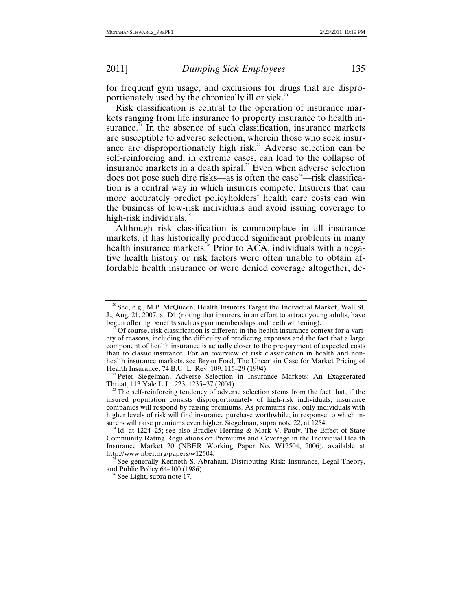for frequent gym usage, and exclusions for drugs that are disproportionately used by the chronically ill or sick.<sup>20</sup>

Risk classification is central to the operation of insurance markets ranging from life insurance to property insurance to health insurance.<sup>21</sup> In the absence of such classification, insurance markets are susceptible to adverse selection, wherein those who seek insurance are disproportionately high risk.<sup>22</sup> Adverse selection can be self-reinforcing and, in extreme cases, can lead to the collapse of insurance markets in a death spiral.<sup>23</sup> Even when adverse selection does not pose such dire risks—as is often the case<sup>24</sup>—risk classification is a central way in which insurers compete. Insurers that can more accurately predict policyholders' health care costs can win the business of low-risk individuals and avoid issuing coverage to high-risk individuals. $^{25}$ 

Although risk classification is commonplace in all insurance markets, it has historically produced significant problems in many health insurance markets.<sup>26</sup> Prior to ACA, individuals with a negative health history or risk factors were often unable to obtain affordable health insurance or were denied coverage altogether, de-

<sup>&</sup>lt;sup>20</sup> See, e.g., M.P. McQueen, Health Insurers Target the Individual Market, Wall St. J., Aug. 21, 2007, at D1 (noting that insurers, in an effort to attract young adults, have begun offering benefits such as gym memberships and teeth whitening).

Of course, risk classification is different in the health insurance context for a variety of reasons, including the difficulty of predicting expenses and the fact that a large component of health insurance is actually closer to the pre-payment of expected costs than to classic insurance. For an overview of risk classification in health and nonhealth insurance markets, see Bryan Ford, The Uncertain Case for Market Pricing of Health Insurance, 74 B.U. L. Rev. 109, 115–29 (1994).

<sup>&</sup>lt;sup>22</sup> Peter Siegelman, Adverse Selection in Insurance Markets: An Exaggerated Threat, 113 Yale L.J. 1223, 1235–37 (2004).

<sup>&</sup>lt;sup>23</sup> The self-reinforcing tendency of adverse selection stems from the fact that, if the insured population consists disproportionately of high-risk individuals, insurance companies will respond by raising premiums. As premiums rise, only individuals with higher levels of risk will find insurance purchase worthwhile, in response to which insurers will raise premiums even higher. Siegelman, supra note 22, at 1254.

<sup>&</sup>lt;sup>24</sup> Id. at 1224−25; see also Bradley Herring & Mark V. Pauly, The Effect of State Community Rating Regulations on Premiums and Coverage in the Individual Health Insurance Market 20 (NBER Working Paper No. W12504, 2006), available at

<sup>&</sup>lt;sup>25</sup> See generally Kenneth S. Abraham, Distributing Risk: Insurance, Legal Theory, and Public Policy 64–100 (1986).

 $6$  See Light, supra note 17.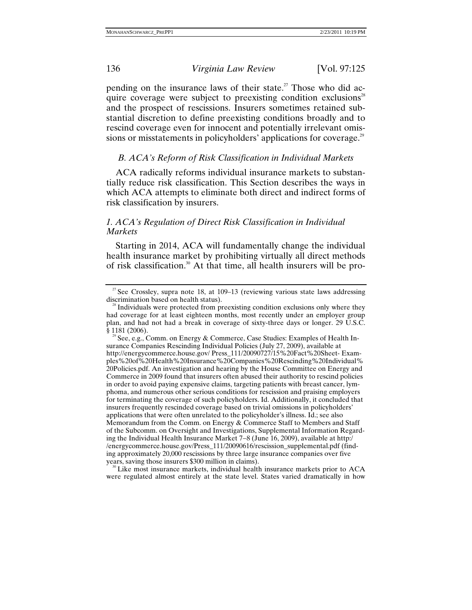pending on the insurance laws of their state.<sup>27</sup> Those who did acquire coverage were subject to preexisting condition exclusions<sup>28</sup> and the prospect of rescissions. Insurers sometimes retained substantial discretion to define preexisting conditions broadly and to rescind coverage even for innocent and potentially irrelevant omissions or misstatements in policyholders' applications for coverage.<sup>29</sup>

### *B. ACA's Reform of Risk Classification in Individual Markets*

ACA radically reforms individual insurance markets to substantially reduce risk classification. This Section describes the ways in which ACA attempts to eliminate both direct and indirect forms of risk classification by insurers.

# *1. ACA's Regulation of Direct Risk Classification in Individual Markets*

Starting in 2014, ACA will fundamentally change the individual health insurance market by prohibiting virtually all direct methods of risk classification.30 At that time, all health insurers will be pro-

 $\rm^{\circ}$  Like most insurance markets, individual health insurance markets prior to ACA were regulated almost entirely at the state level. States varied dramatically in how

<sup>&</sup>lt;sup>27</sup> See Crossley, supra note 18, at 109–13 (reviewing various state laws addressing discrimination based on health status).

 $\frac{1}{8}$  Individuals were protected from preexisting condition exclusions only where they had coverage for at least eighteen months, most recently under an employer group plan, and had not had a break in coverage of sixty-three days or longer. 29 U.S.C. § 1181 (2006).<br><sup>29</sup> See, e.g., Comm. on Energy & Commerce, Case Studies: Examples of Health In-

surance Companies Rescinding Individual Policies (July 27, 2009), available at http://energycommerce.house.gov/ Press\_111/20090727/15%20Fact%20Sheet- Examples%20of%20Health%20Insurance%20Companies%20Rescinding%20Individual% 20Policies.pdf. An investigation and hearing by the House Committee on Energy and Commerce in 2009 found that insurers often abused their authority to rescind policies in order to avoid paying expensive claims, targeting patients with breast cancer, lymphoma, and numerous other serious conditions for rescission and praising employers for terminating the coverage of such policyholders. Id. Additionally, it concluded that insurers frequently rescinded coverage based on trivial omissions in policyholders' applications that were often unrelated to the policyholder's illness. Id.; see also Memorandum from the Comm. on Energy & Commerce Staff to Members and Staff of the Subcomm. on Oversight and Investigations, Supplemental Information Regarding the Individual Health Insurance Market 7−8 (June 16, 2009), available at http:/ /energycommerce.house.gov/Press\_111/20090616/rescission\_supplemental.pdf (finding approximately 20,000 rescissions by three large insurance companies over five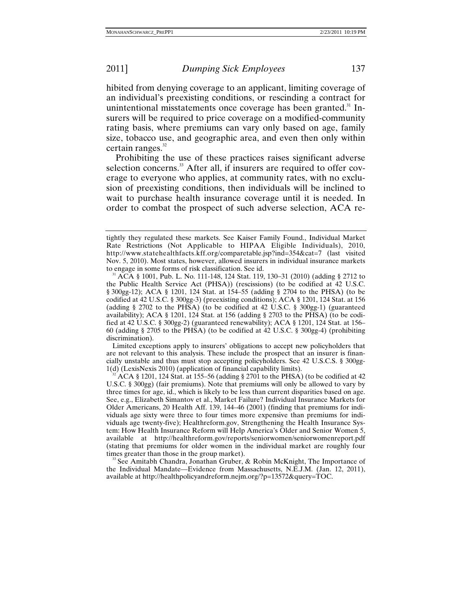hibited from denying coverage to an applicant, limiting coverage of an individual's preexisting conditions, or rescinding a contract for unintentional misstatements once coverage has been granted. $31$  Insurers will be required to price coverage on a modified-community rating basis, where premiums can vary only based on age, family size, tobacco use, and geographic area, and even then only within certain ranges. $32$ 

Prohibiting the use of these practices raises significant adverse selection concerns.<sup>33</sup> After all, if insurers are required to offer coverage to everyone who applies, at community rates, with no exclusion of preexisting conditions, then individuals will be inclined to wait to purchase health insurance coverage until it is needed. In order to combat the prospect of such adverse selection, ACA re-

 Limited exceptions apply to insurers' obligations to accept new policyholders that are not relevant to this analysis. These include the prospect that an insurer is financially unstable and thus must stop accepting policyholders. See 42 U.S.C.S. § 300gg-1(d) (LexisNexis 2010) (application of financial capability limits).<br><sup>32</sup> ACA § 1201, 124 Stat. at 155–56 (adding § 2701 to the PHSA) (to be codified at 42

U.S.C. § 300gg) (fair premiums). Note that premiums will only be allowed to vary by three times for age, id., which is likely to be less than current disparities based on age. See, e.g., Elizabeth Simantov et al., Market Failure? Individual Insurance Markets for Older Americans, 20 Health Aff. 139, 144–46 (2001) (finding that premiums for individuals age sixty were three to four times more expensive than premiums for individuals age twenty-five); Healthreform.gov, Strengthening the Health Insurance System: How Health Insurance Reform will Help America's Older and Senior Women 5, available at http://healthreform.gov/reports/seniorwomen/seniorwomenreport.pdf (stating that premiums for older women in the individual market are roughly four

<sup>33</sup> See Amitabh Chandra, Jonathan Gruber,  $\&$  Robin McKnight, The Importance of the Individual Mandate—Evidence from Massachusetts, N.E.J.M. (Jan. 12, 2011), available at http://healthpolicyandreform.nejm.org/?p=13572&query=TOC.

tightly they regulated these markets. See Kaiser Family Found., Individual Market Rate Restrictions (Not Applicable to HIPAA Eligible Individuals), 2010, http://www.statehealthfacts.kff.org/comparetable.jsp?ind=354&cat=7 (last visited Nov. 5, 2010). Most states, however, allowed insurers in individual insurance markets to engage in some forms of risk classification. See id.<br><sup>31</sup> ACA § 1001, Pub. L. No. 111-148, 124 Stat. 119, 130–31 (2010) (adding § 2712 to

the Public Health Service Act (PHSA)) (rescissions) (to be codified at 42 U.S.C. § 300gg-12); ACA § 1201, 124 Stat. at 154–55 (adding § 2704 to the PHSA) (to be codified at 42 U.S.C. § 300gg-3) (preexisting conditions); ACA § 1201, 124 Stat. at 156 (adding § 2702 to the PHSA) (to be codified at 42 U.S.C. § 300gg-1) (guaranteed availability); ACA § 1201, 124 Stat. at 156 (adding § 2703 to the PHSA) (to be codified at 42 U.S.C. § 300gg-2) (guaranteed renewability); ACA § 1201, 124 Stat. at 156– 60 (adding § 2705 to the PHSA) (to be codified at 42 U.S.C. § 300gg-4) (prohibiting discrimination).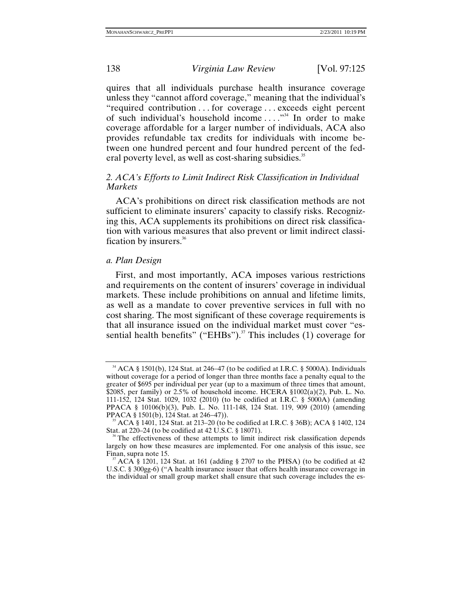quires that all individuals purchase health insurance coverage unless they "cannot afford coverage," meaning that the individual's "required contribution . . . for coverage . . . exceeds eight percent of such individual's household income . . . ."34 In order to make coverage affordable for a larger number of individuals, ACA also provides refundable tax credits for individuals with income between one hundred percent and four hundred percent of the federal poverty level, as well as cost-sharing subsidies.<sup>35</sup>

# *2. ACA's Efforts to Limit Indirect Risk Classification in Individual Markets*

ACA's prohibitions on direct risk classification methods are not sufficient to eliminate insurers' capacity to classify risks. Recognizing this, ACA supplements its prohibitions on direct risk classification with various measures that also prevent or limit indirect classification by insurers.<sup>36</sup>

### *a. Plan Design*

First, and most importantly, ACA imposes various restrictions and requirements on the content of insurers' coverage in individual markets. These include prohibitions on annual and lifetime limits, as well as a mandate to cover preventive services in full with no cost sharing. The most significant of these coverage requirements is that all insurance issued on the individual market must cover "essential health benefits" ("EHBs").<sup>37</sup> This includes (1) coverage for

<sup>&</sup>lt;sup>34</sup> ACA § 1501(b), 124 Stat. at 246–47 (to be codified at I.R.C. § 5000A). Individuals without coverage for a period of longer than three months face a penalty equal to the greater of \$695 per individual per year (up to a maximum of three times that amount, \$2085, per family) or 2.5% of household income. HCERA  $$1002(a)(2)$ , Pub. L. No. 111-152, 124 Stat. 1029, 1032 (2010) (to be codified at I.R.C. § 5000A) (amending PPACA § 10106(b)(3), Pub. L. No. 111-148, 124 Stat. 119, 909 (2010) (amending PPACA § 1501(b), 124 Stat. at 246–47)).

ACA § 1401, 124 Stat. at 213−20 (to be codified at I.R.C. § 36B); ACA § 1402, 124 Stat. at 220–24 (to be codified at 42 U.S.C. § 18071).<br><sup>36</sup> The effectiveness of these attempts to limit indirect risk classification depends

largely on how these measures are implemented. For one analysis of this issue, see Finan, supra note 15.  $\frac{37}{1201}$  ACA § 1201, 124 Stat. at 161 (adding § 2707 to the PHSA) (to be codified at 42

U.S.C. § 300gg-6) ("A health insurance issuer that offers health insurance coverage in the individual or small group market shall ensure that such coverage includes the es-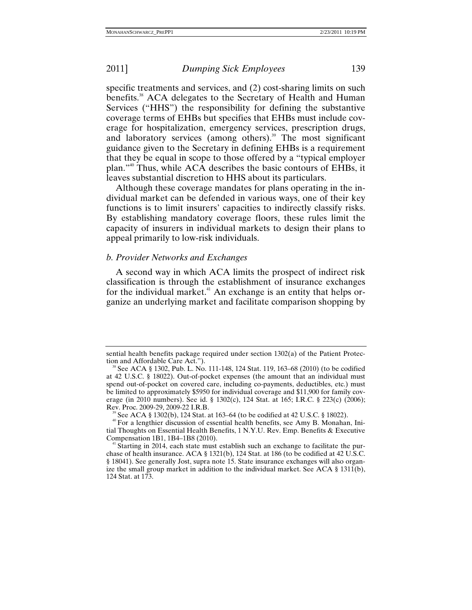specific treatments and services, and (2) cost-sharing limits on such benefits.<sup>38</sup> ACA delegates to the Secretary of Health and Human Services ("HHS") the responsibility for defining the substantive coverage terms of EHBs but specifies that EHBs must include coverage for hospitalization, emergency services, prescription drugs, and laboratory services (among others). $39$  The most significant guidance given to the Secretary in defining EHBs is a requirement that they be equal in scope to those offered by a "typical employer plan."40 Thus, while ACA describes the basic contours of EHBs, it leaves substantial discretion to HHS about its particulars.

Although these coverage mandates for plans operating in the individual market can be defended in various ways, one of their key functions is to limit insurers' capacities to indirectly classify risks. By establishing mandatory coverage floors, these rules limit the capacity of insurers in individual markets to design their plans to appeal primarily to low-risk individuals.

### *b. Provider Networks and Exchanges*

A second way in which ACA limits the prospect of indirect risk classification is through the establishment of insurance exchanges for the individual market. $41$  An exchange is an entity that helps organize an underlying market and facilitate comparison shopping by

<sup>39</sup> See ACA § 1302(b), 124 Stat. at 163–64 (to be codified at 42 U.S.C. § 18022).  $40^{\circ}$  For a lengthier discussion of essential health benefits, see Amy B. Monahan, Initial Thoughts on Essential Health Benefits, 1 N.Y.U. Rev. Emp. Benefits & Executive Compensation 1B1, 1B4–1B8 (2010).  $41$  Starting in 2014, each state must establish such an exchange to facilitate the pur-

sential health benefits package required under section 1302(a) of the Patient Protection and Affordable Care Act.").<br><sup>38</sup> See ACA § 1302, Pub. L. No. 111-148, 124 Stat. 119, 163–68 (2010) (to be codified

at 42 U.S.C. § 18022). Out-of-pocket expenses (the amount that an individual must spend out-of-pocket on covered care, including co-payments, deductibles, etc.) must be limited to approximately \$5950 for individual coverage and \$11,900 for family coverage (in 2010 numbers). See id. § 1302(c), 124 Stat. at 165; I.R.C. § 223(c) (2006); Rev. Proc. 2009-29, 2009-22 I.R.B.

chase of health insurance. ACA § 1321(b), 124 Stat. at 186 (to be codified at 42 U.S.C. § 18041). See generally Jost, supra note 15. State insurance exchanges will also organize the small group market in addition to the individual market. See ACA  $\S$  1311(b), 124 Stat. at 173.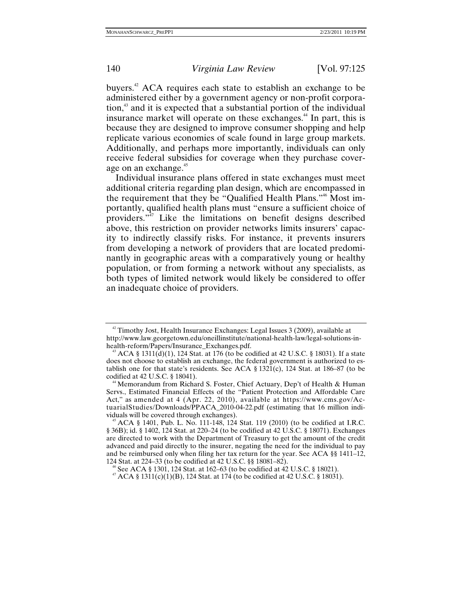buyers.42 ACA requires each state to establish an exchange to be administered either by a government agency or non-profit corporation,43 and it is expected that a substantial portion of the individual insurance market will operate on these exchanges.<sup>44</sup> In part, this is because they are designed to improve consumer shopping and help replicate various economies of scale found in large group markets. Additionally, and perhaps more importantly, individuals can only receive federal subsidies for coverage when they purchase coverage on an exchange.<sup>45</sup>

Individual insurance plans offered in state exchanges must meet additional criteria regarding plan design, which are encompassed in the requirement that they be "Qualified Health Plans."46 Most importantly, qualified health plans must "ensure a sufficient choice of providers."47 Like the limitations on benefit designs described above, this restriction on provider networks limits insurers' capacity to indirectly classify risks. For instance, it prevents insurers from developing a network of providers that are located predominantly in geographic areas with a comparatively young or healthy population, or from forming a network without any specialists, as both types of limited network would likely be considered to offer an inadequate choice of providers.

 $42$  Timothy Jost, Health Insurance Exchanges: Legal Issues 3 (2009), available at http://www.law.georgetown.edu/oneillinstitute/national-health-law/legal-solutions-in-

ACA §  $1311(d)(1)$ , 124 Stat. at 176 (to be codified at 42 U.S.C. § 18031). If a state does not choose to establish an exchange, the federal government is authorized to establish one for that state's residents. See ACA §  $1321(c)$ ,  $124$  Stat. at  $186-87$  (to be codified at 42 U.S.C. §  $18041$ ).

<sup>&</sup>lt;sup>44</sup> Memorandum from Richard S. Foster, Chief Actuary, Dep't of Health & Human Servs., Estimated Financial Effects of the "Patient Protection and Affordable Care Act," as amended at 4 (Apr. 22, 2010), available at https://www.cms.gov/ActuarialStudies/Downloads/PPACA\_2010-04-22.pdf (estimating that 16 million individuals will be covered through exchanges).

ACA § 1401, Pub. L. No. 111-148, 124 Stat. 119 (2010) (to be codified at I.R.C. § 36B); id. § 1402, 124 Stat. at 220–24 (to be codified at 42 U.S.C. § 18071). Exchanges are directed to work with the Department of Treasury to get the amount of the credit advanced and paid directly to the insurer, negating the need for the individual to pay and be reimbursed only when filing her tax return for the year. See ACA §§ 1411–12, 124 Stat. at 224–33 (to be codified at 42 U.S.C. §§ 18081–82).

<sup>&</sup>lt;sup>46</sup> See ACA § 1301, 124 Stat. at 162–63 (to be codified at 42 U.S.C. § 18021).  $4^{47}$  ACA § 1311(c)(1)(B), 124 Stat. at 174 (to be codified at 42 U.S.C. § 18031).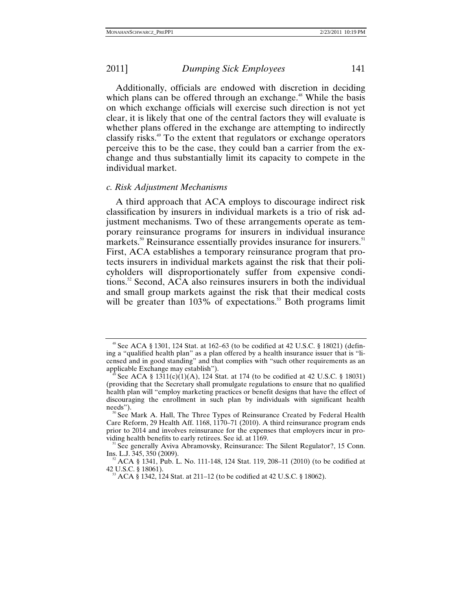Additionally, officials are endowed with discretion in deciding which plans can be offered through an exchange.<sup>48</sup> While the basis on which exchange officials will exercise such direction is not yet clear, it is likely that one of the central factors they will evaluate is whether plans offered in the exchange are attempting to indirectly classify risks.49 To the extent that regulators or exchange operators perceive this to be the case, they could ban a carrier from the exchange and thus substantially limit its capacity to compete in the individual market.

### *c. Risk Adjustment Mechanisms*

A third approach that ACA employs to discourage indirect risk classification by insurers in individual markets is a trio of risk adjustment mechanisms. Two of these arrangements operate as temporary reinsurance programs for insurers in individual insurance markets.<sup>50</sup> Reinsurance essentially provides insurance for insurers.<sup>51</sup> First, ACA establishes a temporary reinsurance program that protects insurers in individual markets against the risk that their policyholders will disproportionately suffer from expensive conditions.52 Second, ACA also reinsures insurers in both the individual and small group markets against the risk that their medical costs will be greater than  $103\%$  of expectations.<sup>53</sup> Both programs limit

<sup>&</sup>lt;sup>48</sup> See ACA § 1301, 124 Stat. at 162–63 (to be codified at 42 U.S.C. § 18021) (defining a "qualified health plan" as a plan offered by a health insurance issuer that is "licensed and in good standing" and that complies with "such other requirements as an

See ACA §  $1311(c)(1)(A)$ , 124 Stat. at 174 (to be codified at 42 U.S.C. § 18031) (providing that the Secretary shall promulgate regulations to ensure that no qualified health plan will "employ marketing practices or benefit designs that have the effect of discouraging the enrollment in such plan by individuals with significant health needs").

See Mark A. Hall, The Three Types of Reinsurance Created by Federal Health Care Reform, 29 Health Aff. 1168, 1170–71 (2010). A third reinsurance program ends prior to 2014 and involves reinsurance for the expenses that employers incur in pro-

viding health benefits to early retirees. See id. at 1169.<br><sup>51</sup> See generally Aviva Abramovsky, Reinsurance: The Silent Regulator?, 15 Conn.<br>Ins. L.J. 345, 350 (2009).

<sup>&</sup>lt;sup>52</sup> ACA § 1341, Pub. L. No. 111-148, 124 Stat. 119, 208–11 (2010) (to be codified at 42 U.S.C. § 18061).

 $^{3}$  ACA § 1342, 124 Stat. at 211–12 (to be codified at 42 U.S.C. § 18062).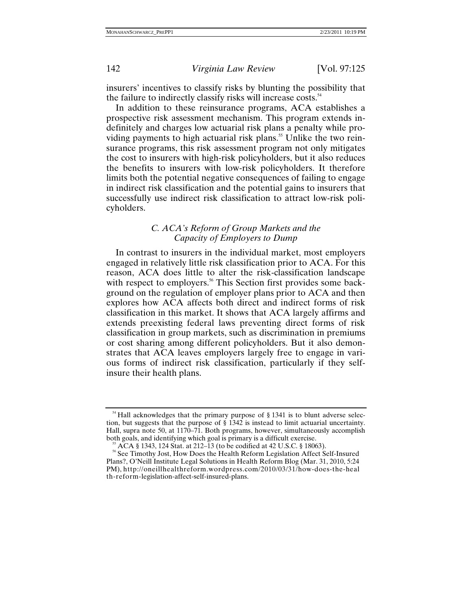insurers' incentives to classify risks by blunting the possibility that the failure to indirectly classify risks will increase costs.<sup>54</sup>

In addition to these reinsurance programs, ACA establishes a prospective risk assessment mechanism. This program extends indefinitely and charges low actuarial risk plans a penalty while providing payments to high actuarial risk plans.<sup>55</sup> Unlike the two reinsurance programs, this risk assessment program not only mitigates the cost to insurers with high-risk policyholders, but it also reduces the benefits to insurers with low-risk policyholders. It therefore limits both the potential negative consequences of failing to engage in indirect risk classification and the potential gains to insurers that successfully use indirect risk classification to attract low-risk policyholders.

# *C. ACA's Reform of Group Markets and the Capacity of Employers to Dump*

In contrast to insurers in the individual market, most employers engaged in relatively little risk classification prior to ACA. For this reason, ACA does little to alter the risk-classification landscape with respect to employers.<sup>56</sup> This Section first provides some background on the regulation of employer plans prior to ACA and then explores how ACA affects both direct and indirect forms of risk classification in this market. It shows that ACA largely affirms and extends preexisting federal laws preventing direct forms of risk classification in group markets, such as discrimination in premiums or cost sharing among different policyholders. But it also demonstrates that ACA leaves employers largely free to engage in various forms of indirect risk classification, particularly if they selfinsure their health plans.

<sup>&</sup>lt;sup>54</sup> Hall acknowledges that the primary purpose of § 1341 is to blunt adverse selection, but suggests that the purpose of § 1342 is instead to limit actuarial uncertainty. Hall, supra note 50, at 1170–71. Both programs, however, simultaneously accomplish

<sup>&</sup>lt;sup>55</sup> ACA § 1343, 124 Stat. at 212–13 (to be codified at 42 U.S.C. § 18063).<br><sup>56</sup> See Timothy Jost, How Does the Health Reform Legislation Affect Self-Insured Plans?, O'Neill Institute Legal Solutions in Health Reform Blog (Mar. 31, 2010, 5:24 PM), http://oneillhealthreform.wordpress.com/2010/03/31/how-does-the-heal th-reform-legislation-affect-self-insured-plans.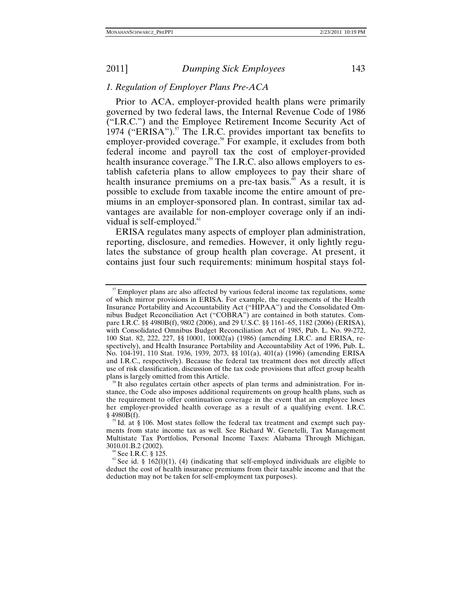### *1. Regulation of Employer Plans Pre-ACA*

Prior to ACA, employer-provided health plans were primarily governed by two federal laws, the Internal Revenue Code of 1986 ("I.R.C.") and the Employee Retirement Income Security Act of 1974 ("ERISA"). $57$  The I.R.C. provides important tax benefits to employer-provided coverage.<sup>58</sup> For example, it excludes from both federal income and payroll tax the cost of employer-provided health insurance coverage.<sup>59</sup> The I.R.C. also allows employers to establish cafeteria plans to allow employees to pay their share of health insurance premiums on a pre-tax basis.<sup>60</sup> As a result, it is possible to exclude from taxable income the entire amount of premiums in an employer-sponsored plan. In contrast, similar tax advantages are available for non-employer coverage only if an individual is self-employed. $61$ 

ERISA regulates many aspects of employer plan administration, reporting, disclosure, and remedies. However, it only lightly regulates the substance of group health plan coverage. At present, it contains just four such requirements: minimum hospital stays fol-

<sup>&</sup>lt;sup>57</sup> Employer plans are also affected by various federal income tax regulations, some of which mirror provisions in ERISA. For example, the requirements of the Health Insurance Portability and Accountability Act ("HIPAA") and the Consolidated Omnibus Budget Reconciliation Act ("COBRA") are contained in both statutes. Compare I.R.C. §§ 4980B(f), 9802 (2006), and 29 U.S.C. §§ 1161–65, 1182 (2006) (ERISA), with Consolidated Omnibus Budget Reconciliation Act of 1985, Pub. L. No. 99-272, 100 Stat. 82, 222, 227, §§ 10001, 10002(a) (1986) (amending I.R.C. and ERISA, respectively), and Health Insurance Portability and Accountability Act of 1996, Pub. L. No. 104-191, 110 Stat. 1936, 1939, 2073, §§ 101(a), 401(a) (1996) (amending ERISA and I.R.C., respectively). Because the federal tax treatment does not directly affect use of risk classification, discussion of the tax code provisions that affect group health

 $\frac{1}{8}$  It also regulates certain other aspects of plan terms and administration. For instance, the Code also imposes additional requirements on group health plans, such as the requirement to offer continuation coverage in the event that an employee loses her employer-provided health coverage as a result of a qualifying event. I.R.C. § 4980B(f).

 $\degree$ Id. at § 106. Most states follow the federal tax treatment and exempt such payments from state income tax as well. See Richard W. Genetelli, Tax Management Multistate Tax Portfolios, Personal Income Taxes: Alabama Through Michigan,

<sup>&</sup>lt;sup>60</sup> See I.R.C. § 125. **61**  $\leq$  61.8 (1)(1), (4) (indicating that self-employed individuals are eligible to deduct the cost of health insurance premiums from their taxable income and that the deduction may not be taken for self-employment tax purposes).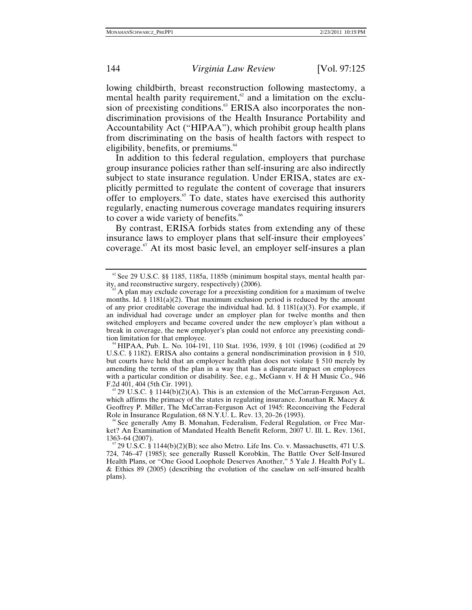lowing childbirth, breast reconstruction following mastectomy, a mental health parity requirement, $62$  and a limitation on the exclusion of preexisting conditions.<sup>63</sup> ERISA also incorporates the nondiscrimination provisions of the Health Insurance Portability and Accountability Act ("HIPAA"), which prohibit group health plans from discriminating on the basis of health factors with respect to eligibility, benefits, or premiums.<sup>64</sup>

In addition to this federal regulation, employers that purchase group insurance policies rather than self-insuring are also indirectly subject to state insurance regulation. Under ERISA, states are explicitly permitted to regulate the content of coverage that insurers offer to employers.65 To date, states have exercised this authority regularly, enacting numerous coverage mandates requiring insurers to cover a wide variety of benefits.<sup>66</sup>

By contrast, ERISA forbids states from extending any of these insurance laws to employer plans that self-insure their employees' coverage.<sup>67</sup> At its most basic level, an employer self-insures a plan

which affirms the primacy of the states in regulating insurance. Jonathan R. Macey & Geoffrey P. Miller, The McCarran-Ferguson Act of 1945: Reconceiving the Federal Role in Insurance Regulation, 68 N.Y.U. L. Rev. 13, 20–26 (1993).

<sup>&</sup>lt;sup>62</sup> See 29 U.S.C. §§ 1185, 1185a, 1185b (minimum hospital stays, mental health par-<br>ity, and reconstructive surgery, respectively) (2006).

A plan may exclude coverage for a preexisting condition for a maximum of twelve months. Id.  $\S$  1181(a)(2). That maximum exclusion period is reduced by the amount of any prior creditable coverage the individual had. Id. § 1181(a)(3). For example, if an individual had coverage under an employer plan for twelve months and then switched employers and became covered under the new employer's plan without a break in coverage, the new employer's plan could not enforce any preexisting condi-

tion limitation for that employee. 64 HIPAA, Pub. L. No. 104-191, 110 Stat. 1936, 1939, § 101 (1996) (codified at 29 U.S.C. § 1182). ERISA also contains a general nondiscrimination provision in § 510, but courts have held that an employer health plan does not violate § 510 merely by amending the terms of the plan in a way that has a disparate impact on employees with a particular condition or disability. See, e.g., McGann v. H & H Music Co., 946 F.2d 401, 404 (5th Cir. 1991).  $\frac{65}{2}$  U.S.C. § 1144(b)(2)(A). This is an extension of the McCarran-Ferguson Act,

See generally Amy B. Monahan, Federalism, Federal Regulation, or Free Market? An Examination of Mandated Health Benefit Reform, 2007 U. Ill. L. Rev. 1361, 1363–64 (2007).<br><sup>67</sup> 29 U.S.C. § 1144(b)(2)(B); see also Metro. Life Ins. Co. v. Massachusetts, 471 U.S.

<sup>724, 746–47 (1985);</sup> see generally Russell Korobkin, The Battle Over Self-Insured Health Plans, or "One Good Loophole Deserves Another," 5 Yale J. Health Pol'y L. & Ethics 89 (2005) (describing the evolution of the caselaw on self-insured health plans).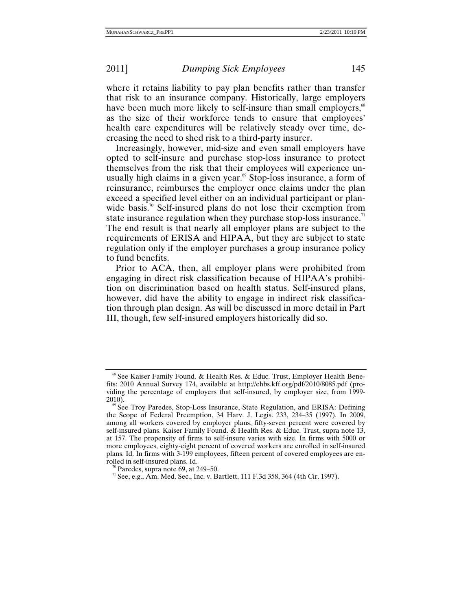where it retains liability to pay plan benefits rather than transfer that risk to an insurance company. Historically, large employers have been much more likely to self-insure than small employers,<sup>68</sup> as the size of their workforce tends to ensure that employees' health care expenditures will be relatively steady over time, decreasing the need to shed risk to a third-party insurer.

Increasingly, however, mid-size and even small employers have opted to self-insure and purchase stop-loss insurance to protect themselves from the risk that their employees will experience unusually high claims in a given year.<sup>69</sup> Stop-loss insurance, a form of reinsurance, reimburses the employer once claims under the plan exceed a specified level either on an individual participant or planwide basis.<sup>70</sup> Self-insured plans do not lose their exemption from state insurance regulation when they purchase stop-loss insurance.<sup> $\pi$ </sup> The end result is that nearly all employer plans are subject to the requirements of ERISA and HIPAA, but they are subject to state regulation only if the employer purchases a group insurance policy to fund benefits.

Prior to ACA, then, all employer plans were prohibited from engaging in direct risk classification because of HIPAA's prohibition on discrimination based on health status. Self-insured plans, however, did have the ability to engage in indirect risk classification through plan design. As will be discussed in more detail in Part III, though, few self-insured employers historically did so.

<sup>&</sup>lt;sup>68</sup> See Kaiser Family Found. & Health Res. & Educ. Trust, Employer Health Benefits: 2010 Annual Survey 174, available at http://ehbs.kff.org/pdf/2010/8085.pdf (providing the percentage of employers that self-insured, by employer size, from 1999- 2010).<br><sup>69</sup> See Troy Paredes, Stop-Loss Insurance, State Regulation, and ERISA: Defining

the Scope of Federal Preemption, 34 Harv. J. Legis. 233, 234–35 (1997). In 2009, among all workers covered by employer plans, fifty-seven percent were covered by self-insured plans. Kaiser Family Found. & Health Res. & Educ. Trust, supra note 13, at 157. The propensity of firms to self-insure varies with size. In firms with 5000 or more employees, eighty-eight percent of covered workers are enrolled in self-insured plans. Id. In firms with 3-199 employees, fifteen percent of covered employees are enrolled in self-insured plans. Id.

<sup>&</sup>lt;sup>70</sup> Paredes, supra note 69, at 249–50.<br><sup>71</sup> See, e.g., Am. Med. Sec., Inc. v. Bartlett, 111 F.3d 358, 364 (4th Cir. 1997).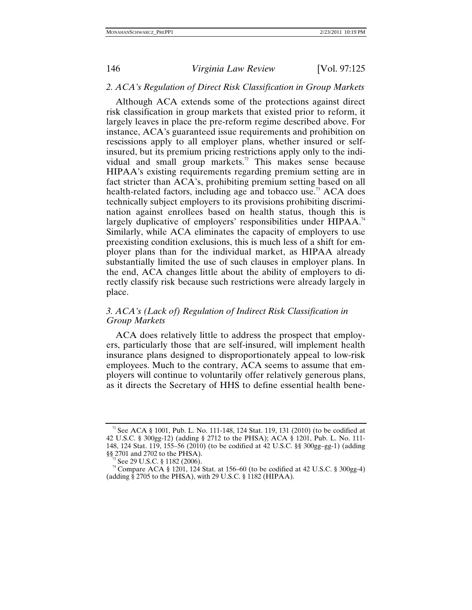# *2. ACA's Regulation of Direct Risk Classification in Group Markets*

Although ACA extends some of the protections against direct risk classification in group markets that existed prior to reform, it largely leaves in place the pre-reform regime described above. For instance, ACA's guaranteed issue requirements and prohibition on rescissions apply to all employer plans, whether insured or selfinsured, but its premium pricing restrictions apply only to the individual and small group markets.<sup>72</sup> This makes sense because HIPAA's existing requirements regarding premium setting are in fact stricter than ACA's, prohibiting premium setting based on all health-related factors, including age and tobacco use.<sup>73</sup> ACA does technically subject employers to its provisions prohibiting discrimination against enrollees based on health status, though this is largely duplicative of employers' responsibilities under HIPAA.<sup>74</sup> Similarly, while ACA eliminates the capacity of employers to use preexisting condition exclusions, this is much less of a shift for employer plans than for the individual market, as HIPAA already substantially limited the use of such clauses in employer plans. In the end, ACA changes little about the ability of employers to directly classify risk because such restrictions were already largely in place.

# *3. ACA's (Lack of) Regulation of Indirect Risk Classification in Group Markets*

ACA does relatively little to address the prospect that employers, particularly those that are self-insured, will implement health insurance plans designed to disproportionately appeal to low-risk employees. Much to the contrary, ACA seems to assume that employers will continue to voluntarily offer relatively generous plans, as it directs the Secretary of HHS to define essential health bene-

<sup>&</sup>lt;sup>72</sup> See ACA § 1001, Pub. L. No. 111-148, 124 Stat. 119, 131 (2010) (to be codified at 42 U.S.C. § 300gg-12) (adding § 2712 to the PHSA); ACA § 1201, Pub. L. No. 111- 148, 124 Stat. 119, 155–56 (2010) (to be codified at 42 U.S.C. §§ 300gg–gg-1) (adding

<sup>&</sup>lt;sup>73</sup> See 29 U.S.C. § 1182 (2006).<br><sup>74</sup> Compare ACA § 1201, 124 Stat. at 156–60 (to be codified at 42 U.S.C. § 300gg-4) (adding § 2705 to the PHSA), with 29 U.S.C. § 1182 (HIPAA).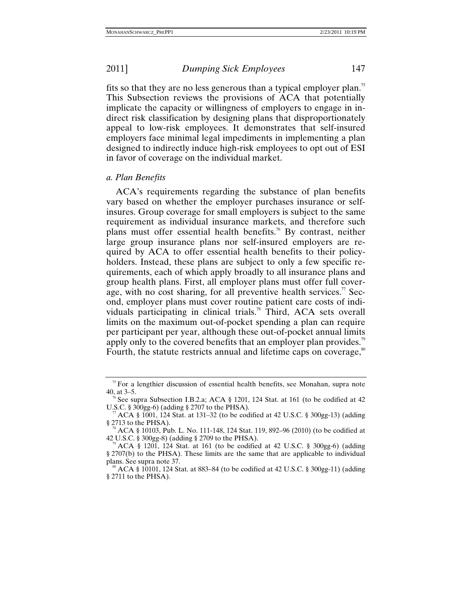fits so that they are no less generous than a typical employer plan.<sup>75</sup> This Subsection reviews the provisions of ACA that potentially implicate the capacity or willingness of employers to engage in indirect risk classification by designing plans that disproportionately appeal to low-risk employees. It demonstrates that self-insured employers face minimal legal impediments in implementing a plan designed to indirectly induce high-risk employees to opt out of ESI in favor of coverage on the individual market.

# *a. Plan Benefits*

ACA's requirements regarding the substance of plan benefits vary based on whether the employer purchases insurance or selfinsures. Group coverage for small employers is subject to the same requirement as individual insurance markets, and therefore such plans must offer essential health benefits.<sup>76</sup> By contrast, neither large group insurance plans nor self-insured employers are required by ACA to offer essential health benefits to their policyholders. Instead, these plans are subject to only a few specific requirements, each of which apply broadly to all insurance plans and group health plans. First, all employer plans must offer full coverage, with no cost sharing, for all preventive health services.<sup>77</sup> Second, employer plans must cover routine patient care costs of individuals participating in clinical trials.<sup>78</sup> Third, ACA sets overall limits on the maximum out-of-pocket spending a plan can require per participant per year, although these out-of-pocket annual limits apply only to the covered benefits that an employer plan provides.<sup>79</sup> Fourth, the statute restricts annual and lifetime caps on coverage,<sup>80</sup>

<sup>&</sup>lt;sup>75</sup> For a lengthier discussion of essential health benefits, see Monahan, supra note 40, at  $3-5$ .

<sup>&</sup>lt;sup>76</sup> See supra Subsection I.B.2.a; ACA § 1201, 124 Stat. at 161 (to be codified at 42 U.S.C. § 300gg-6) (adding § 2707 to the PHSA).

 $\frac{17}{12}$  ACA § 1001, 124 Stat. at 131–32 (to be codified at 42 U.S.C. § 300gg-13) (adding § 2713 to the PHSA).

<sup>&</sup>lt;sup>78</sup> ACA § 10103, Pub. L. No. 111-148, 124 Stat. 119, 892–96 (2010) (to be codified at 42 U.S.C. § 300gg-8) (adding § 2709 to the PHSA).<br><sup>79</sup> ACA § 1201, 124 Stat. at 161 (to be codified at 42 U.S.C. § 300gg-6) (adding

<sup>§ 2707(</sup>b) to the PHSA). These limits are the same that are applicable to individual

ACA § 10101, 124 Stat. at 883–84 (to be codified at 42 U.S.C. § 300gg-11) (adding § 2711 to the PHSA).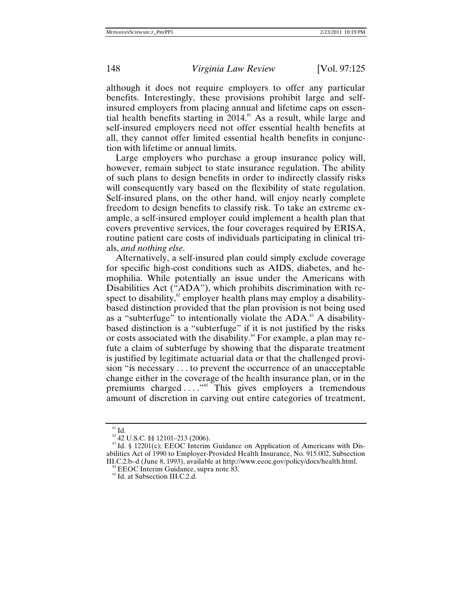although it does not require employers to offer any particular benefits. Interestingly, these provisions prohibit large and selfinsured employers from placing annual and lifetime caps on essential health benefits starting in 2014.<sup>81</sup> As a result, while large and self-insured employers need not offer essential health benefits at all, they cannot offer limited essential health benefits in conjunction with lifetime or annual limits.

Large employers who purchase a group insurance policy will, however, remain subject to state insurance regulation. The ability of such plans to design benefits in order to indirectly classify risks will consequently vary based on the flexibility of state regulation. Self-insured plans, on the other hand, will enjoy nearly complete freedom to design benefits to classify risk. To take an extreme example, a self-insured employer could implement a health plan that covers preventive services, the four coverages required by ERISA, routine patient care costs of individuals participating in clinical trials, *and nothing else*.

Alternatively, a self-insured plan could simply exclude coverage for specific high-cost conditions such as AIDS, diabetes, and hemophilia. While potentially an issue under the Americans with Disabilities Act ("ADA"), which prohibits discrimination with respect to disability, $\frac{82}{3}$  employer health plans may employ a disabilitybased distinction provided that the plan provision is not being used as a "subterfuge" to intentionally violate the ADA.<sup>83</sup> A disabilitybased distinction is a "subterfuge" if it is not justified by the risks or costs associated with the disability.<sup>84</sup> For example, a plan may refute a claim of subterfuge by showing that the disparate treatment is justified by legitimate actuarial data or that the challenged provision "is necessary . . . to prevent the occurrence of an unacceptable change either in the coverage of the health insurance plan, or in the premiums charged . . . ."85 This gives employers a tremendous amount of discretion in carving out entire categories of treatment,

<sup>&</sup>lt;sup>81</sup> Id.<br><sup>82</sup> 42 U.S.C. §§ 12101–213 (2006).<br><sup>83</sup> Id. § 12201(c); EEOC Interim Guidance on Application of Americans with Disabilities Act of 1990 to Employer-Provided Health Insurance, No. 915.002, Subsection III.C.2.b–d (June 8, 1993), available at http://www.eeoc.gov/policy/docs/health.html. <sup>84</sup> EEOC Interim Guidance, supra note 83. <sup>85</sup> Id. at Subsection III.C.2.d.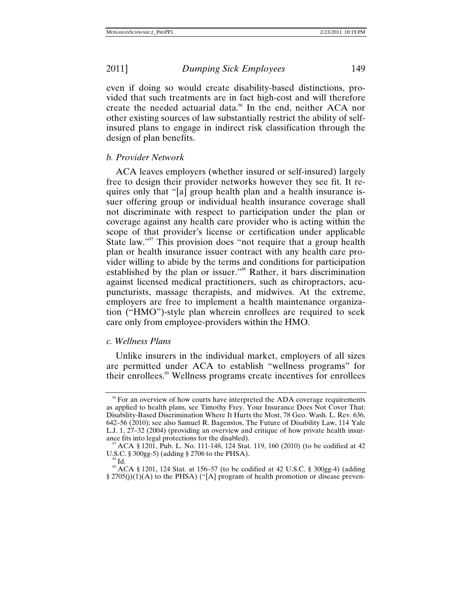even if doing so would create disability-based distinctions, provided that such treatments are in fact high-cost and will therefore create the needed actuarial data.<sup>86</sup> In the end, neither ACA nor other existing sources of law substantially restrict the ability of selfinsured plans to engage in indirect risk classification through the design of plan benefits.

# *b. Provider Network*

ACA leaves employers (whether insured or self-insured) largely free to design their provider networks however they see fit. It requires only that "[a] group health plan and a health insurance issuer offering group or individual health insurance coverage shall not discriminate with respect to participation under the plan or coverage against any health care provider who is acting within the scope of that provider's license or certification under applicable State law."<sup>87</sup> This provision does "not require that a group health" plan or health insurance issuer contract with any health care provider willing to abide by the terms and conditions for participation established by the plan or issuer."<sup>88</sup> Rather, it bars discrimination against licensed medical practitioners, such as chiropractors, acupuncturists, massage therapists, and midwives. At the extreme, employers are free to implement a health maintenance organization ("HMO")-style plan wherein enrollees are required to seek care only from employee-providers within the HMO.

### *c. Wellness Plans*

Unlike insurers in the individual market, employers of all sizes are permitted under ACA to establish "wellness programs" for their enrollees.<sup>89</sup> Wellness programs create incentives for enrollees

<sup>&</sup>lt;sup>86</sup> For an overview of how courts have interpreted the ADA coverage requirements as applied to health plans, see Timothy Frey, Your Insurance Does Not Cover That: Disability-Based Discrimination Where It Hurts the Most, 78 Geo. Wash. L. Rev. 636, 642–56 (2010); see also Samuel R. Bagenstos, The Future of Disability Law, 114 Yale L.J. 1, 27–32 (2004) (providing an overview and critique of how private health insur-

ance fits into legal protections for the disabled).<br><sup>87</sup> ACA § 1201, Pub. L. No. 111-148, 124 Stat. 119, 160 (2010) (to be codified at 42<br>U.S.C. § 300gg-5) (adding § 2706 to the PHSA).

 $^{88}$  Id.<br> $^{89}$  ACA § 1201, 124 Stat. at 156–57 (to be codified at 42 U.S.C. § 300gg-4) (adding § 2705(j)(1)(A) to the PHSA) ("[A] program of health promotion or disease preven-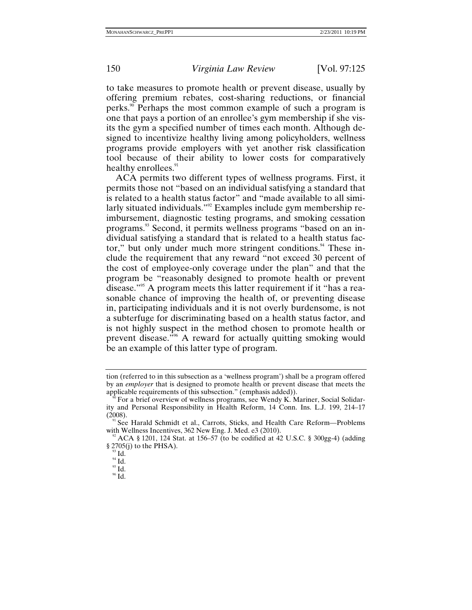to take measures to promote health or prevent disease, usually by offering premium rebates, cost-sharing reductions, or financial perks.<sup>90</sup> Perhaps the most common example of such a program is one that pays a portion of an enrollee's gym membership if she visits the gym a specified number of times each month. Although designed to incentivize healthy living among policyholders, wellness programs provide employers with yet another risk classification tool because of their ability to lower costs for comparatively healthy enrollees.<sup>91</sup>

ACA permits two different types of wellness programs. First, it permits those not "based on an individual satisfying a standard that is related to a health status factor" and "made available to all similarly situated individuals."<sup>92</sup> Examples include gym membership reimbursement, diagnostic testing programs, and smoking cessation programs.93 Second, it permits wellness programs "based on an individual satisfying a standard that is related to a health status factor," but only under much more stringent conditions.<sup>94</sup> These include the requirement that any reward "not exceed 30 percent of the cost of employee-only coverage under the plan" and that the program be "reasonably designed to promote health or prevent disease."95 A program meets this latter requirement if it "has a reasonable chance of improving the health of, or preventing disease in, participating individuals and it is not overly burdensome, is not a subterfuge for discriminating based on a health status factor, and is not highly suspect in the method chosen to promote health or prevent disease."96 A reward for actually quitting smoking would be an example of this latter type of program.

tion (referred to in this subsection as a 'wellness program') shall be a program offered by an *employer* that is designed to promote health or prevent disease that meets the applicable requirements of this subsection." (emphasis added)). <sup>90</sup> For a brief overview of wellness programs, see Wendy K. Mariner, Social Solidar-

ity and Personal Responsibility in Health Reform, 14 Conn. Ins. L.J. 199, 214–17

See Harald Schmidt et al., Carrots, Sticks, and Health Care Reform-Problems with Wellness Incentives, 362 New Eng. J. Med. e3 (2010).<br><sup>92</sup> ACA § 1201, 124 Stat. at 156–57 (to be codified at 42 U.S.C. § 300gg-4) (adding

<sup>§ 2705(</sup>j) to the PHSA).<br><sup>93</sup> Id.<br><sup>95</sup> Id.<br><sup>96</sup> Id.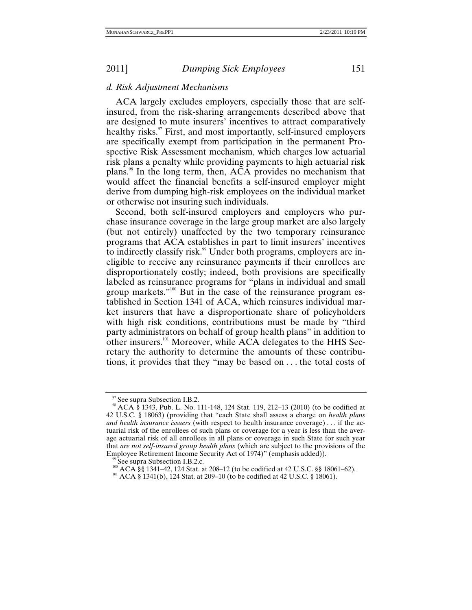### *d. Risk Adjustment Mechanisms*

ACA largely excludes employers, especially those that are selfinsured, from the risk-sharing arrangements described above that are designed to mute insurers' incentives to attract comparatively healthy risks.<sup>97</sup> First, and most importantly, self-insured employers are specifically exempt from participation in the permanent Prospective Risk Assessment mechanism, which charges low actuarial risk plans a penalty while providing payments to high actuarial risk plans.98 In the long term, then, ACA provides no mechanism that would affect the financial benefits a self-insured employer might derive from dumping high-risk employees on the individual market or otherwise not insuring such individuals.

Second, both self-insured employers and employers who purchase insurance coverage in the large group market are also largely (but not entirely) unaffected by the two temporary reinsurance programs that ACA establishes in part to limit insurers' incentives to indirectly classify risk.<sup>99</sup> Under both programs, employers are ineligible to receive any reinsurance payments if their enrollees are disproportionately costly; indeed, both provisions are specifically labeled as reinsurance programs for "plans in individual and small group markets."<sup>100</sup> But in the case of the reinsurance program established in Section 1341 of ACA, which reinsures individual market insurers that have a disproportionate share of policyholders with high risk conditions, contributions must be made by "third party administrators on behalf of group health plans" in addition to other insurers.101 Moreover, while ACA delegates to the HHS Secretary the authority to determine the amounts of these contributions, it provides that they "may be based on . . . the total costs of

<sup>&</sup>lt;sup>97</sup> See supra Subsection I.B.2.<br><sup>98</sup> ACA § 1343, Pub. L. No. 111-148, 124 Stat. 119, 212–13 (2010) (to be codified at 42 U.S.C. § 18063) (providing that "each State shall assess a charge on *health plans and health insurance issuers* (with respect to health insurance coverage) . . . if the actuarial risk of the enrollees of such plans or coverage for a year is less than the average actuarial risk of all enrollees in all plans or coverage in such State for such year that *are not self-insured group health plans* (which are subject to the provisions of the

<sup>&</sup>lt;sup>99</sup> See supra Subsection I.B.2.c.<br><sup>100</sup> ACA §§ 1341–42, 124 Stat. at 208–12 (to be codified at 42 U.S.C. §§ 18061–62).<br><sup>101</sup> ACA § 1341(b), 124 Stat. at 209–10 (to be codified at 42 U.S.C. § 18061).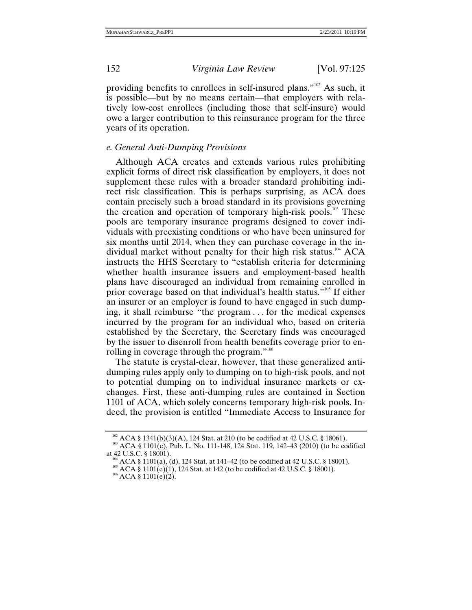providing benefits to enrollees in self-insured plans."102 As such, it is possible—but by no means certain—that employers with relatively low-cost enrollees (including those that self-insure) would owe a larger contribution to this reinsurance program for the three years of its operation.

# *e. General Anti-Dumping Provisions*

Although ACA creates and extends various rules prohibiting explicit forms of direct risk classification by employers, it does not supplement these rules with a broader standard prohibiting indirect risk classification. This is perhaps surprising, as ACA does contain precisely such a broad standard in its provisions governing the creation and operation of temporary high-risk pools.<sup>103</sup> These pools are temporary insurance programs designed to cover individuals with preexisting conditions or who have been uninsured for six months until 2014, when they can purchase coverage in the individual market without penalty for their high risk status.104 ACA instructs the HHS Secretary to "establish criteria for determining whether health insurance issuers and employment-based health plans have discouraged an individual from remaining enrolled in prior coverage based on that individual's health status."105 If either an insurer or an employer is found to have engaged in such dumping, it shall reimburse "the program . . . for the medical expenses incurred by the program for an individual who, based on criteria established by the Secretary, the Secretary finds was encouraged by the issuer to disenroll from health benefits coverage prior to enrolling in coverage through the program."<sup>106</sup>

The statute is crystal-clear, however, that these generalized antidumping rules apply only to dumping on to high-risk pools, and not to potential dumping on to individual insurance markets or exchanges. First, these anti-dumping rules are contained in Section 1101 of ACA, which solely concerns temporary high-risk pools. Indeed, the provision is entitled "Immediate Access to Insurance for

<sup>&</sup>lt;sup>102</sup> ACA § 1341(b)(3)(A), 124 Stat. at 210 (to be codified at 42 U.S.C. § 18061).<br><sup>103</sup> ACA § 1101(e), Pub. L. No. 111-148, 124 Stat. 119, 142–43 (2010) (to be codified at 42 U.S.C. § 18001).

<sup>&</sup>lt;sup>104</sup> ACA § 1101(a), (d), 124 Stat. at 141–42 (to be codified at 42 U.S.C. § 18001).<br><sup>105</sup> ACA § 1101(e)(1), 124 Stat. at 142 (to be codified at 42 U.S.C. § 18001).<br><sup>106</sup> ACA § 1101(e)(2).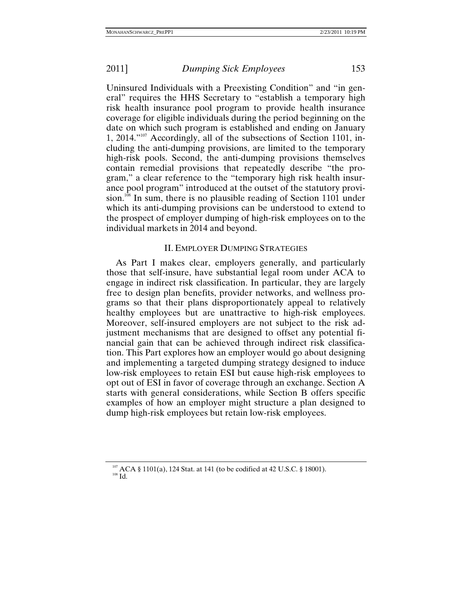Uninsured Individuals with a Preexisting Condition" and "in general" requires the HHS Secretary to "establish a temporary high risk health insurance pool program to provide health insurance coverage for eligible individuals during the period beginning on the date on which such program is established and ending on January 1, 2014."<sup>107</sup> Accordingly, all of the subsections of Section 1101, including the anti-dumping provisions, are limited to the temporary high-risk pools. Second, the anti-dumping provisions themselves contain remedial provisions that repeatedly describe "the program," a clear reference to the "temporary high risk health insurance pool program" introduced at the outset of the statutory provision.<sup>108</sup> In sum, there is no plausible reading of Section 1101 under which its anti-dumping provisions can be understood to extend to the prospect of employer dumping of high-risk employees on to the individual markets in 2014 and beyond.

### II. EMPLOYER DUMPING STRATEGIES

As Part I makes clear, employers generally, and particularly those that self-insure, have substantial legal room under ACA to engage in indirect risk classification. In particular, they are largely free to design plan benefits, provider networks, and wellness programs so that their plans disproportionately appeal to relatively healthy employees but are unattractive to high-risk employees. Moreover, self-insured employers are not subject to the risk adjustment mechanisms that are designed to offset any potential financial gain that can be achieved through indirect risk classification. This Part explores how an employer would go about designing and implementing a targeted dumping strategy designed to induce low-risk employees to retain ESI but cause high-risk employees to opt out of ESI in favor of coverage through an exchange. Section A starts with general considerations, while Section B offers specific examples of how an employer might structure a plan designed to dump high-risk employees but retain low-risk employees.

<sup>&</sup>lt;sup>107</sup> ACA § 1101(a), 124 Stat. at 141 (to be codified at 42 U.S.C. § 18001).<br><sup>108</sup> Id.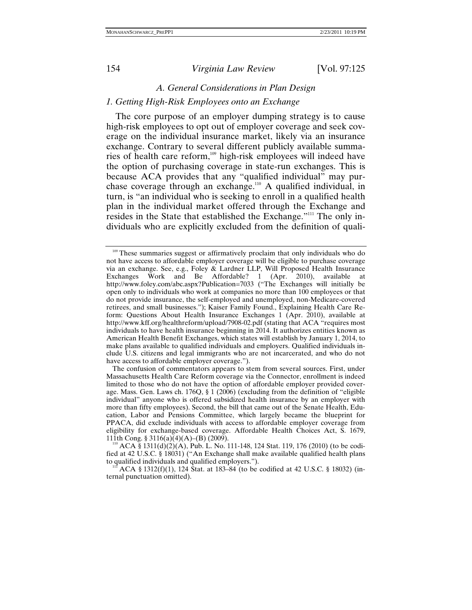### *A. General Considerations in Plan Design*

# *1. Getting High-Risk Employees onto an Exchange*

The core purpose of an employer dumping strategy is to cause high-risk employees to opt out of employer coverage and seek coverage on the individual insurance market, likely via an insurance exchange. Contrary to several different publicly available summaries of health care reform,<sup>109</sup> high-risk employees will indeed have the option of purchasing coverage in state-run exchanges. This is because ACA provides that any "qualified individual" may purchase coverage through an exchange.110 A qualified individual, in turn, is "an individual who is seeking to enroll in a qualified health plan in the individual market offered through the Exchange and resides in the State that established the Exchange."<sup>111</sup> The only individuals who are explicitly excluded from the definition of quali-

<sup>&</sup>lt;sup>109</sup> These summaries suggest or affirmatively proclaim that only individuals who do not have access to affordable employer coverage will be eligible to purchase coverage via an exchange. See, e.g., Foley & Lardner LLP, Will Proposed Health Insurance Exchanges Work and Be Affordable? 1 (Apr. 2010), available at http://www.foley.com/abc.aspx?Publication=7033 ("The Exchanges will initially be open only to individuals who work at companies no more than 100 employees or that do not provide insurance, the self-employed and unemployed, non-Medicare-covered retirees, and small businesses."); Kaiser Family Found., Explaining Health Care Reform: Questions About Health Insurance Exchanges 1 (Apr. 2010), available at http://www.kff.org/healthreform/upload/7908-02.pdf (stating that ACA "requires most individuals to have health insurance beginning in 2014. It authorizes entities known as American Health Benefit Exchanges, which states will establish by January 1, 2014, to make plans available to qualified individuals and employers. Qualified individuals include U.S. citizens and legal immigrants who are not incarcerated, and who do not have access to affordable employer coverage.").

The confusion of commentators appears to stem from several sources. First, under Massachusetts Health Care Reform coverage via the Connector, enrollment is indeed limited to those who do not have the option of affordable employer provided coverage. Mass. Gen. Laws ch. 176Q, § 1 (2006) (excluding from the definition of "eligible individual" anyone who is offered subsidized health insurance by an employer with more than fifty employees). Second, the bill that came out of the Senate Health, Education, Labor and Pensions Committee, which largely became the blueprint for PPACA, did exclude individuals with access to affordable employer coverage from eligibility for exchange-based coverage. Affordable Health Choices Act, S. 1679, 111th Cong. § 3116(a)(4)(A)–(B) (2009).

 $110$  ACA § 1311(d)(2)(A), Pub. L. No. 111-148, 124 Stat. 119, 176 (2010) (to be codified at 42 U.S.C. § 18031) ("An Exchange shall make available qualified health plans

ACA § 1312(f)(1), 124 Stat. at 183–84 (to be codified at 42 U.S.C. § 18032) (internal punctuation omitted).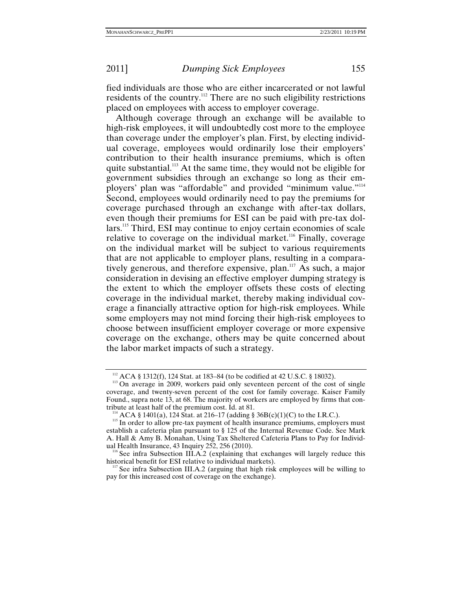fied individuals are those who are either incarcerated or not lawful residents of the country.112 There are no such eligibility restrictions placed on employees with access to employer coverage.

Although coverage through an exchange will be available to high-risk employees, it will undoubtedly cost more to the employee than coverage under the employer's plan. First, by electing individual coverage, employees would ordinarily lose their employers' contribution to their health insurance premiums, which is often quite substantial.<sup>113</sup> At the same time, they would not be eligible for government subsidies through an exchange so long as their employers' plan was "affordable" and provided "minimum value."<sup>114</sup> Second, employees would ordinarily need to pay the premiums for coverage purchased through an exchange with after-tax dollars, even though their premiums for ESI can be paid with pre-tax dollars.115 Third, ESI may continue to enjoy certain economies of scale relative to coverage on the individual market.<sup>116</sup> Finally, coverage on the individual market will be subject to various requirements that are not applicable to employer plans, resulting in a comparatively generous, and therefore expensive, plan.<sup>117</sup> As such, a major consideration in devising an effective employer dumping strategy is the extent to which the employer offsets these costs of electing coverage in the individual market, thereby making individual coverage a financially attractive option for high-risk employees. While some employers may not mind forcing their high-risk employees to choose between insufficient employer coverage or more expensive coverage on the exchange, others may be quite concerned about the labor market impacts of such a strategy.

<sup>&</sup>lt;sup>112</sup> ACA § 1312(f), 124 Stat. at 183–84 (to be codified at 42 U.S.C. § 18032).<br><sup>113</sup> On average in 2009, workers paid only seventeen percent of the cost of single coverage, and twenty-seven percent of the cost for family coverage. Kaiser Family Found., supra note 13, at 68. The majority of workers are employed by firms that contribute at least half of the premium cost. Id. at 81.

<sup>&</sup>lt;sup>114</sup> ACA § 1401(a), 124 Stat. at 216–17 (adding § 36B(c)(1)(C) to the I.R.C.). <sup>115</sup> In order to allow pre-tax payment of health insurance premiums, employers must establish a cafeteria plan pursuant to § 125 of the Internal Revenue Code. See Mark A. Hall & Amy B. Monahan, Using Tax Sheltered Cafeteria Plans to Pay for Individ-

 $1^{16}$  See infra Subsection III.A.2 (explaining that exchanges will largely reduce this historical benefit for ESI relative to individual markets).

See infra Subsection III.A.2 (arguing that high risk employees will be willing to pay for this increased cost of coverage on the exchange).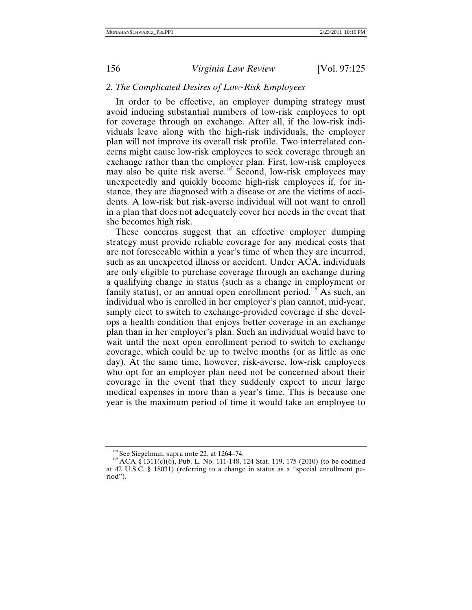# *2. The Complicated Desires of Low-Risk Employees*

In order to be effective, an employer dumping strategy must avoid inducing substantial numbers of low-risk employees to opt for coverage through an exchange. After all, if the low-risk individuals leave along with the high-risk individuals, the employer plan will not improve its overall risk profile. Two interrelated concerns might cause low-risk employees to seek coverage through an exchange rather than the employer plan. First, low-risk employees may also be quite risk averse.<sup>118</sup> Second, low-risk employees may unexpectedly and quickly become high-risk employees if, for instance, they are diagnosed with a disease or are the victims of accidents. A low-risk but risk-averse individual will not want to enroll in a plan that does not adequately cover her needs in the event that she becomes high risk.

These concerns suggest that an effective employer dumping strategy must provide reliable coverage for any medical costs that are not foreseeable within a year's time of when they are incurred, such as an unexpected illness or accident. Under ACA, individuals are only eligible to purchase coverage through an exchange during a qualifying change in status (such as a change in employment or family status), or an annual open enrollment period.<sup>119</sup> As such, an individual who is enrolled in her employer's plan cannot, mid-year, simply elect to switch to exchange-provided coverage if she develops a health condition that enjoys better coverage in an exchange plan than in her employer's plan. Such an individual would have to wait until the next open enrollment period to switch to exchange coverage, which could be up to twelve months (or as little as one day). At the same time, however, risk-averse, low-risk employees who opt for an employer plan need not be concerned about their coverage in the event that they suddenly expect to incur large medical expenses in more than a year's time. This is because one year is the maximum period of time it would take an employee to

<sup>&</sup>lt;sup>118</sup> See Siegelman, supra note 22, at 1264–74.<br><sup>119</sup> ACA § 1311(c)(6), Pub. L. No. 111-148, 124 Stat. 119, 175 (2010) (to be codified at 42 U.S.C. § 18031) (referring to a change in status as a "special enrollment period").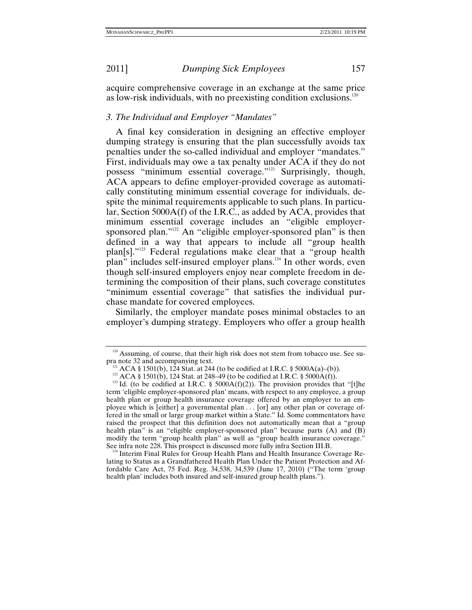acquire comprehensive coverage in an exchange at the same price as low-risk individuals, with no preexisting condition exclusions. $120$ 

# *3. The Individual and Employer "Mandates"*

A final key consideration in designing an effective employer dumping strategy is ensuring that the plan successfully avoids tax penalties under the so-called individual and employer "mandates." First, individuals may owe a tax penalty under ACA if they do not possess "minimum essential coverage."121 Surprisingly, though, ACA appears to define employer-provided coverage as automatically constituting minimum essential coverage for individuals, despite the minimal requirements applicable to such plans. In particular, Section 5000A(f) of the I.R.C., as added by ACA, provides that minimum essential coverage includes an "eligible employersponsored plan."<sup>122</sup> An "eligible employer-sponsored plan" is then defined in a way that appears to include all "group health plan[s]."123 Federal regulations make clear that a "group health plan" includes self-insured employer plans.<sup>124</sup> In other words, even though self-insured employers enjoy near complete freedom in determining the composition of their plans, such coverage constitutes "minimum essential coverage" that satisfies the individual purchase mandate for covered employees.

Similarly, the employer mandate poses minimal obstacles to an employer's dumping strategy. Employers who offer a group health

 $124$  Interim Final Rules for Group Health Plans and Health Insurance Coverage Relating to Status as a Grandfathered Health Plan Under the Patient Protection and Affordable Care Act, 75 Fed. Reg. 34,538, 34,539 (June 17, 2010) ("The term 'group health plan' includes both insured and self-insured group health plans.").

<sup>&</sup>lt;sup>120</sup> Assuming, of course, that their high risk does not stem from tobacco use. See supra note 32 and accompanying text.

<sup>&</sup>lt;sup>121</sup> ACA § 1501(b), 124 Stat. at 244 (to be codified at I.R.C. § 5000A(a)–(b)).<br><sup>122</sup> ACA § 1501(b), 124 Stat. at 248–49 (to be codified at I.R.C. § 5000A(f)).<br><sup>123</sup> Id. (to be codified at I.R.C. § 5000A(f)(2)). The prov term 'eligible employer-sponsored plan' means, with respect to any employee, a group health plan or group health insurance coverage offered by an employer to an employee which is [either] a governmental plan . . . [or] any other plan or coverage offered in the small or large group market within a State." Id. Some commentators have raised the prospect that this definition does not automatically mean that a "group health plan" is an "eligible employer-sponsored plan" because parts (A) and (B) modify the term "group health plan" as well as "group health insurance coverage."<br>See infra note 228. This prospect is discussed more fully infra Section III.B.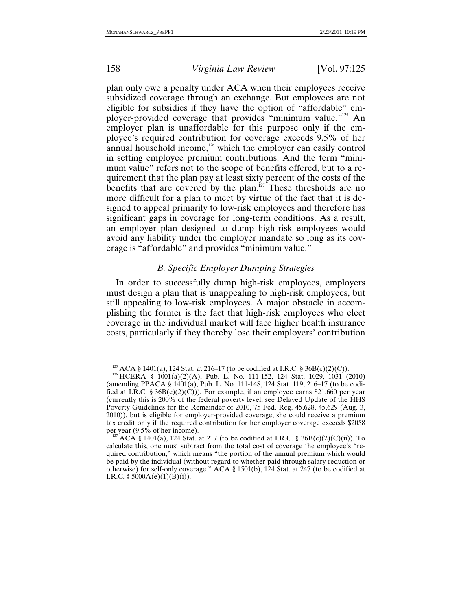plan only owe a penalty under ACA when their employees receive subsidized coverage through an exchange. But employees are not eligible for subsidies if they have the option of "affordable" employer-provided coverage that provides "minimum value."125 An employer plan is unaffordable for this purpose only if the employee's required contribution for coverage exceeds 9.5% of her annual household income, $126$  which the employer can easily control in setting employee premium contributions. And the term "minimum value" refers not to the scope of benefits offered, but to a requirement that the plan pay at least sixty percent of the costs of the benefits that are covered by the plan.<sup>127</sup> These thresholds are no more difficult for a plan to meet by virtue of the fact that it is designed to appeal primarily to low-risk employees and therefore has significant gaps in coverage for long-term conditions. As a result, an employer plan designed to dump high-risk employees would avoid any liability under the employer mandate so long as its coverage is "affordable" and provides "minimum value."

# *B. Specific Employer Dumping Strategies*

In order to successfully dump high-risk employees, employers must design a plan that is unappealing to high-risk employees, but still appealing to low-risk employees. A major obstacle in accomplishing the former is the fact that high-risk employees who elect coverage in the individual market will face higher health insurance costs, particularly if they thereby lose their employers' contribution

<sup>&</sup>lt;sup>125</sup> ACA § 1401(a), 124 Stat. at 216–17 (to be codified at I.R.C. § 36B(c)(2)(C)).<br><sup>126</sup> HCERA § 1001(a)(2)(A), Pub. L. No. 111-152, 124 Stat. 1029, 1031 (2010)

<sup>(</sup>amending PPACA § 1401(a), Pub. L. No. 111-148, 124 Stat. 119, 216–17 (to be codified at I.R.C. § 36B(c)(2)(C))). For example, if an employee earns \$21,660 per year (currently this is 200% of the federal poverty level, see Delayed Update of the HHS Poverty Guidelines for the Remainder of 2010, 75 Fed. Reg. 45,628, 45,629 (Aug. 3, 2010)), but is eligible for employer-provided coverage, she could receive a premium tax credit only if the required contribution for her employer coverage exceeds \$2058 per year (9.5% of her income).<br><sup>127</sup> ACA § 1401(a), 124 Stat. at 217 (to be codified at I.R.C. § 36B(c)(2)(C)(ii)). To

calculate this, one must subtract from the total cost of coverage the employee's "required contribution," which means "the portion of the annual premium which would be paid by the individual (without regard to whether paid through salary reduction or otherwise) for self-only coverage." ACA § 1501(b), 124 Stat. at 247 (to be codified at I.R.C. § 5000A(e)(1)(B)(i)).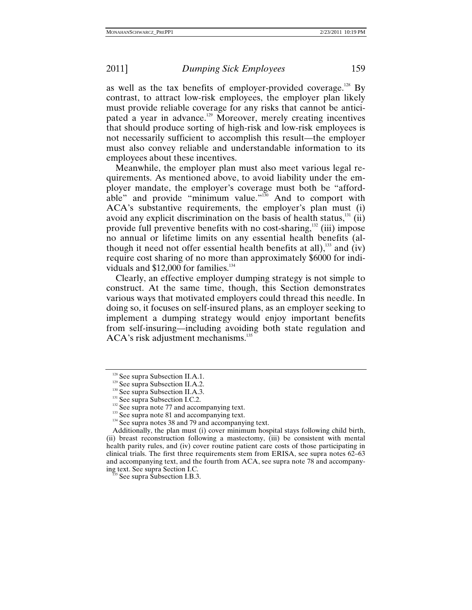as well as the tax benefits of employer-provided coverage.<sup>128</sup> By contrast, to attract low-risk employees, the employer plan likely must provide reliable coverage for any risks that cannot be anticipated a year in advance.<sup>129</sup> Moreover, merely creating incentives that should produce sorting of high-risk and low-risk employees is not necessarily sufficient to accomplish this result—the employer must also convey reliable and understandable information to its employees about these incentives.

Meanwhile, the employer plan must also meet various legal requirements. As mentioned above, to avoid liability under the employer mandate, the employer's coverage must both be "affordable" and provide "minimum value."<sup>130</sup> And to comport with ACA's substantive requirements, the employer's plan must (i) avoid any explicit discrimination on the basis of health status, $^{131}$  (ii) provide full preventive benefits with no cost-sharing, $\frac{132}{2}$  (iii) impose no annual or lifetime limits on any essential health benefits (although it need not offer essential health benefits at all), $^{133}$  and (iv) require cost sharing of no more than approximately \$6000 for individuals and  $$12,000$  for families.<sup>134</sup>

Clearly, an effective employer dumping strategy is not simple to construct. At the same time, though, this Section demonstrates various ways that motivated employers could thread this needle. In doing so, it focuses on self-insured plans, as an employer seeking to implement a dumping strategy would enjoy important benefits from self-insuring—including avoiding both state regulation and ACA's risk adjustment mechanisms.<sup>135</sup>

<sup>&</sup>lt;sup>128</sup> See supra Subsection II.A.1.<br><sup>129</sup> See supra Subsection II.A.2.<br><sup>130</sup> See supra Subsection II.A.3.<br><sup>131</sup> See supra Subsection I.C.2.<br><sup>132</sup> See supra note 77 and accompanying text.<br><sup>133</sup> See supra note 81 and accompa

Additionally, the plan must (i) cover minimum hospital stays following child birth, (ii) breast reconstruction following a mastectomy, (iii) be consistent with mental health parity rules, and (iv) cover routine patient care costs of those participating in clinical trials. The first three requirements stem from ERISA, see supra notes 62–63 and accompanying text, and the fourth from ACA, see supra note 78 and accompanying text. See supra Section I.C.<br><sup>135</sup> See supra Subsection I.B.3.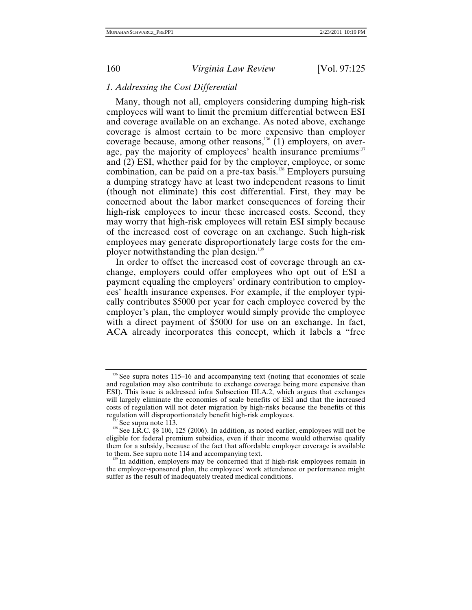## *1. Addressing the Cost Differential*

Many, though not all, employers considering dumping high-risk employees will want to limit the premium differential between ESI and coverage available on an exchange. As noted above, exchange coverage is almost certain to be more expensive than employer coverage because, among other reasons,<sup>136</sup> (1) employers, on average, pay the majority of employees' health insurance premiums $137$ and (2) ESI, whether paid for by the employer, employee, or some combination, can be paid on a pre-tax basis.<sup>138</sup> Employers pursuing a dumping strategy have at least two independent reasons to limit (though not eliminate) this cost differential. First, they may be concerned about the labor market consequences of forcing their high-risk employees to incur these increased costs. Second, they may worry that high-risk employees will retain ESI simply because of the increased cost of coverage on an exchange. Such high-risk employees may generate disproportionately large costs for the employer notwithstanding the plan design.<sup>139</sup>

In order to offset the increased cost of coverage through an exchange, employers could offer employees who opt out of ESI a payment equaling the employers' ordinary contribution to employees' health insurance expenses. For example, if the employer typically contributes \$5000 per year for each employee covered by the employer's plan, the employer would simply provide the employee with a direct payment of \$5000 for use on an exchange. In fact, ACA already incorporates this concept, which it labels a "free

 $136$  See supra notes 115–16 and accompanying text (noting that economies of scale and regulation may also contribute to exchange coverage being more expensive than ESI). This issue is addressed infra Subsection III.A.2, which argues that exchanges will largely eliminate the economies of scale benefits of ESI and that the increased costs of regulation will not deter migration by high-risks because the benefits of this regulation will disproportionately benefit high-risk employees.

<sup>&</sup>lt;sup>137</sup> See supra note 113. 138 See I.R.C. §§ 106, 125 (2006). In addition, as noted earlier, employees will not be eligible for federal premium subsidies, even if their income would otherwise qualify them for a subsidy, because of the fact that affordable employer coverage is available to them. See supra note 114 and accompanying text.

 $139$  In addition, employers may be concerned that if high-risk employees remain in the employer-sponsored plan, the employees' work attendance or performance might suffer as the result of inadequately treated medical conditions.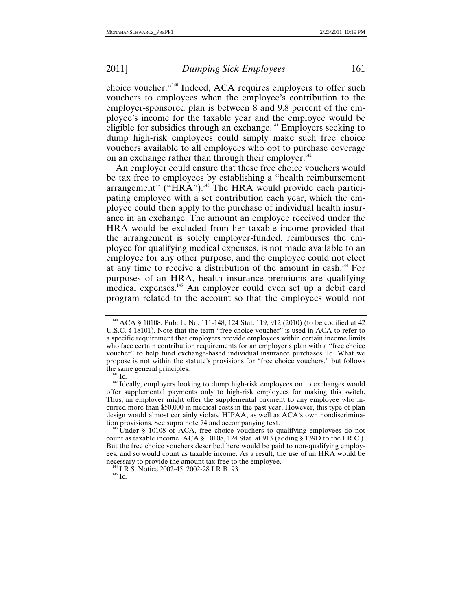choice voucher."140 Indeed, ACA requires employers to offer such vouchers to employees when the employee's contribution to the employer-sponsored plan is between 8 and 9.8 percent of the employee's income for the taxable year and the employee would be eligible for subsidies through an exchange.141 Employers seeking to dump high-risk employees could simply make such free choice vouchers available to all employees who opt to purchase coverage on an exchange rather than through their employer.<sup>142</sup>

An employer could ensure that these free choice vouchers would be tax free to employees by establishing a "health reimbursement arrangement" ("HRA").<sup>143</sup> The HRA would provide each participating employee with a set contribution each year, which the employee could then apply to the purchase of individual health insurance in an exchange. The amount an employee received under the HRA would be excluded from her taxable income provided that the arrangement is solely employer-funded, reimburses the employee for qualifying medical expenses, is not made available to an employee for any other purpose, and the employee could not elect at any time to receive a distribution of the amount in cash.144 For purposes of an HRA, health insurance premiums are qualifying medical expenses.145 An employer could even set up a debit card program related to the account so that the employees would not

<sup>&</sup>lt;sup>140</sup> ACA § 10108, Pub. L. No. 111-148, 124 Stat. 119, 912 (2010) (to be codified at 42 U.S.C. § 18101). Note that the term "free choice voucher" is used in ACA to refer to a specific requirement that employers provide employees within certain income limits who face certain contribution requirements for an employer's plan with a "free choice voucher" to help fund exchange-based individual insurance purchases. Id. What we propose is not within the statute's provisions for "free choice vouchers," but follows

<sup>&</sup>lt;sup>141</sup> Id.  $\frac{1}{42}$  Ideally, employers looking to dump high-risk employees on to exchanges would offer supplemental payments only to high-risk employees for making this switch. Thus, an employer might offer the supplemental payment to any employee who incurred more than \$50,000 in medical costs in the past year. However, this type of plan design would almost certainly violate HIPAA, as well as ACA's own nondiscrimination provisions. See supra note 74 and accompanying text.

Under § 10108 of ACA, free choice vouchers to qualifying employees do not count as taxable income. ACA § 10108, 124 Stat. at 913 (adding § 139D to the I.R.C.). But the free choice vouchers described here would be paid to non-qualifying employees, and so would count as taxable income. As a result, the use of an HRA would be necessary to provide the amount tax-free to the employee.<br><sup>144</sup> I.R.S. Notice 2002-45, 2002-28 I.R.B. 93.<br><sup>145</sup> Id.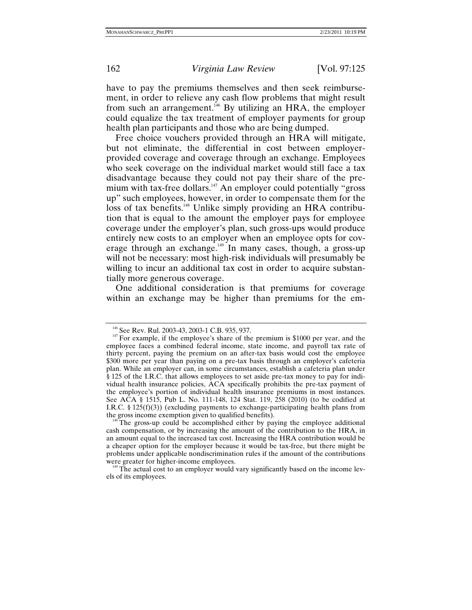have to pay the premiums themselves and then seek reimbursement, in order to relieve any cash flow problems that might result from such an arrangement.<sup>146</sup> By utilizing an HRA, the employer could equalize the tax treatment of employer payments for group health plan participants and those who are being dumped.

Free choice vouchers provided through an HRA will mitigate, but not eliminate, the differential in cost between employerprovided coverage and coverage through an exchange. Employees who seek coverage on the individual market would still face a tax disadvantage because they could not pay their share of the premium with tax-free dollars.<sup>147</sup> An employer could potentially "gross" up" such employees, however, in order to compensate them for the loss of tax benefits.<sup>148</sup> Unlike simply providing an HRA contribution that is equal to the amount the employer pays for employee coverage under the employer's plan, such gross-ups would produce entirely new costs to an employer when an employee opts for coverage through an exchange.<sup>149</sup> In many cases, though, a gross-up will not be necessary: most high-risk individuals will presumably be willing to incur an additional tax cost in order to acquire substantially more generous coverage.

One additional consideration is that premiums for coverage within an exchange may be higher than premiums for the em-

<sup>&</sup>lt;sup>146</sup> See Rev. Rul. 2003-43, 2003-1 C.B. 935, 937.<br><sup>147</sup> For example, if the employee's share of the premium is \$1000 per year, and the employee faces a combined federal income, state income, and payroll tax rate of thirty percent, paying the premium on an after-tax basis would cost the employee \$300 more per year than paying on a pre-tax basis through an employer's cafeteria plan. While an employer can, in some circumstances, establish a cafeteria plan under § 125 of the I.R.C. that allows employees to set aside pre-tax money to pay for individual health insurance policies, ACA specifically prohibits the pre-tax payment of the employee's portion of individual health insurance premiums in most instances. See ACA § 1515, Pub L. No. 111-148, 124 Stat. 119, 258 (2010) (to be codified at I.R.C.  $\S$  125(f)(3)) (excluding payments to exchange-participating health plans from the gross income exemption given to qualified benefits).

The gross-up could be accomplished either by paying the employee additional cash compensation, or by increasing the amount of the contribution to the HRA, in an amount equal to the increased tax cost. Increasing the HRA contribution would be a cheaper option for the employer because it would be tax-free, but there might be problems under applicable nondiscrimination rules if the amount of the contributions

 $149$  The actual cost to an employer would vary significantly based on the income levels of its employees.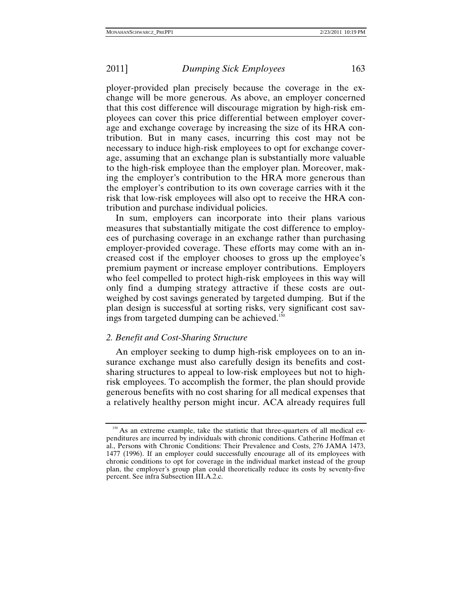ployer-provided plan precisely because the coverage in the exchange will be more generous. As above, an employer concerned that this cost difference will discourage migration by high-risk employees can cover this price differential between employer coverage and exchange coverage by increasing the size of its HRA contribution. But in many cases, incurring this cost may not be necessary to induce high-risk employees to opt for exchange coverage, assuming that an exchange plan is substantially more valuable to the high-risk employee than the employer plan. Moreover, making the employer's contribution to the HRA more generous than the employer's contribution to its own coverage carries with it the risk that low-risk employees will also opt to receive the HRA contribution and purchase individual policies.

In sum, employers can incorporate into their plans various measures that substantially mitigate the cost difference to employees of purchasing coverage in an exchange rather than purchasing employer-provided coverage. These efforts may come with an increased cost if the employer chooses to gross up the employee's premium payment or increase employer contributions. Employers who feel compelled to protect high-risk employees in this way will only find a dumping strategy attractive if these costs are outweighed by cost savings generated by targeted dumping. But if the plan design is successful at sorting risks, very significant cost savings from targeted dumping can be achieved.<sup>150</sup>

### *2. Benefit and Cost-Sharing Structure*

An employer seeking to dump high-risk employees on to an insurance exchange must also carefully design its benefits and costsharing structures to appeal to low-risk employees but not to highrisk employees. To accomplish the former, the plan should provide generous benefits with no cost sharing for all medical expenses that a relatively healthy person might incur. ACA already requires full

<sup>&</sup>lt;sup>150</sup> As an extreme example, take the statistic that three-quarters of all medical expenditures are incurred by individuals with chronic conditions. Catherine Hoffman et al., Persons with Chronic Conditions: Their Prevalence and Costs, 276 JAMA 1473, 1477 (1996). If an employer could successfully encourage all of its employees with chronic conditions to opt for coverage in the individual market instead of the group plan, the employer's group plan could theoretically reduce its costs by seventy-five percent. See infra Subsection III.A.2.c.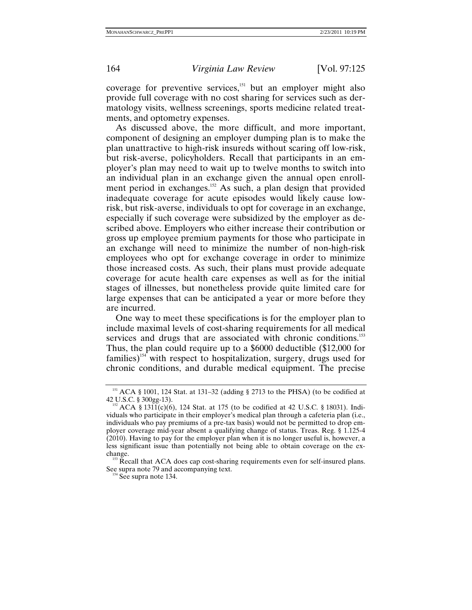coverage for preventive services, $151$  but an employer might also provide full coverage with no cost sharing for services such as dermatology visits, wellness screenings, sports medicine related treatments, and optometry expenses.

As discussed above, the more difficult, and more important, component of designing an employer dumping plan is to make the plan unattractive to high-risk insureds without scaring off low-risk, but risk-averse, policyholders. Recall that participants in an employer's plan may need to wait up to twelve months to switch into an individual plan in an exchange given the annual open enrollment period in exchanges.<sup>152</sup> As such, a plan design that provided inadequate coverage for acute episodes would likely cause lowrisk, but risk-averse, individuals to opt for coverage in an exchange, especially if such coverage were subsidized by the employer as described above. Employers who either increase their contribution or gross up employee premium payments for those who participate in an exchange will need to minimize the number of non-high-risk employees who opt for exchange coverage in order to minimize those increased costs. As such, their plans must provide adequate coverage for acute health care expenses as well as for the initial stages of illnesses, but nonetheless provide quite limited care for large expenses that can be anticipated a year or more before they are incurred.

One way to meet these specifications is for the employer plan to include maximal levels of cost-sharing requirements for all medical services and drugs that are associated with chronic conditions.<sup>153</sup> Thus, the plan could require up to a \$6000 deductible (\$12,000 for families)<sup>154</sup> with respect to hospitalization, surgery, drugs used for chronic conditions, and durable medical equipment. The precise

<sup>&</sup>lt;sup>151</sup> ACA § 1001, 124 Stat. at 131–32 (adding § 2713 to the PHSA) (to be codified at 42 U.S.C. § 300gg-13).

 $^{152}$  ACA § 1311(c)(6), 124 Stat. at 175 (to be codified at 42 U.S.C. § 18031). Individuals who participate in their employer's medical plan through a cafeteria plan (i.e., individuals who pay premiums of a pre-tax basis) would not be permitted to drop employer coverage mid-year absent a qualifying change of status. Treas. Reg. § 1.125-4 (2010). Having to pay for the employer plan when it is no longer useful is, however, a less significant issue than potentially not being able to obtain coverage on the exchange.<br><sup>153</sup> Recall that ACA does cap cost-sharing requirements even for self-insured plans.

See supra note 79 and accompanying text.<br><sup>154</sup> See supra note 134.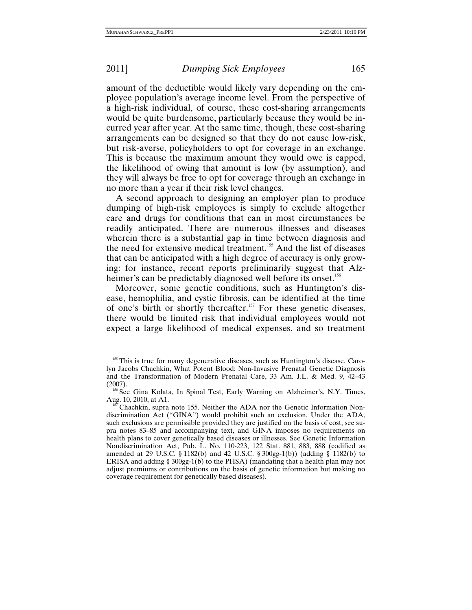amount of the deductible would likely vary depending on the employee population's average income level. From the perspective of a high-risk individual, of course, these cost-sharing arrangements would be quite burdensome, particularly because they would be incurred year after year. At the same time, though, these cost-sharing arrangements can be designed so that they do not cause low-risk, but risk-averse, policyholders to opt for coverage in an exchange. This is because the maximum amount they would owe is capped, the likelihood of owing that amount is low (by assumption), and they will always be free to opt for coverage through an exchange in no more than a year if their risk level changes.

A second approach to designing an employer plan to produce dumping of high-risk employees is simply to exclude altogether care and drugs for conditions that can in most circumstances be readily anticipated. There are numerous illnesses and diseases wherein there is a substantial gap in time between diagnosis and the need for extensive medical treatment.<sup>155</sup> And the list of diseases that can be anticipated with a high degree of accuracy is only growing: for instance, recent reports preliminarily suggest that Alzheimer's can be predictably diagnosed well before its onset.<sup>156</sup>

Moreover, some genetic conditions, such as Huntington's disease, hemophilia, and cystic fibrosis, can be identified at the time of one's birth or shortly thereafter.<sup>157</sup> For these genetic diseases, there would be limited risk that individual employees would not expect a large likelihood of medical expenses, and so treatment

<sup>&</sup>lt;sup>155</sup> This is true for many degenerative diseases, such as Huntington's disease. Carolyn Jacobs Chachkin, What Potent Blood: Non-Invasive Prenatal Genetic Diagnosis and the Transformation of Modern Prenatal Care, 33 Am. J.L. & Med. 9, 42–43 (2007). 156 See Gina Kolata, In Spinal Test, Early Warning on Alzheimer's, N.Y. Times,

Aug. 10, 2010, at A1.<br><sup>157</sup> Chachkin, supra note 155. Neither the ADA nor the Genetic Information Non-

discrimination Act ("GINA") would prohibit such an exclusion. Under the ADA, such exclusions are permissible provided they are justified on the basis of cost, see supra notes 83–85 and accompanying text, and GINA imposes no requirements on health plans to cover genetically based diseases or illnesses. See Genetic Information Nondiscrimination Act, Pub. L. No. 110-223, 122 Stat. 881, 883, 888 (codified as amended at 29 U.S.C. § 1182(b) and 42 U.S.C. § 300gg-1(b)) (adding § 1182(b) to ERISA and adding § 300gg-1(b) to the PHSA) (mandating that a health plan may not adjust premiums or contributions on the basis of genetic information but making no coverage requirement for genetically based diseases).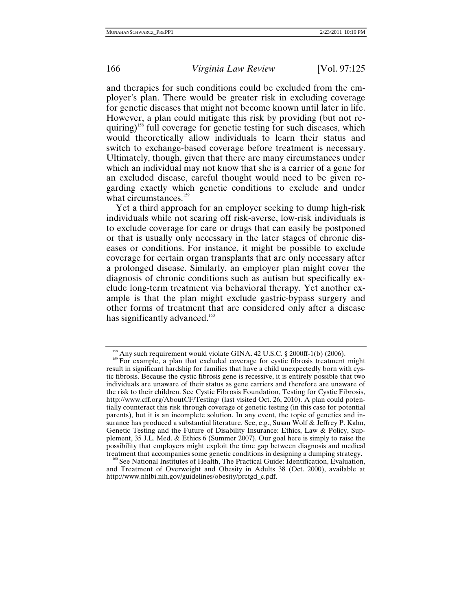and therapies for such conditions could be excluded from the employer's plan. There would be greater risk in excluding coverage for genetic diseases that might not become known until later in life. However, a plan could mitigate this risk by providing (but not requiring)<sup>158</sup> full coverage for genetic testing for such diseases, which would theoretically allow individuals to learn their status and switch to exchange-based coverage before treatment is necessary. Ultimately, though, given that there are many circumstances under which an individual may not know that she is a carrier of a gene for an excluded disease, careful thought would need to be given regarding exactly which genetic conditions to exclude and under what circumstances.<sup>159</sup>

Yet a third approach for an employer seeking to dump high-risk individuals while not scaring off risk-averse, low-risk individuals is to exclude coverage for care or drugs that can easily be postponed or that is usually only necessary in the later stages of chronic diseases or conditions. For instance, it might be possible to exclude coverage for certain organ transplants that are only necessary after a prolonged disease. Similarly, an employer plan might cover the diagnosis of chronic conditions such as autism but specifically exclude long-term treatment via behavioral therapy. Yet another example is that the plan might exclude gastric-bypass surgery and other forms of treatment that are considered only after a disease has significantly advanced.<sup>160</sup>

<sup>&</sup>lt;sup>158</sup> Any such requirement would violate GINA. 42 U.S.C. § 2000ff-1(b) (2006).<br><sup>159</sup> For example, a plan that excluded coverage for cystic fibrosis treatment might result in significant hardship for families that have a child unexpectedly born with cystic fibrosis. Because the cystic fibrosis gene is recessive, it is entirely possible that two individuals are unaware of their status as gene carriers and therefore are unaware of the risk to their children. See Cystic Fibrosis Foundation, Testing for Cystic Fibrosis, http://www.cff.org/AboutCF/Testing/ (last visited Oct. 26, 2010). A plan could potentially counteract this risk through coverage of genetic testing (in this case for potential parents), but it is an incomplete solution. In any event, the topic of genetics and insurance has produced a substantial literature. See, e.g., Susan Wolf & Jeffrey P. Kahn, Genetic Testing and the Future of Disability Insurance: Ethics, Law & Policy, Supplement, 35 J.L. Med. & Ethics 6 (Summer 2007). Our goal here is simply to raise the possibility that employers might exploit the time gap between diagnosis and medical treatment that accompanies some genetic conditions in designing a dumping strategy.

<sup>&</sup>lt;sup>160</sup> See National Institutes of Health, The Practical Guide: Identification, Evaluation, and Treatment of Overweight and Obesity in Adults 38 (Oct. 2000), available at http://www.nhlbi.nih.gov/guidelines/obesity/prctgd\_c.pdf.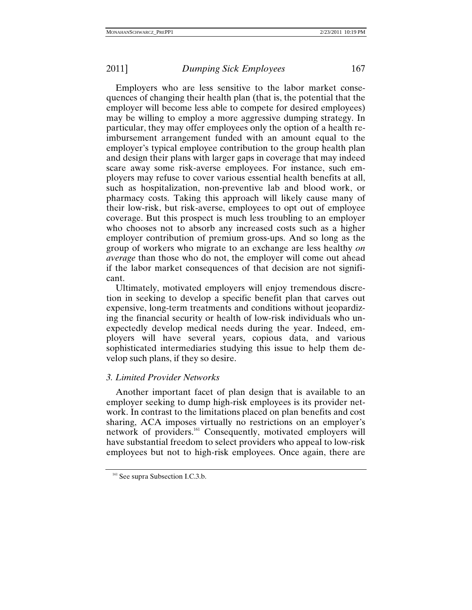Employers who are less sensitive to the labor market consequences of changing their health plan (that is, the potential that the employer will become less able to compete for desired employees) may be willing to employ a more aggressive dumping strategy. In particular, they may offer employees only the option of a health reimbursement arrangement funded with an amount equal to the employer's typical employee contribution to the group health plan and design their plans with larger gaps in coverage that may indeed scare away some risk-averse employees. For instance, such employers may refuse to cover various essential health benefits at all, such as hospitalization, non-preventive lab and blood work, or pharmacy costs. Taking this approach will likely cause many of their low-risk, but risk-averse, employees to opt out of employee coverage. But this prospect is much less troubling to an employer who chooses not to absorb any increased costs such as a higher employer contribution of premium gross-ups. And so long as the group of workers who migrate to an exchange are less healthy *on average* than those who do not, the employer will come out ahead if the labor market consequences of that decision are not significant.

Ultimately, motivated employers will enjoy tremendous discretion in seeking to develop a specific benefit plan that carves out expensive, long-term treatments and conditions without jeopardizing the financial security or health of low-risk individuals who unexpectedly develop medical needs during the year. Indeed, employers will have several years, copious data, and various sophisticated intermediaries studying this issue to help them develop such plans, if they so desire.

### *3. Limited Provider Networks*

Another important facet of plan design that is available to an employer seeking to dump high-risk employees is its provider network. In contrast to the limitations placed on plan benefits and cost sharing, ACA imposes virtually no restrictions on an employer's network of providers.161 Consequently, motivated employers will have substantial freedom to select providers who appeal to low-risk employees but not to high-risk employees. Once again, there are

<sup>&</sup>lt;sup>161</sup> See supra Subsection I.C.3.b.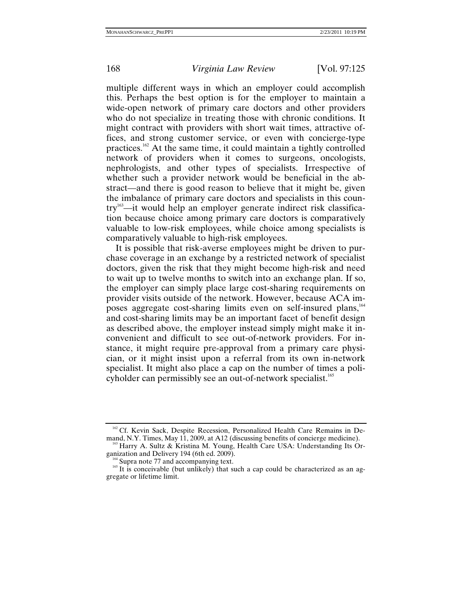multiple different ways in which an employer could accomplish this. Perhaps the best option is for the employer to maintain a wide-open network of primary care doctors and other providers who do not specialize in treating those with chronic conditions. It might contract with providers with short wait times, attractive offices, and strong customer service, or even with concierge-type practices.162 At the same time, it could maintain a tightly controlled network of providers when it comes to surgeons, oncologists, nephrologists, and other types of specialists. Irrespective of whether such a provider network would be beneficial in the abstract—and there is good reason to believe that it might be, given the imbalance of primary care doctors and specialists in this coun $try<sup>163</sup>$ —it would help an employer generate indirect risk classification because choice among primary care doctors is comparatively valuable to low-risk employees, while choice among specialists is comparatively valuable to high-risk employees.

It is possible that risk-averse employees might be driven to purchase coverage in an exchange by a restricted network of specialist doctors, given the risk that they might become high-risk and need to wait up to twelve months to switch into an exchange plan. If so, the employer can simply place large cost-sharing requirements on provider visits outside of the network. However, because ACA imposes aggregate cost-sharing limits even on self-insured plans,164 and cost-sharing limits may be an important facet of benefit design as described above, the employer instead simply might make it inconvenient and difficult to see out-of-network providers. For instance, it might require pre-approval from a primary care physician, or it might insist upon a referral from its own in-network specialist. It might also place a cap on the number of times a policyholder can permissibly see an out-of-network specialist.<sup>165</sup>

<sup>&</sup>lt;sup>162</sup> Cf. Kevin Sack, Despite Recession, Personalized Health Care Remains in De-mand, N.Y. Times, May 11, 2009, at A12 (discussing benefits of concierge medicine).

<sup>&</sup>lt;sup>163</sup> Harry A. Sultz & Kristina M. Young, Health Care USA: Understanding Its Organization and Delivery 194 (6th ed. 2009).

<sup>&</sup>lt;sup>164</sup> Supra note 77 and accompanying text.<br><sup>165</sup> It is conceivable (but unlikely) that such a cap could be characterized as an aggregate or lifetime limit.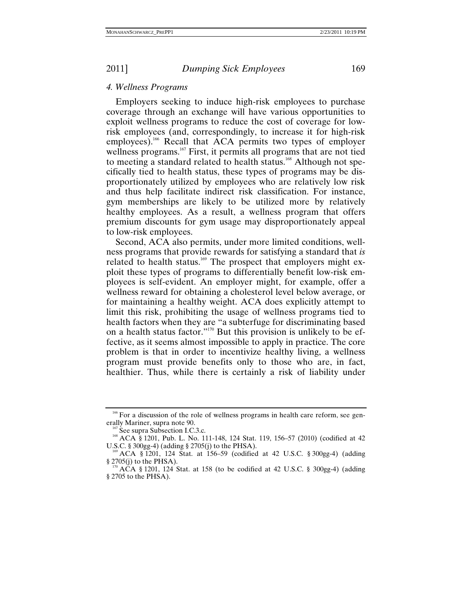### *4. Wellness Programs*

Employers seeking to induce high-risk employees to purchase coverage through an exchange will have various opportunities to exploit wellness programs to reduce the cost of coverage for lowrisk employees (and, correspondingly, to increase it for high-risk employees).<sup>166</sup> Recall that ACA permits two types of employer wellness programs.<sup>167</sup> First, it permits all programs that are not tied to meeting a standard related to health status.<sup>168</sup> Although not specifically tied to health status, these types of programs may be disproportionately utilized by employees who are relatively low risk and thus help facilitate indirect risk classification. For instance, gym memberships are likely to be utilized more by relatively healthy employees. As a result, a wellness program that offers premium discounts for gym usage may disproportionately appeal to low-risk employees.

Second, ACA also permits, under more limited conditions, wellness programs that provide rewards for satisfying a standard that *is*  related to health status.<sup>169</sup> The prospect that employers might exploit these types of programs to differentially benefit low-risk employees is self-evident. An employer might, for example, offer a wellness reward for obtaining a cholesterol level below average, or for maintaining a healthy weight. ACA does explicitly attempt to limit this risk, prohibiting the usage of wellness programs tied to health factors when they are "a subterfuge for discriminating based on a health status factor."170 But this provision is unlikely to be effective, as it seems almost impossible to apply in practice. The core problem is that in order to incentivize healthy living, a wellness program must provide benefits only to those who are, in fact, healthier. Thus, while there is certainly a risk of liability under

 $166$  For a discussion of the role of wellness programs in health care reform, see generally Mariner, supra note 90.

<sup>&</sup>lt;sup>167</sup> See supra Subsection I.C.3.c.<br><sup>168</sup> ACA § 1201, Pub. L. No. 111-148, 124 Stat. 119, 156–57 (2010) (codified at 42<br>U.S.C. § 300gg-4) (adding § 2705(j) to the PHSA).

<sup>&</sup>lt;sup>169</sup> ACA § 1201, 124 Stat. at 156–59 (codified at 42 U.S.C. § 300gg-4) (adding § 2705(j) to the PHSA).

ACA § 1201, 124 Stat. at 158 (to be codified at 42 U.S.C. § 300gg-4) (adding § 2705 to the PHSA).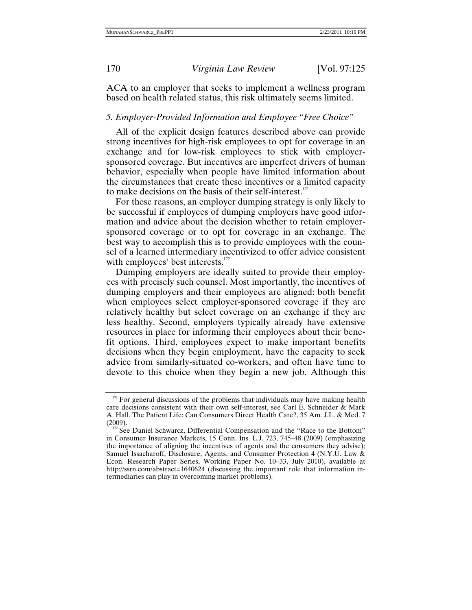ACA to an employer that seeks to implement a wellness program based on health related status, this risk ultimately seems limited.

# *5. Employer-Provided Information and Employee "Free Choice"*

All of the explicit design features described above can provide strong incentives for high-risk employees to opt for coverage in an exchange and for low-risk employees to stick with employersponsored coverage. But incentives are imperfect drivers of human behavior, especially when people have limited information about the circumstances that create these incentives or a limited capacity to make decisions on the basis of their self-interest. $^{171}$ 

For these reasons, an employer dumping strategy is only likely to be successful if employees of dumping employers have good information and advice about the decision whether to retain employersponsored coverage or to opt for coverage in an exchange. The best way to accomplish this is to provide employees with the counsel of a learned intermediary incentivized to offer advice consistent with employees' best interests.<sup>172</sup>

Dumping employers are ideally suited to provide their employees with precisely such counsel. Most importantly, the incentives of dumping employers and their employees are aligned: both benefit when employees select employer-sponsored coverage if they are relatively healthy but select coverage on an exchange if they are less healthy. Second, employers typically already have extensive resources in place for informing their employees about their benefit options. Third, employees expect to make important benefits decisions when they begin employment, have the capacity to seek advice from similarly-situated co-workers, and often have time to devote to this choice when they begin a new job. Although this

 $171$  For general discussions of the problems that individuals may have making health care decisions consistent with their own self-interest, see Carl E. Schneider & Mark A. Hall, The Patient Life: Can Consumers Direct Health Care?, 35 Am. J.L. & Med. 7

 $172$  See Daniel Schwarcz, Differential Compensation and the "Race to the Bottom" in Consumer Insurance Markets, 15 Conn. Ins. L.J. 723, 745–48 (2009) (emphasizing the importance of aligning the incentives of agents and the consumers they advise); Samuel Issacharoff, Disclosure, Agents, and Consumer Protection 4 (N.Y.U. Law & Econ. Research Paper Series, Working Paper No. 10–33, July 2010), available at http://ssrn.com/abstract=1640624 (discussing the important role that information intermediaries can play in overcoming market problems).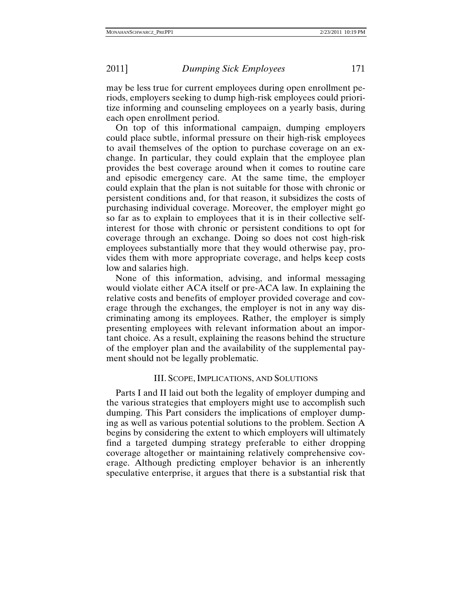may be less true for current employees during open enrollment periods, employers seeking to dump high-risk employees could prioritize informing and counseling employees on a yearly basis, during each open enrollment period.

On top of this informational campaign, dumping employers could place subtle, informal pressure on their high-risk employees to avail themselves of the option to purchase coverage on an exchange. In particular, they could explain that the employee plan provides the best coverage around when it comes to routine care and episodic emergency care. At the same time, the employer could explain that the plan is not suitable for those with chronic or persistent conditions and, for that reason, it subsidizes the costs of purchasing individual coverage. Moreover, the employer might go so far as to explain to employees that it is in their collective selfinterest for those with chronic or persistent conditions to opt for coverage through an exchange. Doing so does not cost high-risk employees substantially more that they would otherwise pay, provides them with more appropriate coverage, and helps keep costs low and salaries high.

None of this information, advising, and informal messaging would violate either ACA itself or pre-ACA law. In explaining the relative costs and benefits of employer provided coverage and coverage through the exchanges, the employer is not in any way discriminating among its employees. Rather, the employer is simply presenting employees with relevant information about an important choice. As a result, explaining the reasons behind the structure of the employer plan and the availability of the supplemental payment should not be legally problematic.

## III. SCOPE, IMPLICATIONS, AND SOLUTIONS

Parts I and II laid out both the legality of employer dumping and the various strategies that employers might use to accomplish such dumping. This Part considers the implications of employer dumping as well as various potential solutions to the problem. Section A begins by considering the extent to which employers will ultimately find a targeted dumping strategy preferable to either dropping coverage altogether or maintaining relatively comprehensive coverage. Although predicting employer behavior is an inherently speculative enterprise, it argues that there is a substantial risk that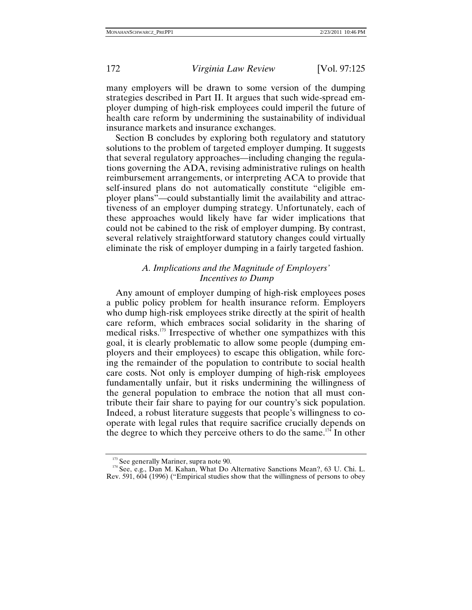many employers will be drawn to some version of the dumping strategies described in Part II. It argues that such wide-spread employer dumping of high-risk employees could imperil the future of health care reform by undermining the sustainability of individual insurance markets and insurance exchanges.

Section B concludes by exploring both regulatory and statutory solutions to the problem of targeted employer dumping. It suggests that several regulatory approaches—including changing the regulations governing the ADA, revising administrative rulings on health reimbursement arrangements, or interpreting ACA to provide that self-insured plans do not automatically constitute "eligible employer plans"—could substantially limit the availability and attractiveness of an employer dumping strategy. Unfortunately, each of these approaches would likely have far wider implications that could not be cabined to the risk of employer dumping. By contrast, several relatively straightforward statutory changes could virtually eliminate the risk of employer dumping in a fairly targeted fashion.

# *A. Implications and the Magnitude of Employers' Incentives to Dump*

Any amount of employer dumping of high-risk employees poses a public policy problem for health insurance reform. Employers who dump high-risk employees strike directly at the spirit of health care reform, which embraces social solidarity in the sharing of medical risks.173 Irrespective of whether one sympathizes with this goal, it is clearly problematic to allow some people (dumping employers and their employees) to escape this obligation, while forcing the remainder of the population to contribute to social health care costs. Not only is employer dumping of high-risk employees fundamentally unfair, but it risks undermining the willingness of the general population to embrace the notion that all must contribute their fair share to paying for our country's sick population. Indeed, a robust literature suggests that people's willingness to cooperate with legal rules that require sacrifice crucially depends on the degree to which they perceive others to do the same.<sup>174</sup> In other

<sup>&</sup>lt;sup>173</sup> See generally Mariner, supra note 90.<br><sup>174</sup> See, e.g., Dan M. Kahan, What Do Alternative Sanctions Mean?, 63 U. Chi. L. Rev. 591, 604 (1996) ("Empirical studies show that the willingness of persons to obey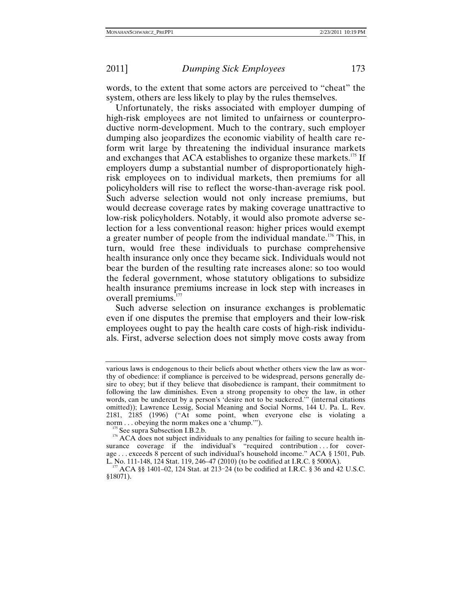words, to the extent that some actors are perceived to "cheat" the system, others are less likely to play by the rules themselves.

Unfortunately, the risks associated with employer dumping of high-risk employees are not limited to unfairness or counterproductive norm-development. Much to the contrary, such employer dumping also jeopardizes the economic viability of health care reform writ large by threatening the individual insurance markets and exchanges that ACA establishes to organize these markets.<sup>175</sup> If employers dump a substantial number of disproportionately highrisk employees on to individual markets, then premiums for all policyholders will rise to reflect the worse-than-average risk pool. Such adverse selection would not only increase premiums, but would decrease coverage rates by making coverage unattractive to low-risk policyholders. Notably, it would also promote adverse selection for a less conventional reason: higher prices would exempt a greater number of people from the individual mandate.176 This, in turn, would free these individuals to purchase comprehensive health insurance only once they became sick. Individuals would not bear the burden of the resulting rate increases alone: so too would the federal government, whose statutory obligations to subsidize health insurance premiums increase in lock step with increases in overall premiums.<sup>177</sup>

Such adverse selection on insurance exchanges is problematic even if one disputes the premise that employers and their low-risk employees ought to pay the health care costs of high-risk individuals. First, adverse selection does not simply move costs away from

various laws is endogenous to their beliefs about whether others view the law as worthy of obedience: if compliance is perceived to be widespread, persons generally desire to obey; but if they believe that disobedience is rampant, their commitment to following the law diminishes. Even a strong propensity to obey the law, in other words, can be undercut by a person's 'desire not to be suckered.'" (internal citations omitted)); Lawrence Lessig, Social Meaning and Social Norms, 144 U. Pa. L. Rev. 2181, 2185 (1996) ("At some point, when everyone else is violating a norm... obeying the norm makes one a 'chump."").

<sup>&</sup>lt;sup>175</sup> See supra Subsection I.B.2.b.  $176$  ACA does not subject individuals to any penalties for failing to secure health insurance coverage if the individual's "required contribution . . for coverage ... exceeds 8 percent of such individual's household income." ACA § 1501, Pub. L. No. 111-148, 124 Stat. 119, 246–47 (2010) (to be codified at I.R.C. § 5000A).

 $177$  ACA §§ 1401–02, 124 Stat. at 213-24 (to be codified at I.R.C. § 36 and 42 U.S.C. §18071).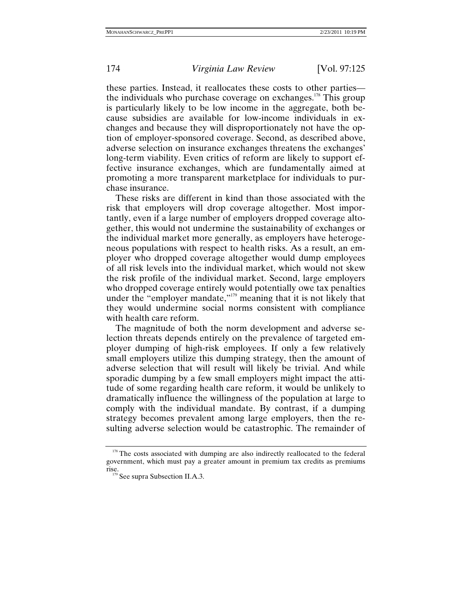these parties. Instead, it reallocates these costs to other parties the individuals who purchase coverage on exchanges.<sup>178</sup> This group is particularly likely to be low income in the aggregate, both because subsidies are available for low-income individuals in exchanges and because they will disproportionately not have the option of employer-sponsored coverage. Second, as described above, adverse selection on insurance exchanges threatens the exchanges' long-term viability. Even critics of reform are likely to support effective insurance exchanges, which are fundamentally aimed at promoting a more transparent marketplace for individuals to purchase insurance.

These risks are different in kind than those associated with the risk that employers will drop coverage altogether. Most importantly, even if a large number of employers dropped coverage altogether, this would not undermine the sustainability of exchanges or the individual market more generally, as employers have heterogeneous populations with respect to health risks. As a result, an employer who dropped coverage altogether would dump employees of all risk levels into the individual market, which would not skew the risk profile of the individual market. Second, large employers who dropped coverage entirely would potentially owe tax penalties under the "employer mandate,"<sup>179</sup> meaning that it is not likely that they would undermine social norms consistent with compliance with health care reform.

The magnitude of both the norm development and adverse selection threats depends entirely on the prevalence of targeted employer dumping of high-risk employees. If only a few relatively small employers utilize this dumping strategy, then the amount of adverse selection that will result will likely be trivial. And while sporadic dumping by a few small employers might impact the attitude of some regarding health care reform, it would be unlikely to dramatically influence the willingness of the population at large to comply with the individual mandate. By contrast, if a dumping strategy becomes prevalent among large employers, then the resulting adverse selection would be catastrophic. The remainder of

<sup>&</sup>lt;sup>178</sup> The costs associated with dumping are also indirectly reallocated to the federal government, which must pay a greater amount in premium tax credits as premiums rise.<br><sup>179</sup> See supra Subsection II.A.3.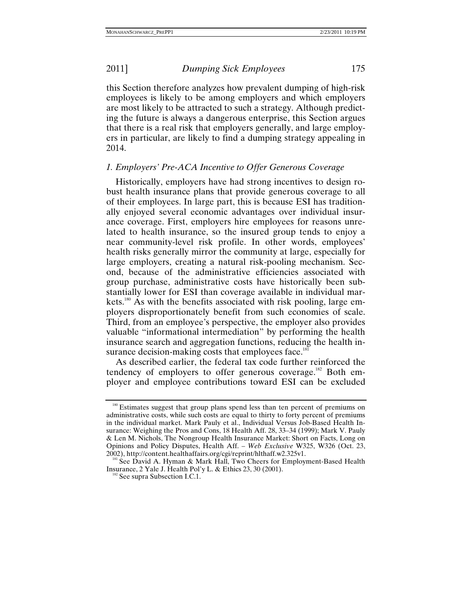this Section therefore analyzes how prevalent dumping of high-risk employees is likely to be among employers and which employers are most likely to be attracted to such a strategy. Although predicting the future is always a dangerous enterprise, this Section argues that there is a real risk that employers generally, and large employers in particular, are likely to find a dumping strategy appealing in 2014.

# *1. Employers' Pre-ACA Incentive to Offer Generous Coverage*

Historically, employers have had strong incentives to design robust health insurance plans that provide generous coverage to all of their employees. In large part, this is because ESI has traditionally enjoyed several economic advantages over individual insurance coverage. First, employers hire employees for reasons unrelated to health insurance, so the insured group tends to enjoy a near community-level risk profile. In other words, employees' health risks generally mirror the community at large, especially for large employers, creating a natural risk-pooling mechanism. Second, because of the administrative efficiencies associated with group purchase, administrative costs have historically been substantially lower for ESI than coverage available in individual markets.<sup>180</sup> As with the benefits associated with risk pooling, large employers disproportionately benefit from such economies of scale. Third, from an employee's perspective, the employer also provides valuable "informational intermediation" by performing the health insurance search and aggregation functions, reducing the health insurance decision-making costs that employees face. $181$ 

As described earlier, the federal tax code further reinforced the tendency of employers to offer generous coverage.<sup>182</sup> Both employer and employee contributions toward ESI can be excluded

<sup>&</sup>lt;sup>180</sup> Estimates suggest that group plans spend less than ten percent of premiums on administrative costs, while such costs are equal to thirty to forty percent of premiums in the individual market. Mark Pauly et al., Individual Versus Job-Based Health Insurance: Weighing the Pros and Cons, 18 Health Aff. 28, 33–34 (1999); Mark V. Pauly & Len M. Nichols, The Nongroup Health Insurance Market: Short on Facts, Long on Opinions and Policy Disputes, Health Aff. – *Web Exclusive* W325, W326 (Oct. 23,

 $181$  See David A. Hyman & Mark Hall, Two Cheers for Employment-Based Health Insurance, 2 Yale J. Health Pol'y L. & Ethics 23, 30 (2001). 182 See supra Subsection I.C.1.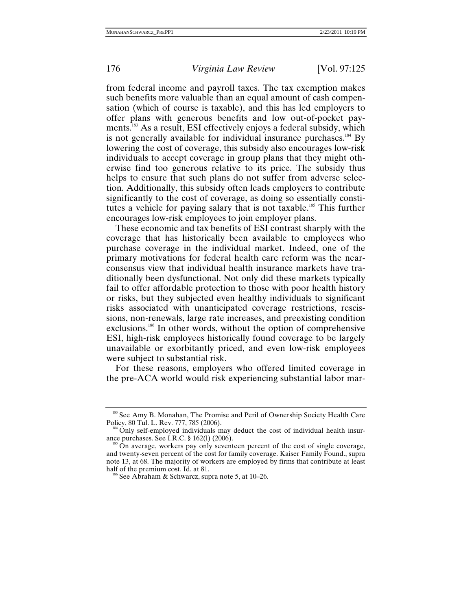from federal income and payroll taxes. The tax exemption makes such benefits more valuable than an equal amount of cash compensation (which of course is taxable), and this has led employers to offer plans with generous benefits and low out-of-pocket payments.<sup>183</sup> As a result, ESI effectively enjoys a federal subsidy, which is not generally available for individual insurance purchases.<sup>184</sup> By lowering the cost of coverage, this subsidy also encourages low-risk individuals to accept coverage in group plans that they might otherwise find too generous relative to its price. The subsidy thus helps to ensure that such plans do not suffer from adverse selection. Additionally, this subsidy often leads employers to contribute significantly to the cost of coverage, as doing so essentially constitutes a vehicle for paying salary that is not taxable.<sup>185</sup> This further encourages low-risk employees to join employer plans.

These economic and tax benefits of ESI contrast sharply with the coverage that has historically been available to employees who purchase coverage in the individual market. Indeed, one of the primary motivations for federal health care reform was the nearconsensus view that individual health insurance markets have traditionally been dysfunctional. Not only did these markets typically fail to offer affordable protection to those with poor health history or risks, but they subjected even healthy individuals to significant risks associated with unanticipated coverage restrictions, rescissions, non-renewals, large rate increases, and preexisting condition exclusions.<sup>186</sup> In other words, without the option of comprehensive ESI, high-risk employees historically found coverage to be largely unavailable or exorbitantly priced, and even low-risk employees were subject to substantial risk.

For these reasons, employers who offered limited coverage in the pre-ACA world would risk experiencing substantial labor mar-

<sup>&</sup>lt;sup>183</sup> See Amy B. Monahan, The Promise and Peril of Ownership Society Health Care Policy, 80 Tul. L. Rev. 777, 785 (2006).

<sup>&</sup>lt;sup>184</sup> Only self-employed individuals may deduct the cost of individual health insur-<br>ance purchases. See I.R.C. § 162(1) (2006).

On average, workers pay only seventeen percent of the cost of single coverage, and twenty-seven percent of the cost for family coverage. Kaiser Family Found., supra note 13, at 68. The majority of workers are employed by firms that contribute at least half of the premium cost. Id. at 81.

 $\delta$  See Abraham & Schwarcz, supra note 5, at 10–26.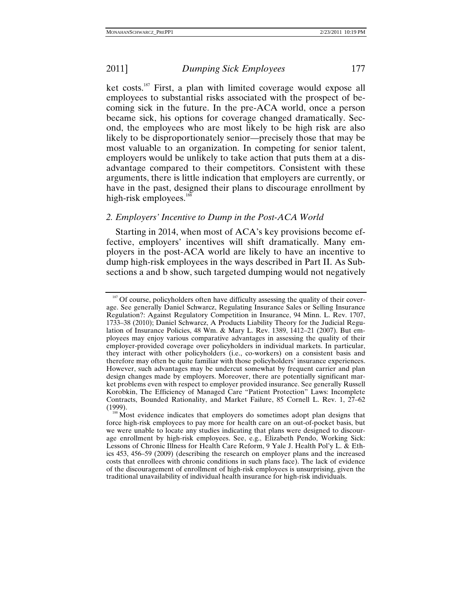ket costs.187 First, a plan with limited coverage would expose all employees to substantial risks associated with the prospect of becoming sick in the future. In the pre-ACA world, once a person became sick, his options for coverage changed dramatically. Second, the employees who are most likely to be high risk are also likely to be disproportionately senior—precisely those that may be most valuable to an organization. In competing for senior talent, employers would be unlikely to take action that puts them at a disadvantage compared to their competitors. Consistent with these arguments, there is little indication that employers are currently, or have in the past, designed their plans to discourage enrollment by high-risk employees. $188$ 

# *2. Employers' Incentive to Dump in the Post-ACA World*

Starting in 2014, when most of ACA's key provisions become effective, employers' incentives will shift dramatically. Many employers in the post-ACA world are likely to have an incentive to dump high-risk employees in the ways described in Part II. As Subsections a and b show, such targeted dumping would not negatively

<sup>&</sup>lt;sup>187</sup> Of course, policyholders often have difficulty assessing the quality of their coverage. See generally Daniel Schwarcz, Regulating Insurance Sales or Selling Insurance Regulation?: Against Regulatory Competition in Insurance, 94 Minn. L. Rev. 1707, 1733–38 (2010); Daniel Schwarcz, A Products Liability Theory for the Judicial Regulation of Insurance Policies, 48 Wm. & Mary L. Rev. 1389, 1412–21 (2007). But employees may enjoy various comparative advantages in assessing the quality of their employer-provided coverage over policyholders in individual markets. In particular, they interact with other policyholders (i.e., co-workers) on a consistent basis and therefore may often be quite familiar with those policyholders' insurance experiences. However, such advantages may be undercut somewhat by frequent carrier and plan design changes made by employers. Moreover, there are potentially significant market problems even with respect to employer provided insurance. See generally Russell Korobkin, The Efficiency of Managed Care "Patient Protection" Laws: Incomplete Contracts, Bounded Rationality, and Market Failure, 85 Cornell L. Rev. 1, 27–62

<sup>&</sup>lt;sup>188</sup> Most evidence indicates that employers do sometimes adopt plan designs that force high-risk employees to pay more for health care on an out-of-pocket basis, but we were unable to locate any studies indicating that plans were designed to discourage enrollment by high-risk employees. See, e.g., Elizabeth Pendo, Working Sick: Lessons of Chronic Illness for Health Care Reform, 9 Yale J. Health Pol'y L. & Ethics 453, 456–59 (2009) (describing the research on employer plans and the increased costs that enrollees with chronic conditions in such plans face). The lack of evidence of the discouragement of enrollment of high-risk employees is unsurprising, given the traditional unavailability of individual health insurance for high-risk individuals.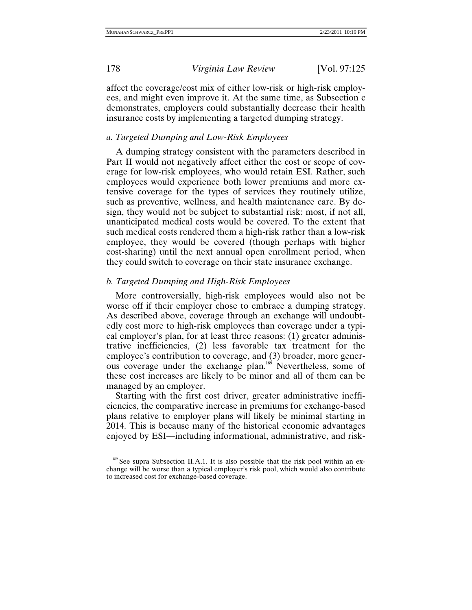affect the coverage/cost mix of either low-risk or high-risk employees, and might even improve it. At the same time, as Subsection c demonstrates, employers could substantially decrease their health insurance costs by implementing a targeted dumping strategy.

# *a. Targeted Dumping and Low-Risk Employees*

A dumping strategy consistent with the parameters described in Part II would not negatively affect either the cost or scope of coverage for low-risk employees, who would retain ESI. Rather, such employees would experience both lower premiums and more extensive coverage for the types of services they routinely utilize, such as preventive, wellness, and health maintenance care. By design, they would not be subject to substantial risk: most, if not all, unanticipated medical costs would be covered. To the extent that such medical costs rendered them a high-risk rather than a low-risk employee, they would be covered (though perhaps with higher cost-sharing) until the next annual open enrollment period, when they could switch to coverage on their state insurance exchange.

## *b. Targeted Dumping and High-Risk Employees*

More controversially, high-risk employees would also not be worse off if their employer chose to embrace a dumping strategy. As described above, coverage through an exchange will undoubtedly cost more to high-risk employees than coverage under a typical employer's plan, for at least three reasons: (1) greater administrative inefficiencies, (2) less favorable tax treatment for the employee's contribution to coverage, and (3) broader, more generous coverage under the exchange plan.<sup>189</sup> Nevertheless, some of these cost increases are likely to be minor and all of them can be managed by an employer.

Starting with the first cost driver, greater administrative inefficiencies, the comparative increase in premiums for exchange-based plans relative to employer plans will likely be minimal starting in 2014. This is because many of the historical economic advantages enjoyed by ESI—including informational, administrative, and risk-

<sup>189</sup> See supra Subsection II.A.1. It is also possible that the risk pool within an exchange will be worse than a typical employer's risk pool, which would also contribute to increased cost for exchange-based coverage.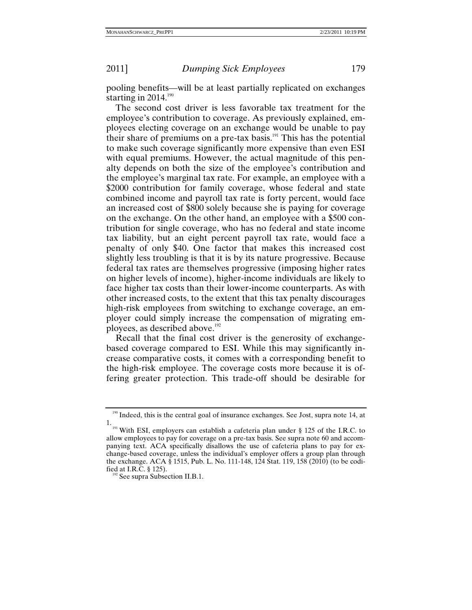pooling benefits—will be at least partially replicated on exchanges starting in  $2014$ .<sup>190</sup>

The second cost driver is less favorable tax treatment for the employee's contribution to coverage. As previously explained, employees electing coverage on an exchange would be unable to pay their share of premiums on a pre-tax basis.<sup>191</sup> This has the potential to make such coverage significantly more expensive than even ESI with equal premiums. However, the actual magnitude of this penalty depends on both the size of the employee's contribution and the employee's marginal tax rate. For example, an employee with a \$2000 contribution for family coverage, whose federal and state combined income and payroll tax rate is forty percent, would face an increased cost of \$800 solely because she is paying for coverage on the exchange. On the other hand, an employee with a \$500 contribution for single coverage, who has no federal and state income tax liability, but an eight percent payroll tax rate, would face a penalty of only \$40. One factor that makes this increased cost slightly less troubling is that it is by its nature progressive. Because federal tax rates are themselves progressive (imposing higher rates on higher levels of income), higher-income individuals are likely to face higher tax costs than their lower-income counterparts. As with other increased costs, to the extent that this tax penalty discourages high-risk employees from switching to exchange coverage, an employer could simply increase the compensation of migrating employees, as described above.<sup>192</sup>

Recall that the final cost driver is the generosity of exchangebased coverage compared to ESI. While this may significantly increase comparative costs, it comes with a corresponding benefit to the high-risk employee. The coverage costs more because it is offering greater protection. This trade-off should be desirable for

<sup>&</sup>lt;sup>190</sup> Indeed, this is the central goal of insurance exchanges. See Jost, supra note 14, at

<sup>1. &</sup>lt;sup>191</sup> With ESI, employers can establish a cafeteria plan under § 125 of the I.R.C. to allow employees to pay for coverage on a pre-tax basis. See supra note 60 and accompanying text. ACA specifically disallows the use of cafeteria plans to pay for exchange-based coverage, unless the individual's employer offers a group plan through the exchange. ACA § 1515, Pub. L. No. 111-148, 124 Stat. 119, 158 (2010) (to be codified at I.R.C. § 125).<br><sup>192</sup> See supra Subsection II.B.1.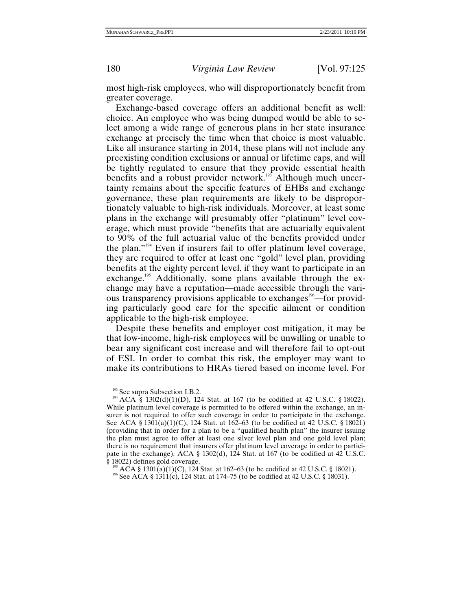most high-risk employees, who will disproportionately benefit from greater coverage.

Exchange-based coverage offers an additional benefit as well: choice. An employee who was being dumped would be able to select among a wide range of generous plans in her state insurance exchange at precisely the time when that choice is most valuable. Like all insurance starting in 2014, these plans will not include any preexisting condition exclusions or annual or lifetime caps, and will be tightly regulated to ensure that they provide essential health benefits and a robust provider network.<sup>193</sup> Although much uncertainty remains about the specific features of EHBs and exchange governance, these plan requirements are likely to be disproportionately valuable to high-risk individuals. Moreover, at least some plans in the exchange will presumably offer "platinum" level coverage, which must provide "benefits that are actuarially equivalent to 90% of the full actuarial value of the benefits provided under the plan."194 Even if insurers fail to offer platinum level coverage, they are required to offer at least one "gold" level plan, providing benefits at the eighty percent level, if they want to participate in an exchange.<sup>195</sup> Additionally, some plans available through the exchange may have a reputation—made accessible through the various transparency provisions applicable to exchanges<sup>196</sup>—for providing particularly good care for the specific ailment or condition applicable to the high-risk employee.

Despite these benefits and employer cost mitigation, it may be that low-income, high-risk employees will be unwilling or unable to bear any significant cost increase and will therefore fail to opt-out of ESI. In order to combat this risk, the employer may want to make its contributions to HRAs tiered based on income level. For

<sup>&</sup>lt;sup>193</sup> See supra Subsection I.B.2.<br><sup>194</sup> ACA § 1302(d)(1)(D), 124 Stat. at 167 (to be codified at 42 U.S.C. § 18022). While platinum level coverage is permitted to be offered within the exchange, an insurer is not required to offer such coverage in order to participate in the exchange. See ACA § 1301(a)(1)(C), 124 Stat. at 162–63 (to be codified at 42 U.S.C. § 18021) (providing that in order for a plan to be a "qualified health plan" the insurer issuing the plan must agree to offer at least one silver level plan and one gold level plan; there is no requirement that insurers offer platinum level coverage in order to participate in the exchange). ACA § 1302(d), 124 Stat. at 167 (to be codified at 42 U.S.C.

<sup>&</sup>lt;sup>195</sup> ACA § 1301(a)(1)(C), 124 Stat. at 162–63 (to be codified at 42 U.S.C. § 18021). <sup>196</sup> See ACA § 1311(c), 124 Stat. at 174–75 (to be codified at 42 U.S.C. § 18031).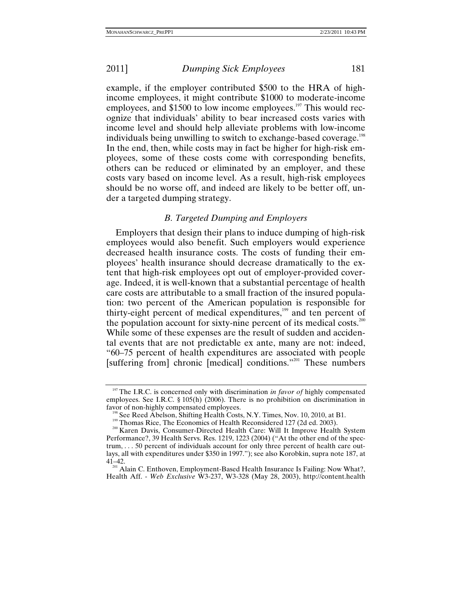example, if the employer contributed \$500 to the HRA of highincome employees, it might contribute \$1000 to moderate-income employees, and \$1500 to low income employees.<sup>197</sup> This would recognize that individuals' ability to bear increased costs varies with income level and should help alleviate problems with low-income individuals being unwilling to switch to exchange-based coverage.<sup>198</sup> In the end, then, while costs may in fact be higher for high-risk employees, some of these costs come with corresponding benefits, others can be reduced or eliminated by an employer, and these costs vary based on income level. As a result, high-risk employees should be no worse off, and indeed are likely to be better off, under a targeted dumping strategy.

# *B. Targeted Dumping and Employers*

Employers that design their plans to induce dumping of high-risk employees would also benefit. Such employers would experience decreased health insurance costs. The costs of funding their employees' health insurance should decrease dramatically to the extent that high-risk employees opt out of employer-provided coverage. Indeed, it is well-known that a substantial percentage of health care costs are attributable to a small fraction of the insured population: two percent of the American population is responsible for thirty-eight percent of medical expenditures,<sup>199</sup> and ten percent of the population account for sixty-nine percent of its medical costs.<sup>200</sup> While some of these expenses are the result of sudden and accidental events that are not predictable ex ante, many are not: indeed, "60–75 percent of health expenditures are associated with people [suffering from] chronic [medical] conditions."<sup>201</sup> These numbers

<sup>&</sup>lt;sup>197</sup> The I.R.C. is concerned only with discrimination *in favor of* highly compensated employees. See I.R.C. § 105(h) (2006). There is no prohibition on discrimination in

<sup>&</sup>lt;sup>198</sup> See Reed Abelson, Shifting Health Costs, N.Y. Times, Nov. 10, 2010, at B1.<br><sup>199</sup> Thomas Rice, The Economics of Health Reconsidered 127 (2d ed. 2003).<br><sup>200</sup> Karen Davis, Consumer-Directed Health Care: Will It Improve Performance?, 39 Health Servs. Res. 1219, 1223 (2004) ("At the other end of the spectrum, . . . 50 percent of individuals account for only three percent of health care outlays, all with expenditures under \$350 in 1997."); see also Korobkin, supra note 187, at

<sup>&</sup>lt;sup>201</sup> Alain C. Enthoven, Employment-Based Health Insurance Is Failing: Now What?, Health Aff. - *Web Exclusive* W3-237, W3-328 (May 28, 2003), http://content.health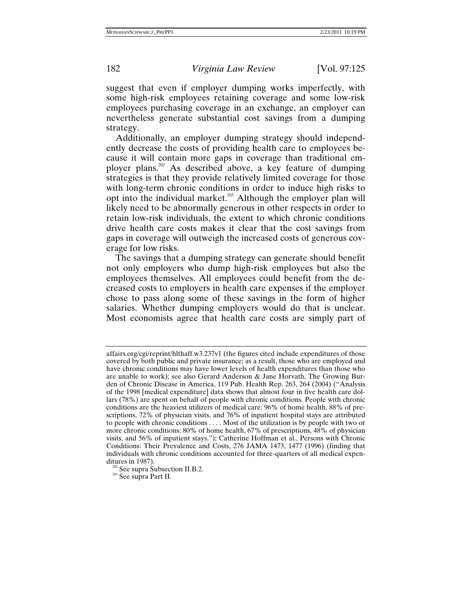suggest that even if employer dumping works imperfectly, with some high-risk employees retaining coverage and some low-risk employees purchasing coverage in an exchange, an employer can nevertheless generate substantial cost savings from a dumping strategy.

Additionally, an employer dumping strategy should independently decrease the costs of providing health care to employees because it will contain more gaps in coverage than traditional employer plans.<sup>202</sup> As described above, a key feature of dumping strategies is that they provide relatively limited coverage for those with long-term chronic conditions in order to induce high risks to opt into the individual market.<sup>203</sup> Although the employer plan will likely need to be abnormally generous in other respects in order to retain low-risk individuals, the extent to which chronic conditions drive health care costs makes it clear that the cost savings from gaps in coverage will outweigh the increased costs of generous coverage for low risks.

The savings that a dumping strategy can generate should benefit not only employers who dump high-risk employees but also the employees themselves. All employees could benefit from the decreased costs to employers in health care expenses if the employer chose to pass along some of these savings in the form of higher salaries. Whether dumping employers would do that is unclear. Most economists agree that health care costs are simply part of

affairs.org/cgi/reprint/hlthaff.w3.237v1 (the figures cited include expenditures of those covered by both public and private insurance; as a result, those who are employed and have chronic conditions may have lower levels of health expenditures than those who are unable to work); see also Gerard Anderson & Jane Horvath, The Growing Burden of Chronic Disease in America, 119 Pub. Health Rep. 263, 264 (2004) ("Analysis of the 1998 [medical expenditure] data shows that almost four in five health care dollars (78%) are spent on behalf of people with chronic conditions. People with chronic conditions are the heaviest utilizers of medical care: 96% of home health, 88% of prescriptions, 72% of physician visits, and 76% of inpatient hospital stays are attributed to people with chronic conditions . . . . Most of the utilization is by people with two or more chronic conditions: 80% of home health, 67% of prescriptions, 48% of physician visits, and 56% of inpatient stays."); Catherine Hoffman et al., Persons with Chronic Conditions: Their Prevalence and Costs, 276 JAMA 1473, 1477 (1996) (finding that individuals with chronic conditions accounted for three-quarters of all medical expen-

<sup>&</sup>lt;sup>202</sup> See supra Subsection II.B.2. <sup>203</sup> See supra Part II.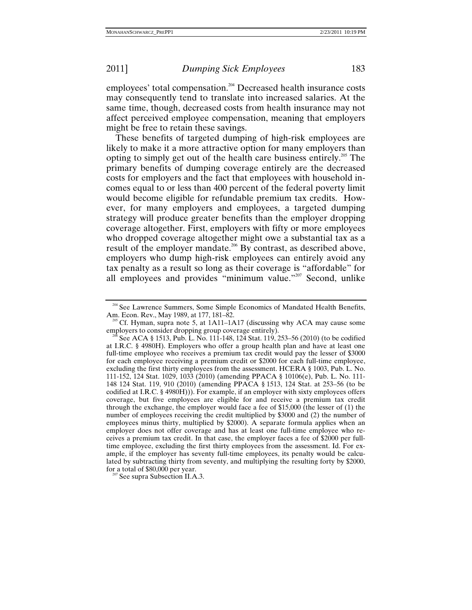employees' total compensation.<sup>204</sup> Decreased health insurance costs may consequently tend to translate into increased salaries. At the same time, though, decreased costs from health insurance may not affect perceived employee compensation, meaning that employers might be free to retain these savings.

These benefits of targeted dumping of high-risk employees are likely to make it a more attractive option for many employers than opting to simply get out of the health care business entirely.205 The primary benefits of dumping coverage entirely are the decreased costs for employers and the fact that employees with household incomes equal to or less than 400 percent of the federal poverty limit would become eligible for refundable premium tax credits. However, for many employers and employees, a targeted dumping strategy will produce greater benefits than the employer dropping coverage altogether. First, employers with fifty or more employees who dropped coverage altogether might owe a substantial tax as a result of the employer mandate.<sup>206</sup> By contrast, as described above, employers who dump high-risk employees can entirely avoid any tax penalty as a result so long as their coverage is "affordable" for all employees and provides "minimum value."<sup>207</sup> Second, unlike

<sup>&</sup>lt;sup>204</sup> See Lawrence Summers, Some Simple Economics of Mandated Health Benefits,

Am. Econ. Rev., May 1989, at 177, 181–82.<br><sup>205</sup> Cf. Hyman, supra note 5, at 1A11–1A17 (discussing why ACA may cause some employers to consider dropping group coverage entirely).

See ACA § 1513, Pub. L. No. 111-148, 124 Stat. 119, 253–56 (2010) (to be codified at I.R.C. § 4980H). Employers who offer a group health plan and have at least one full-time employee who receives a premium tax credit would pay the lesser of \$3000 for each employee receiving a premium credit or \$2000 for each full-time employee, excluding the first thirty employees from the assessment. HCERA § 1003, Pub. L. No. 111-152, 124 Stat. 1029, 1033 (2010) (amending PPACA § 10106(e), Pub. L. No. 111- 148 124 Stat. 119, 910 (2010) (amending PPACA § 1513, 124 Stat. at 253–56 (to be codified at I.R.C. § 4980H))). For example, if an employer with sixty employees offers coverage, but five employees are eligible for and receive a premium tax credit through the exchange, the employer would face a fee of \$15,000 (the lesser of (1) the number of employees receiving the credit multiplied by \$3000 and (2) the number of employees minus thirty, multiplied by \$2000). A separate formula applies when an employer does not offer coverage and has at least one full-time employee who receives a premium tax credit. In that case, the employer faces a fee of \$2000 per fulltime employee, excluding the first thirty employees from the assessment. Id. For example, if the employer has seventy full-time employees, its penalty would be calculated by subtracting thirty from seventy, and multiplying the resulting forty by \$2000, for a total of \$80,000 per year.<br><sup>207</sup> See supra Subsection II.A.3.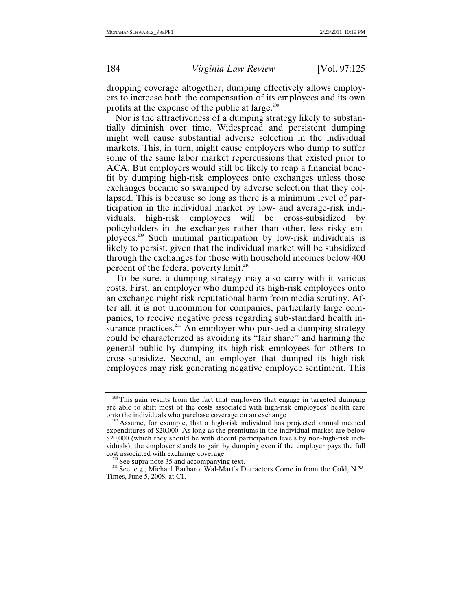dropping coverage altogether, dumping effectively allows employers to increase both the compensation of its employees and its own profits at the expense of the public at large.<sup>208</sup>

Nor is the attractiveness of a dumping strategy likely to substantially diminish over time. Widespread and persistent dumping might well cause substantial adverse selection in the individual markets. This, in turn, might cause employers who dump to suffer some of the same labor market repercussions that existed prior to ACA. But employers would still be likely to reap a financial benefit by dumping high-risk employees onto exchanges unless those exchanges became so swamped by adverse selection that they collapsed. This is because so long as there is a minimum level of participation in the individual market by low- and average-risk individuals, high-risk employees will be cross-subsidized by policyholders in the exchanges rather than other, less risky employees.209 Such minimal participation by low-risk individuals is likely to persist, given that the individual market will be subsidized through the exchanges for those with household incomes below 400 percent of the federal poverty limit.<sup>210</sup>

To be sure, a dumping strategy may also carry with it various costs. First, an employer who dumped its high-risk employees onto an exchange might risk reputational harm from media scrutiny. After all, it is not uncommon for companies, particularly large companies, to receive negative press regarding sub-standard health insurance practices.<sup>211</sup> An employer who pursued a dumping strategy could be characterized as avoiding its "fair share" and harming the general public by dumping its high-risk employees for others to cross-subsidize. Second, an employer that dumped its high-risk employees may risk generating negative employee sentiment. This

<sup>&</sup>lt;sup>208</sup> This gain results from the fact that employers that engage in targeted dumping are able to shift most of the costs associated with high-risk employees' health care

 $\alpha$ <sup>9</sup> Assume, for example, that a high-risk individual has projected annual medical expenditures of \$20,000. As long as the premiums in the individual market are below \$20,000 (which they should be with decent participation levels by non-high-risk individuals), the employer stands to gain by dumping even if the employer pays the full

<sup>&</sup>lt;sup>210</sup> See supra note 35 and accompanying text. <sup>211</sup> See, e.g., Michael Barbaro, Wal-Mart's Detractors Come in from the Cold, N.Y. Times, June 5, 2008, at C1.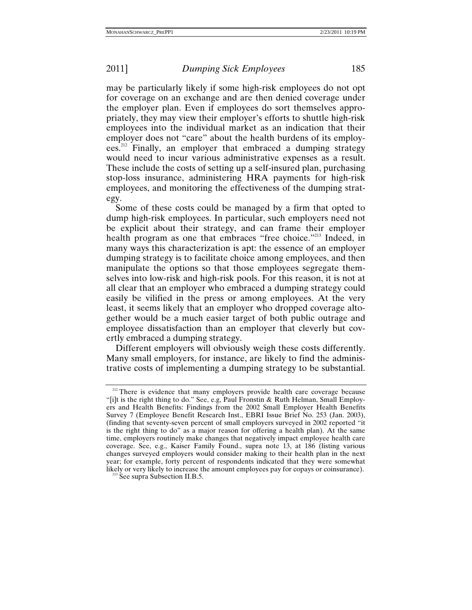may be particularly likely if some high-risk employees do not opt for coverage on an exchange and are then denied coverage under the employer plan. Even if employees do sort themselves appropriately, they may view their employer's efforts to shuttle high-risk employees into the individual market as an indication that their employer does not "care" about the health burdens of its employees.212 Finally, an employer that embraced a dumping strategy would need to incur various administrative expenses as a result. These include the costs of setting up a self-insured plan, purchasing stop-loss insurance, administering HRA payments for high-risk employees, and monitoring the effectiveness of the dumping strategy.

Some of these costs could be managed by a firm that opted to dump high-risk employees. In particular, such employers need not be explicit about their strategy, and can frame their employer health program as one that embraces "free choice."<sup>213</sup> Indeed, in many ways this characterization is apt: the essence of an employer dumping strategy is to facilitate choice among employees, and then manipulate the options so that those employees segregate themselves into low-risk and high-risk pools. For this reason, it is not at all clear that an employer who embraced a dumping strategy could easily be vilified in the press or among employees. At the very least, it seems likely that an employer who dropped coverage altogether would be a much easier target of both public outrage and employee dissatisfaction than an employer that cleverly but covertly embraced a dumping strategy.

Different employers will obviously weigh these costs differently. Many small employers, for instance, are likely to find the administrative costs of implementing a dumping strategy to be substantial.

<sup>&</sup>lt;sup>212</sup> There is evidence that many employers provide health care coverage because "[i]t is the right thing to do." See, e.g, Paul Fronstin & Ruth Helman, Small Employers and Health Benefits: Findings from the 2002 Small Employer Health Benefits Survey 7 (Employee Benefit Research Inst., EBRI Issue Brief No. 253 (Jan. 2003), (finding that seventy-seven percent of small employers surveyed in 2002 reported "it is the right thing to do" as a major reason for offering a health plan). At the same time, employers routinely make changes that negatively impact employee health care coverage. See, e.g., Kaiser Family Found., supra note 13, at 186 (listing various changes surveyed employers would consider making to their health plan in the next year; for example, forty percent of respondents indicated that they were somewhat likely or very likely to increase the amount employees pay for copays or coinsurance). 213 See supra Subsection II.B.5.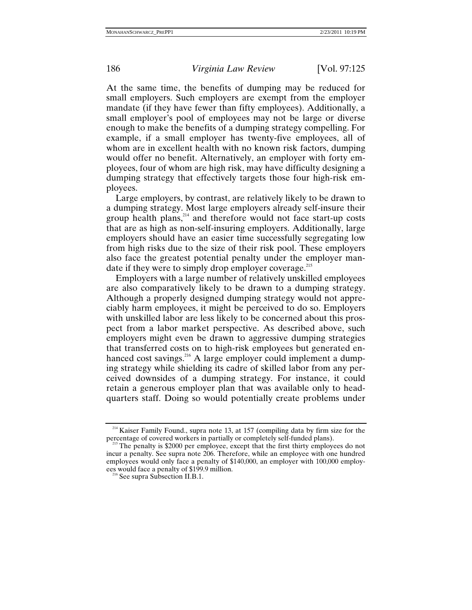At the same time, the benefits of dumping may be reduced for small employers. Such employers are exempt from the employer mandate (if they have fewer than fifty employees). Additionally, a small employer's pool of employees may not be large or diverse enough to make the benefits of a dumping strategy compelling. For example, if a small employer has twenty-five employees, all of whom are in excellent health with no known risk factors, dumping would offer no benefit. Alternatively, an employer with forty employees, four of whom are high risk, may have difficulty designing a dumping strategy that effectively targets those four high-risk employees.

Large employers, by contrast, are relatively likely to be drawn to a dumping strategy. Most large employers already self-insure their group health plans, $2^{214}$  and therefore would not face start-up costs that are as high as non-self-insuring employers. Additionally, large employers should have an easier time successfully segregating low from high risks due to the size of their risk pool. These employers also face the greatest potential penalty under the employer mandate if they were to simply drop employer coverage.<sup>215</sup>

Employers with a large number of relatively unskilled employees are also comparatively likely to be drawn to a dumping strategy. Although a properly designed dumping strategy would not appreciably harm employees, it might be perceived to do so. Employers with unskilled labor are less likely to be concerned about this prospect from a labor market perspective. As described above, such employers might even be drawn to aggressive dumping strategies that transferred costs on to high-risk employees but generated enhanced cost savings.<sup>216</sup> A large employer could implement a dumping strategy while shielding its cadre of skilled labor from any perceived downsides of a dumping strategy. For instance, it could retain a generous employer plan that was available only to headquarters staff. Doing so would potentially create problems under

 $^{214}$  Kaiser Family Found., supra note 13, at 157 (compiling data by firm size for the percentage of covered workers in partially or completely self-funded plans).

 $215$  The penalty is \$2000 per employee, except that the first thirty employees do not incur a penalty. See supra note 206. Therefore, while an employee with one hundred employees would only face a penalty of \$140,000, an employer with 100,000 employees would face a penalty of \$199.9 million.<br><sup>216</sup> See supra Subsection II.B.1.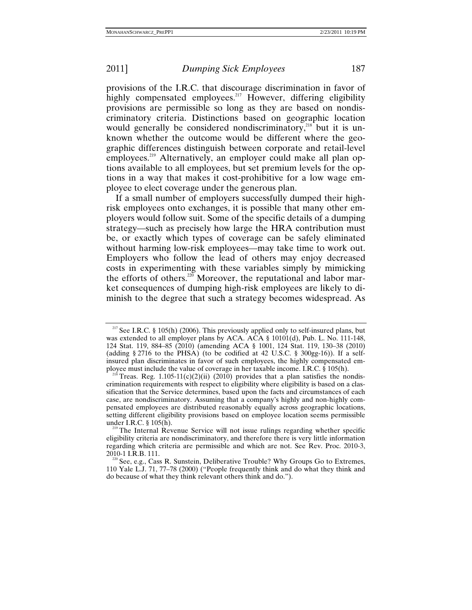provisions of the I.R.C. that discourage discrimination in favor of highly compensated employees.<sup>217</sup> However, differing eligibility provisions are permissible so long as they are based on nondiscriminatory criteria. Distinctions based on geographic location would generally be considered nondiscriminatory, $218$  but it is unknown whether the outcome would be different where the geographic differences distinguish between corporate and retail-level employees.<sup>219</sup> Alternatively, an employer could make all plan options available to all employees, but set premium levels for the options in a way that makes it cost-prohibitive for a low wage employee to elect coverage under the generous plan.

If a small number of employers successfully dumped their highrisk employees onto exchanges, it is possible that many other employers would follow suit. Some of the specific details of a dumping strategy—such as precisely how large the HRA contribution must be, or exactly which types of coverage can be safely eliminated without harming low-risk employees—may take time to work out. Employers who follow the lead of others may enjoy decreased costs in experimenting with these variables simply by mimicking the efforts of others.<sup>220</sup> Moreover, the reputational and labor market consequences of dumping high-risk employees are likely to diminish to the degree that such a strategy becomes widespread. As

<sup>&</sup>lt;sup>217</sup> See I.R.C. § 105(h) (2006). This previously applied only to self-insured plans, but was extended to all employer plans by ACA. ACA § 10101(d), Pub. L. No. 111-148, 124 Stat. 119, 884–85 (2010) (amending ACA § 1001, 124 Stat. 119, 130–38 (2010) (adding  $\S 2716$  to the PHSA) (to be codified at 42 U.S.C.  $\S 300gg-16$ )). If a selfinsured plan discriminates in favor of such employees, the highly compensated employee must include the value of coverage in her taxable income. I.R.C. § 105(h).

Treas. Reg.  $1.105-11(c)(2)(ii)$  (2010) provides that a plan satisfies the nondiscrimination requirements with respect to eligibility where eligibility is based on a classification that the Service determines, based upon the facts and circumstances of each case, are nondiscriminatory. Assuming that a company's highly and non-highly compensated employees are distributed reasonably equally across geographic locations, setting different eligibility provisions based on employee location seems permissible under I.R.C. § 105(h).

<sup>&</sup>lt;sup>219</sup> The Internal Revenue Service will not issue rulings regarding whether specific eligibility criteria are nondiscriminatory, and therefore there is very little information regarding which criteria are permissible and which are not. See Rev. Proc. 2010-3,

<sup>&</sup>lt;sup>220</sup> See, e.g., Cass R. Sunstein, Deliberative Trouble? Why Groups Go to Extremes, 110 Yale L.J. 71, 77–78 (2000) ("People frequently think and do what they think and do because of what they think relevant others think and do.").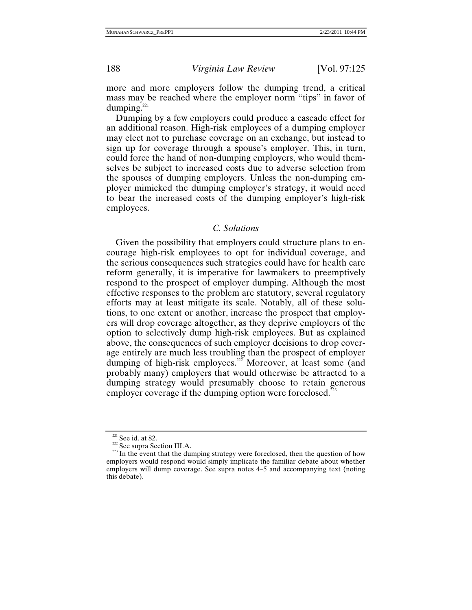more and more employers follow the dumping trend, a critical mass may be reached where the employer norm "tips" in favor of dumping.<sup>221</sup>

Dumping by a few employers could produce a cascade effect for an additional reason. High-risk employees of a dumping employer may elect not to purchase coverage on an exchange, but instead to sign up for coverage through a spouse's employer. This, in turn, could force the hand of non-dumping employers, who would themselves be subject to increased costs due to adverse selection from the spouses of dumping employers. Unless the non-dumping employer mimicked the dumping employer's strategy, it would need to bear the increased costs of the dumping employer's high-risk employees.

# *C. Solutions*

Given the possibility that employers could structure plans to encourage high-risk employees to opt for individual coverage, and the serious consequences such strategies could have for health care reform generally, it is imperative for lawmakers to preemptively respond to the prospect of employer dumping. Although the most effective responses to the problem are statutory, several regulatory efforts may at least mitigate its scale. Notably, all of these solutions, to one extent or another, increase the prospect that employers will drop coverage altogether, as they deprive employers of the option to selectively dump high-risk employees. But as explained above, the consequences of such employer decisions to drop coverage entirely are much less troubling than the prospect of employer dumping of high-risk employees.<sup>222</sup> Moreover, at least some (and probably many) employers that would otherwise be attracted to a dumping strategy would presumably choose to retain generous employer coverage if the dumping option were foreclosed.<sup>223</sup>

<sup>&</sup>lt;sup>221</sup> See id. at 82. <sup>222</sup> See supra Section III.A. <sup>223</sup> See supra Section III.A. <sup>223</sup> In the event that the dumping strategy were foreclosed, then the question of how employers would respond would simply implicate the familiar debate about whether employers will dump coverage. See supra notes 4–5 and accompanying text (noting this debate).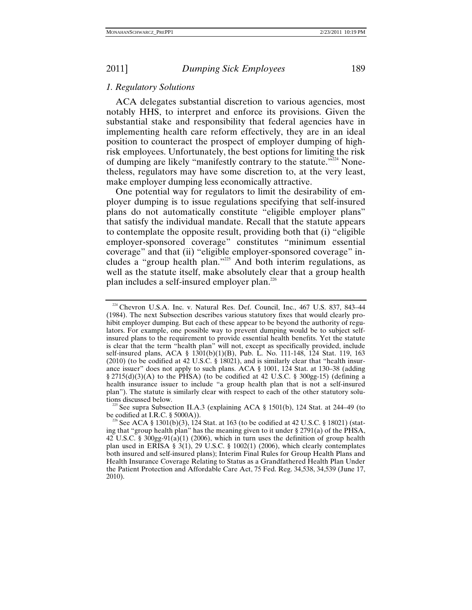## *1. Regulatory Solutions*

ACA delegates substantial discretion to various agencies, most notably HHS, to interpret and enforce its provisions. Given the substantial stake and responsibility that federal agencies have in implementing health care reform effectively, they are in an ideal position to counteract the prospect of employer dumping of highrisk employees. Unfortunately, the best options for limiting the risk of dumping are likely "manifestly contrary to the statute."<sup>224</sup> Nonetheless, regulators may have some discretion to, at the very least, make employer dumping less economically attractive.

One potential way for regulators to limit the desirability of employer dumping is to issue regulations specifying that self-insured plans do not automatically constitute "eligible employer plans" that satisfy the individual mandate. Recall that the statute appears to contemplate the opposite result, providing both that (i) "eligible employer-sponsored coverage" constitutes "minimum essential coverage" and that (ii) "eligible employer-sponsored coverage" includes a "group health plan."225 And both interim regulations, as well as the statute itself, make absolutely clear that a group health plan includes a self-insured employer plan.226

<sup>&</sup>lt;sup>224</sup> Chevron U.S.A. Inc. v. Natural Res. Def. Council, Inc., 467 U.S. 837, 843-44 (1984). The next Subsection describes various statutory fixes that would clearly prohibit employer dumping. But each of these appear to be beyond the authority of regulators. For example, one possible way to prevent dumping would be to subject selfinsured plans to the requirement to provide essential health benefits. Yet the statute is clear that the term "health plan" will not, except as specifically provided, include self-insured plans, ACA § 1301(b)(1)(B), Pub. L. No. 111-148, 124 Stat. 119, 163 (2010) (to be codified at 42 U.S.C. § 18021), and is similarly clear that "health insurance issuer" does not apply to such plans. ACA § 1001, 124 Stat. at 130–38 (adding  $\S 2715(d)(3)(A)$  to the PHSA) (to be codified at 42 U.S.C. § 300gg-15) (defining a health insurance issuer to include "a group health plan that is not a self-insured plan"). The statute is similarly clear with respect to each of the other statutory solu-

tions discussed below.<br><sup>225</sup> See supra Subsection II.A.3 (explaining ACA § 1501(b), 124 Stat. at 244–49 (to be codified at I.R.C. § 5000A)).

See ACA §  $1301(b)(3)$ , 124 Stat. at 163 (to be codified at 42 U.S.C. § 18021) (stating that "group health plan" has the meaning given to it under § 2791(a) of the PHSA,  $42 \text{ U.S.C. }$  §  $300$ gg-91(a)(1) (2006), which in turn uses the definition of group health plan used in ERISA § 3(1), 29 U.S.C. § 1002(1) (2006), which clearly contemplates both insured and self-insured plans); Interim Final Rules for Group Health Plans and Health Insurance Coverage Relating to Status as a Grandfathered Health Plan Under the Patient Protection and Affordable Care Act, 75 Fed. Reg. 34,538, 34,539 (June 17, 2010).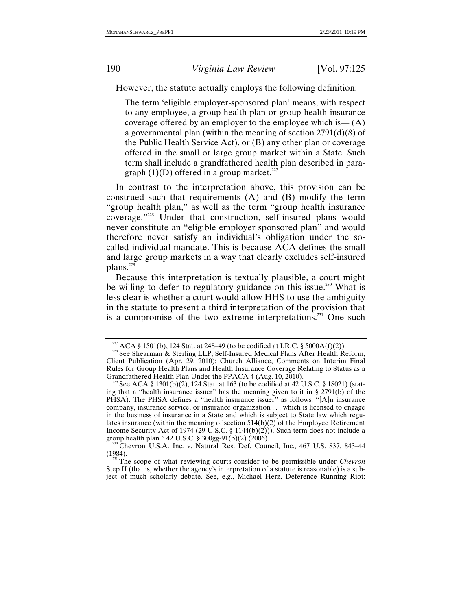However, the statute actually employs the following definition:

The term 'eligible employer-sponsored plan' means, with respect to any employee, a group health plan or group health insurance coverage offered by an employer to the employee which is  $-(A)$ a governmental plan (within the meaning of section 2791(d)(8) of the Public Health Service Act), or (B) any other plan or coverage offered in the small or large group market within a State. Such term shall include a grandfathered health plan described in paragraph  $(1)(D)$  offered in a group market.<sup>227</sup>

In contrast to the interpretation above, this provision can be construed such that requirements (A) and (B) modify the term "group health plan," as well as the term "group health insurance coverage."228 Under that construction, self-insured plans would never constitute an "eligible employer sponsored plan" and would therefore never satisfy an individual's obligation under the socalled individual mandate. This is because ACA defines the small and large group markets in a way that clearly excludes self-insured plans.<sup>229</sup>

Because this interpretation is textually plausible, a court might be willing to defer to regulatory guidance on this issue.<sup>230</sup> What is less clear is whether a court would allow HHS to use the ambiguity in the statute to present a third interpretation of the provision that is a compromise of the two extreme interpretations.<sup>231</sup> One such

<sup>&</sup>lt;sup>227</sup> ACA § 1501(b), 124 Stat. at 248–49 (to be codified at I.R.C. § 5000A(f)(2)).<br><sup>228</sup> See Shearman & Sterling LLP, Self-Insured Medical Plans After Health Reform, Client Publication (Apr. 29, 2010); Church Alliance, Comments on Interim Final Rules for Group Health Plans and Health Insurance Coverage Relating to Status as a

<sup>&</sup>lt;sup>229</sup> See ACA § 1301(b)(2), 124 Stat. at 163 (to be codified at 42 U.S.C. § 18021) (stating that a "health insurance issuer" has the meaning given to it in § 2791(b) of the PHSA). The PHSA defines a "health insurance issuer" as follows: "[A]n insurance company, insurance service, or insurance organization . . . which is licensed to engage in the business of insurance in a State and which is subject to State law which regulates insurance (within the meaning of section 514(b)(2) of the Employee Retirement Income Security Act of 1974 (29 U.S.C. § 1144(b)(2))). Such term does not include a group health plan."  $42$  U.S.C. §  $300gg-91(b)(2)$  (2006).

 $q^{220}$  Chevron U.S.A. Inc. v. Natural Res. Def. Council, Inc., 467 U.S. 837, 843–44 (1984).

<sup>&</sup>lt;sup>231</sup> The scope of what reviewing courts consider to be permissible under *Chevron* Step II (that is, whether the agency's interpretation of a statute is reasonable) is a subject of much scholarly debate. See, e.g., Michael Herz, Deference Running Riot: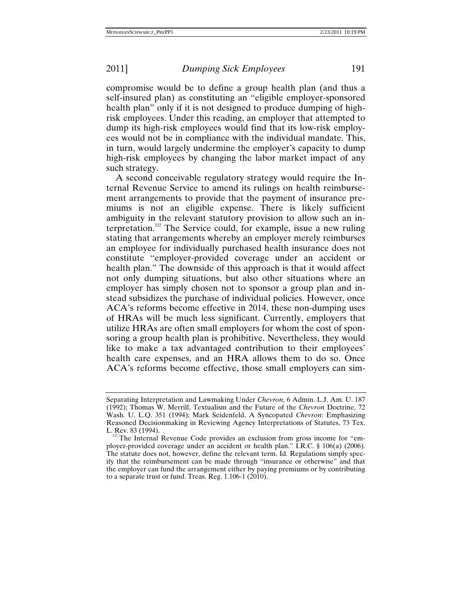compromise would be to define a group health plan (and thus a self-insured plan) as constituting an "eligible employer-sponsored health plan" only if it is not designed to produce dumping of highrisk employees. Under this reading, an employer that attempted to dump its high-risk employees would find that its low-risk employees would not be in compliance with the individual mandate. This, in turn, would largely undermine the employer's capacity to dump high-risk employees by changing the labor market impact of any such strategy.

A second conceivable regulatory strategy would require the Internal Revenue Service to amend its rulings on health reimbursement arrangements to provide that the payment of insurance premiums is not an eligible expense. There is likely sufficient ambiguity in the relevant statutory provision to allow such an interpretation.<sup>232</sup> The Service could, for example, issue a new ruling stating that arrangements whereby an employer merely reimburses an employee for individually purchased health insurance does not constitute "employer-provided coverage under an accident or health plan." The downside of this approach is that it would affect not only dumping situations, but also other situations where an employer has simply chosen not to sponsor a group plan and instead subsidizes the purchase of individual policies. However, once ACA's reforms become effective in 2014, these non-dumping uses of HRAs will be much less significant. Currently, employers that utilize HRAs are often small employers for whom the cost of sponsoring a group health plan is prohibitive. Nevertheless, they would like to make a tax advantaged contribution to their employees' health care expenses, and an HRA allows them to do so. Once ACA's reforms become effective, those small employers can sim-

Separating Interpretation and Lawmaking Under *Chevron*, 6 Admin. L.J. Am. U. 187 (1992); Thomas W. Merrill, Textualism and the Future of the *Chevron* Doctrine, 72 Wash. U. L.Q. 351 (1994); Mark Seidenfeld, A Syncopated *Chevron*: Emphasizing Reasoned Decisionmaking in Reviewing Agency Interpretations of Statutes, 73 Tex. L. Rev. 83 (1994).<br><sup>232</sup> The Internal Revenue Code provides an exclusion from gross income for "em-

ployer-provided coverage under an accident or health plan." I.R.C. § 106(a) (2006). The statute does not, however, define the relevant term. Id. Regulations simply specify that the reimbursement can be made through "insurance or otherwise" and that the employer can fund the arrangement either by paying premiums or by contributing to a separate trust or fund. Treas. Reg. 1.106-1 (2010).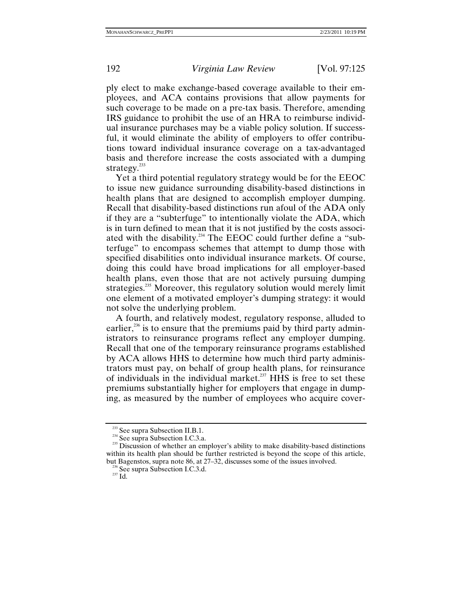ply elect to make exchange-based coverage available to their employees, and ACA contains provisions that allow payments for such coverage to be made on a pre-tax basis. Therefore, amending IRS guidance to prohibit the use of an HRA to reimburse individual insurance purchases may be a viable policy solution. If successful, it would eliminate the ability of employers to offer contributions toward individual insurance coverage on a tax-advantaged basis and therefore increase the costs associated with a dumping strategy. $^{233}$ 

Yet a third potential regulatory strategy would be for the EEOC to issue new guidance surrounding disability-based distinctions in health plans that are designed to accomplish employer dumping. Recall that disability-based distinctions run afoul of the ADA only if they are a "subterfuge" to intentionally violate the ADA, which is in turn defined to mean that it is not justified by the costs associated with the disability.<sup>234</sup> The EEOC could further define a "subterfuge" to encompass schemes that attempt to dump those with specified disabilities onto individual insurance markets. Of course, doing this could have broad implications for all employer-based health plans, even those that are not actively pursuing dumping strategies.<sup>235</sup> Moreover, this regulatory solution would merely limit one element of a motivated employer's dumping strategy: it would not solve the underlying problem.

A fourth, and relatively modest, regulatory response, alluded to earlier,<sup>236</sup> is to ensure that the premiums paid by third party administrators to reinsurance programs reflect any employer dumping. Recall that one of the temporary reinsurance programs established by ACA allows HHS to determine how much third party administrators must pay, on behalf of group health plans, for reinsurance of individuals in the individual market.<sup>237</sup> HHS is free to set these premiums substantially higher for employers that engage in dumping, as measured by the number of employees who acquire cover-

<sup>&</sup>lt;sup>233</sup> See supra Subsection II.B.1.<br><sup>234</sup> See supra Subsection I.C.3.a.<br><sup>235</sup> Discussion of whether an employer's ability to make disability-based distinctions within its health plan should be further restricted is beyond the scope of this article, but Bagenstos, supra note  $86$ , at  $27-32$ , discusses some of the issues involved.

 $\frac{^{236}}{^{237}}$  See supra Subsection I.C.3.d.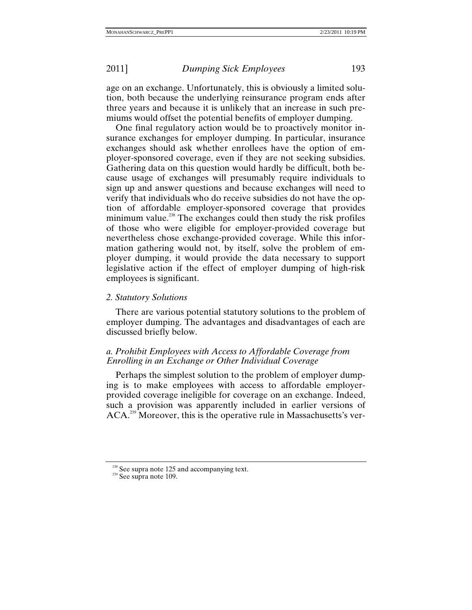age on an exchange. Unfortunately, this is obviously a limited solution, both because the underlying reinsurance program ends after three years and because it is unlikely that an increase in such premiums would offset the potential benefits of employer dumping.

One final regulatory action would be to proactively monitor insurance exchanges for employer dumping. In particular, insurance exchanges should ask whether enrollees have the option of employer-sponsored coverage, even if they are not seeking subsidies. Gathering data on this question would hardly be difficult, both because usage of exchanges will presumably require individuals to sign up and answer questions and because exchanges will need to verify that individuals who do receive subsidies do not have the option of affordable employer-sponsored coverage that provides minimum value.<sup>238</sup> The exchanges could then study the risk profiles of those who were eligible for employer-provided coverage but nevertheless chose exchange-provided coverage. While this information gathering would not, by itself, solve the problem of employer dumping, it would provide the data necessary to support legislative action if the effect of employer dumping of high-risk employees is significant.

### *2. Statutory Solutions*

There are various potential statutory solutions to the problem of employer dumping. The advantages and disadvantages of each are discussed briefly below.

# *a. Prohibit Employees with Access to Affordable Coverage from Enrolling in an Exchange or Other Individual Coverage*

Perhaps the simplest solution to the problem of employer dumping is to make employees with access to affordable employerprovided coverage ineligible for coverage on an exchange. Indeed, such a provision was apparently included in earlier versions of ACA.<sup>239</sup> Moreover, this is the operative rule in Massachusetts's ver-

<sup>&</sup>lt;sup>238</sup> See supra note 125 and accompanying text.<br><sup>239</sup> See supra note 109.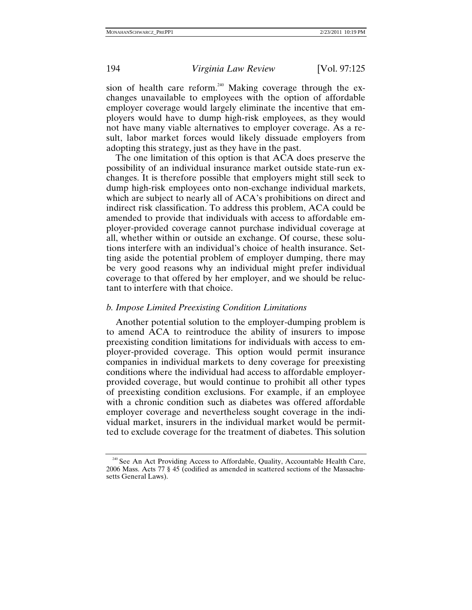sion of health care reform.<sup>240</sup> Making coverage through the exchanges unavailable to employees with the option of affordable employer coverage would largely eliminate the incentive that employers would have to dump high-risk employees, as they would not have many viable alternatives to employer coverage. As a result, labor market forces would likely dissuade employers from adopting this strategy, just as they have in the past.

The one limitation of this option is that ACA does preserve the possibility of an individual insurance market outside state-run exchanges. It is therefore possible that employers might still seek to dump high-risk employees onto non-exchange individual markets, which are subject to nearly all of ACA's prohibitions on direct and indirect risk classification. To address this problem, ACA could be amended to provide that individuals with access to affordable employer-provided coverage cannot purchase individual coverage at all, whether within or outside an exchange. Of course, these solutions interfere with an individual's choice of health insurance. Setting aside the potential problem of employer dumping, there may be very good reasons why an individual might prefer individual coverage to that offered by her employer, and we should be reluctant to interfere with that choice.

## *b. Impose Limited Preexisting Condition Limitations*

Another potential solution to the employer-dumping problem is to amend ACA to reintroduce the ability of insurers to impose preexisting condition limitations for individuals with access to employer-provided coverage. This option would permit insurance companies in individual markets to deny coverage for preexisting conditions where the individual had access to affordable employerprovided coverage, but would continue to prohibit all other types of preexisting condition exclusions. For example, if an employee with a chronic condition such as diabetes was offered affordable employer coverage and nevertheless sought coverage in the individual market, insurers in the individual market would be permitted to exclude coverage for the treatment of diabetes. This solution

<sup>&</sup>lt;sup>240</sup> See An Act Providing Access to Affordable, Quality, Accountable Health Care, 2006 Mass. Acts 77 § 45 (codified as amended in scattered sections of the Massachusetts General Laws).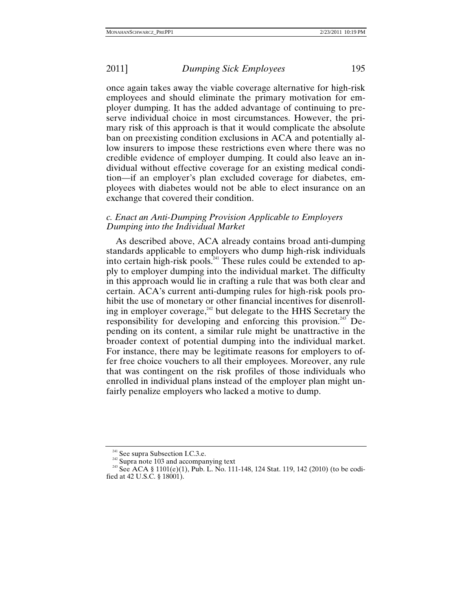once again takes away the viable coverage alternative for high-risk employees and should eliminate the primary motivation for employer dumping. It has the added advantage of continuing to preserve individual choice in most circumstances. However, the primary risk of this approach is that it would complicate the absolute ban on preexisting condition exclusions in ACA and potentially allow insurers to impose these restrictions even where there was no credible evidence of employer dumping. It could also leave an individual without effective coverage for an existing medical condition—if an employer's plan excluded coverage for diabetes, employees with diabetes would not be able to elect insurance on an exchange that covered their condition.

# *c. Enact an Anti-Dumping Provision Applicable to Employers Dumping into the Individual Market*

As described above, ACA already contains broad anti-dumping standards applicable to employers who dump high-risk individuals into certain high-risk pools.<sup>241</sup> These rules could be extended to apply to employer dumping into the individual market. The difficulty in this approach would lie in crafting a rule that was both clear and certain. ACA's current anti-dumping rules for high-risk pools prohibit the use of monetary or other financial incentives for disenrolling in employer coverage, $242$  but delegate to the HHS Secretary the responsibility for developing and enforcing this provision.<sup>243</sup> Depending on its content, a similar rule might be unattractive in the broader context of potential dumping into the individual market. For instance, there may be legitimate reasons for employers to offer free choice vouchers to all their employees. Moreover, any rule that was contingent on the risk profiles of those individuals who enrolled in individual plans instead of the employer plan might unfairly penalize employers who lacked a motive to dump.

<sup>&</sup>lt;sup>241</sup> See supra Subsection I.C.3.e.<br><sup>242</sup> Supra note 103 and accompanying text<br><sup>243</sup> See ACA § 1101(e)(1), Pub. L. No. 111-148, 124 Stat. 119, 142 (2010) (to be codified at 42 U.S.C. § 18001).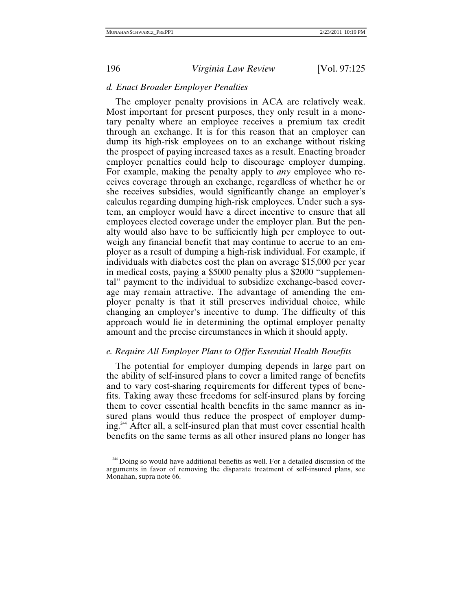196 *Virginia Law Review* [Vol. 97:125

### *d. Enact Broader Employer Penalties*

The employer penalty provisions in ACA are relatively weak. Most important for present purposes, they only result in a monetary penalty where an employee receives a premium tax credit through an exchange. It is for this reason that an employer can dump its high-risk employees on to an exchange without risking the prospect of paying increased taxes as a result. Enacting broader employer penalties could help to discourage employer dumping. For example, making the penalty apply to *any* employee who receives coverage through an exchange, regardless of whether he or she receives subsidies, would significantly change an employer's calculus regarding dumping high-risk employees. Under such a system, an employer would have a direct incentive to ensure that all employees elected coverage under the employer plan. But the penalty would also have to be sufficiently high per employee to outweigh any financial benefit that may continue to accrue to an employer as a result of dumping a high-risk individual. For example, if individuals with diabetes cost the plan on average \$15,000 per year in medical costs, paying a \$5000 penalty plus a \$2000 "supplemental" payment to the individual to subsidize exchange-based coverage may remain attractive. The advantage of amending the employer penalty is that it still preserves individual choice, while changing an employer's incentive to dump. The difficulty of this approach would lie in determining the optimal employer penalty amount and the precise circumstances in which it should apply.

## *e. Require All Employer Plans to Offer Essential Health Benefits*

The potential for employer dumping depends in large part on the ability of self-insured plans to cover a limited range of benefits and to vary cost-sharing requirements for different types of benefits. Taking away these freedoms for self-insured plans by forcing them to cover essential health benefits in the same manner as insured plans would thus reduce the prospect of employer dumping.244 After all, a self-insured plan that must cover essential health benefits on the same terms as all other insured plans no longer has

<sup>&</sup>lt;sup>244</sup> Doing so would have additional benefits as well. For a detailed discussion of the arguments in favor of removing the disparate treatment of self-insured plans, see Monahan, supra note 66.